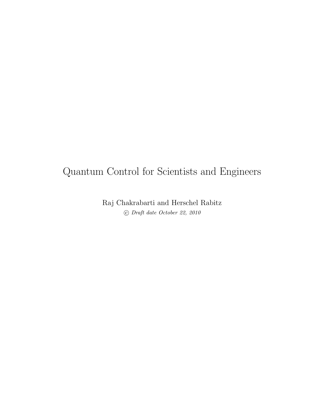## Quantum Control for Scientists and Engineers

Raj Chakrabarti and Herschel Rabitz c Draft date October 22, 2010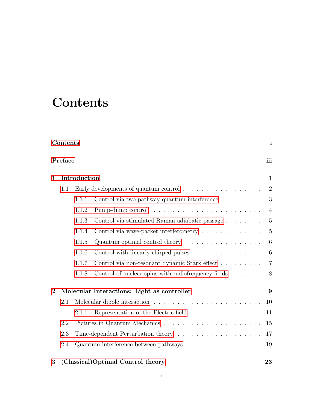# <span id="page-1-0"></span>**Contents**

|                                                         | Contents<br>$\mathbf{i}$ |                                         |                                                                |                |  |  |  |  |
|---------------------------------------------------------|--------------------------|-----------------------------------------|----------------------------------------------------------------|----------------|--|--|--|--|
| iii<br>Preface                                          |                          |                                         |                                                                |                |  |  |  |  |
| $\mathbf{1}$                                            | Introduction             |                                         |                                                                |                |  |  |  |  |
|                                                         | 1.1                      | Early developments of quantum control   |                                                                |                |  |  |  |  |
|                                                         |                          | 1.1.1                                   | Control via two-pathway quantum interference                   | 3              |  |  |  |  |
|                                                         |                          | 1.1.2                                   |                                                                | $\overline{4}$ |  |  |  |  |
|                                                         |                          | 1.1.3                                   | Control via stimulated Raman adiabatic passage                 | $\overline{5}$ |  |  |  |  |
|                                                         |                          | 1.1.4                                   | Control via wave-packet interferometry                         | 5              |  |  |  |  |
|                                                         |                          | 1.1.5                                   | Quantum optimal control theory $\dots \dots \dots \dots \dots$ | $6\,$          |  |  |  |  |
|                                                         |                          | 1.1.6                                   | Control with linearly chirped pulses                           | 6              |  |  |  |  |
|                                                         |                          | 1.1.7                                   | Control via non-resonant dynamic Stark effect                  | $\overline{7}$ |  |  |  |  |
|                                                         |                          | 1.1.8                                   | Control of nuclear spins with radiofrequency fields            | 8              |  |  |  |  |
| Molecular Interactions: Light as controller<br>$\bf{2}$ |                          |                                         |                                                                | 9              |  |  |  |  |
|                                                         | 2.1                      |                                         |                                                                | 10             |  |  |  |  |
|                                                         |                          | 2.1.1                                   | Representation of the Electric field                           | 11             |  |  |  |  |
|                                                         | 2.2                      |                                         |                                                                | 15             |  |  |  |  |
|                                                         | 2.3                      |                                         |                                                                | 17             |  |  |  |  |
|                                                         | 2.4                      | Quantum interference between pathways   | 19                                                             |                |  |  |  |  |
| 3                                                       |                          | (Classical)Optimal Control theory<br>23 |                                                                |                |  |  |  |  |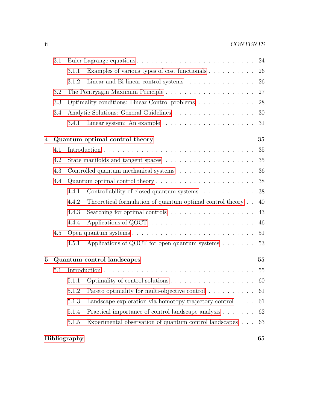|          | 3.1                       |                                                                                                |                                                                       |    |  |  |  |
|----------|---------------------------|------------------------------------------------------------------------------------------------|-----------------------------------------------------------------------|----|--|--|--|
|          |                           | 3.1.1                                                                                          | Examples of various types of cost functionals                         | 26 |  |  |  |
|          |                           | 3.1.2                                                                                          | Linear and Bi-linear control systems                                  | 26 |  |  |  |
|          | 3.2                       |                                                                                                |                                                                       |    |  |  |  |
|          | 3.3                       | Optimality conditions: Linear Control problems $\ldots \ldots \ldots \ldots$                   |                                                                       |    |  |  |  |
|          | 3.4                       | Analytic Solutions: General Guidelines                                                         |                                                                       |    |  |  |  |
|          |                           | 3.4.1                                                                                          | Linear system: An example $\dots \dots \dots \dots \dots \dots \dots$ | 31 |  |  |  |
| 4        |                           | Quantum optimal control theory                                                                 | 35                                                                    |    |  |  |  |
|          | 4.1                       |                                                                                                |                                                                       | 35 |  |  |  |
|          | 4.2                       |                                                                                                |                                                                       | 35 |  |  |  |
|          | 4.3                       | Controlled quantum mechanical systems $\hfill\ldots\ldots\ldots\ldots\ldots\ldots\ldots\ldots$ |                                                                       |    |  |  |  |
|          | 4.4                       | Quantum optimal control theory $\dots \dots \dots \dots \dots \dots \dots \dots$               |                                                                       |    |  |  |  |
|          |                           | 4.4.1                                                                                          | Controllability of closed quantum systems                             | 38 |  |  |  |
|          |                           | 4.4.2                                                                                          | Theoretical formulation of quantum optimal control theory             | 40 |  |  |  |
|          |                           | 4.4.3                                                                                          | Searching for optimal controls $\dots \dots \dots \dots \dots \dots$  | 43 |  |  |  |
|          |                           | 4.4.4                                                                                          |                                                                       | 46 |  |  |  |
|          | 4.5                       |                                                                                                |                                                                       |    |  |  |  |
|          |                           | 4.5.1                                                                                          | Applications of QOCT for open quantum systems $\dots \dots$           | 53 |  |  |  |
| $\bf{5}$ |                           |                                                                                                | Quantum control landscapes                                            | 55 |  |  |  |
|          | 5.1                       |                                                                                                |                                                                       | 55 |  |  |  |
|          |                           | 5.1.1                                                                                          |                                                                       | 60 |  |  |  |
|          |                           | 5.1.2                                                                                          | Pareto optimality for multi-objective control                         | 61 |  |  |  |
|          |                           | 5.1.3                                                                                          | Landscape exploration via homotopy trajectory control                 | 61 |  |  |  |
|          |                           | 5.1.4                                                                                          | Practical importance of control landscape analysis                    | 62 |  |  |  |
|          |                           | 5.1.5                                                                                          | Experimental observation of quantum control landscapes                | 63 |  |  |  |
|          | <b>Bibliography</b><br>65 |                                                                                                |                                                                       |    |  |  |  |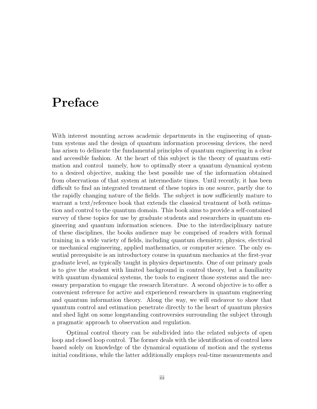## Preface

<span id="page-3-0"></span>With interest mounting across academic departments in the engineering of quantum systems and the design of quantum information processing devices, the need has arisen to delineate the fundamental principles of quantum engineering in a clear and accessible fashion. At the heart of this subject is the theory of quantum estimation and control namely, how to optimally steer a quantum dynamical system to a desired objective, making the best possible use of the information obtained from observations of that system at intermediate times. Until recently, it has been difficult to find an integrated treatment of these topics in one source, partly due to the rapidly changing nature of the fields. The subject is now sufficiently mature to warrant a text/reference book that extends the classical treatment of both estimation and control to the quantum domain. This book aims to provide a self-contained survey of these topics for use by graduate students and researchers in quantum engineering and quantum information sciences. Due to the interdisciplinary nature of these disciplines, the books audience may be comprised of readers with formal training in a wide variety of fields, including quantum chemistry, physics, electrical or mechanical engineering, applied mathematics, or computer science. The only essential prerequisite is an introductory course in quantum mechanics at the first-year graduate level, as typically taught in physics departments. One of our primary goals is to give the student with limited background in control theory, but a familiarity with quantum dynamical systems, the tools to engineer those systems and the necessary preparation to engage the research literature. A second objective is to offer a convenient reference for active and experienced researchers in quantum engineering and quantum information theory. Along the way, we will endeavor to show that quantum control and estimation penetrate directly to the heart of quantum physics and shed light on some longstanding controversies surrounding the subject through a pragmatic approach to observation and regulation.

Optimal control theory can be subdivided into the related subjects of open loop and closed loop control. The former deals with the identification of control laws based solely on knowledge of the dynamical equations of motion and the systems initial conditions, while the latter additionally employs real-time measurements and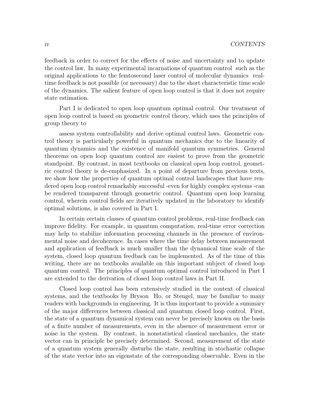feedback in order to correct for the effects of noise and uncertainty and to update the control law. In many experimental incarnations of quantum control such as the original applications to the femtosecond laser control of molecular dynamics realtime feedback is not possible (or necessary) due to the short characteristic time scale of the dynamics. The salient feature of open loop control is that it does not require state estimation.

Part I is dedicated to open loop quantum optimal control. Our treatment of open loop control is based on geometric control theory, which uses the principles of group theory to

assess system controllability and derive optimal control laws. Geometric control theory is particularly powerful in quantum mechanics due to the linearity of quantum dynamics and the existence of manifold quantum symmetries. General theorems on open loop quantum control are easiest to prove from the geometric standpoint. By contrast, in most textbooks on classical open loop control, geometric control theory is de-emphasized. In a point of departure from previous texts, we show how the properties of quantum optimal control landscapes that have rendered open loop control remarkably successful -even for highly complex systems -can be rendered transparent through geometric control. Quantum open loop learning control, wherein control fields are iteratively updated in the laboratory to identify optimal solutions, is also covered in Part I.

In certain certain classes of quantum control problems, real-time feedback can improve fidelity. For example, in quantum computation, real-time error correction may help to stabilize information processing channels in the presence of environmental noise and decoherence. In cases where the time delay between measurement and application of feedback is much smaller than the dynamical time scale of the system, closed loop quantum feedback can be implemented. As of the time of this writing, there are no textbooks available on this important subject of closed loop quantum control. The principles of quantum optimal control introduced in Part I are extended to the derivation of closed loop control laws in Part II.

Closed loop control has been extensively studied in the context of classical systems, and the textbooks by Bryson Ho, or Stengel, may be familiar to many readers with backgrounds in engineering. It is thus important to provide a summary of the major differences between classical and quantum closed loop control. First, the state of a quantum dynamical system can never be precisely known on the basis of a finite number of measurements, even in the absence of measurement error or noise in the system. By contrast, in nonstatistical classical mechanics, the state vector can in principle be precisely determined. Second, measurement of the state of a quantum system generally disturbs the state, resulting in stochastic collapse of the state vector into an eigenstate of the corresponding observable. Even in the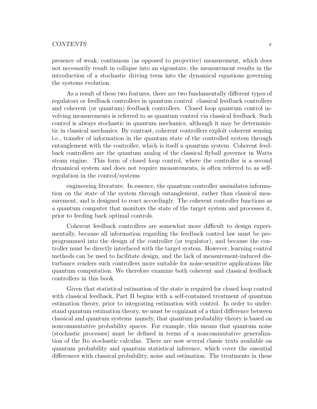presence of weak, continuous (as opposed to projective) measurement, which does not necessarily result in collapse into an eigenstate, the measurement results in the introduction of a stochastic driving term into the dynamical equations governing the systems evolution.

As a result of these two features, there are two fundamentally different types of regulators or feedback controllers in quantum control classical feedback controllers and coherent (or quantum) feedback controllers. Closed loop quantum control involving measurements is referred to as quantum control via classical feedback. Such control is always stochastic in quantum mechanics, although it may be deterministic in classical mechanics. By contrast, coherent controllers exploit coherent sensing i.e., transfer of information in the quantum state of the controlled system through entanglement with the controller, which is itself a quantum system. Coherent feedback controllers are the quantum analog of the classical flyball governor in Watts steam engine. This form of closed loop control, where the controller is a second dynamical system and does not require measurements, is often referred to as selfregulation in the control/systems

engineering literature. In essence, the quantum controller assimilates information on the state of the system through entanglement, rather than classical measurement, and is designed to react accordingly. The coherent controller functions as a quantum computer that monitors the state of the target system and processes it, prior to feeding back optimal controls.

Coherent feedback controllers are somewhat more difficult to design experimentally, because all information regarding the feedback control law must be preprogrammed into the design of the controller (or regulator), and because the controller must be directly interfaced with the target system. However, learning control methods can be used to facilitate design, and the lack of measurement-induced disturbance renders such controllers more suitable for noise-sensitive applications like quantum computation. We therefore examine both coherent and classical feedback controllers in this book.

Given that statistical estimation of the state is required for closed loop control with classical feedback, Part II begins with a self-contained treatment of quantum estimation theory, prior to integrating estimation with control. In order to understand quantum estimation theory, we must be cognizant of a third difference between classical and quantum systems namely, that quantum probability theory is based on noncommutative probability spaces. For example, this means that quantum noise (stochastic processes) must be defined in terms of a noncommutative generalization of the Ito stochastic calculus. There are now several classic texts available on quantum probability and quantum statistical inference, which cover the essential differences with classical probability, noise and estimation. The treatments in these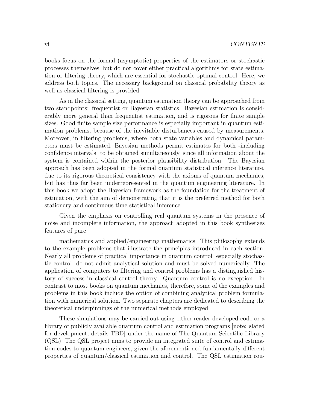books focus on the formal (asymptotic) properties of the estimators or stochastic processes themselves, but do not cover either practical algorithms for state estimation or filtering theory, which are essential for stochastic optimal control. Here, we address both topics. The necessary background on classical probability theory as well as classical filtering is provided.

As in the classical setting, quantum estimation theory can be approached from two standpoints: frequentist or Bayesian statistics. Bayesian estimation is considerably more general than frequentist estimation, and is rigorous for finite sample sizes. Good finite sample size performance is especially important in quantum estimation problems, because of the inevitable disturbances caused by measurements. Moreover, in filtering problems, where both state variables and dynamical parameters must be estimated, Bayesian methods permit estimates for both -including confidence intervals to be obtained simultaneously, since all information about the system is contained within the posterior plausibility distribution. The Bayesian approach has been adopted in the formal quantum statistical inference literature, due to its rigorous theoretical consistency with the axioms of quantum mechanics, but has thus far been underrepresented in the quantum engineering literature. In this book we adopt the Bayesian framework as the foundation for the treatment of estimation, with the aim of demonstrating that it is the preferred method for both stationary and continuous time statistical inference.

Given the emphasis on controlling real quantum systems in the presence of noise and incomplete information, the approach adopted in this book synthesizes features of pure

mathematics and applied/engineering mathematics. This philosophy extends to the example problems that illustrate the principles introduced in each section. Nearly all problems of practical importance in quantum control especially stochastic control -do not admit analytical solution and must be solved numerically. The application of computers to filtering and control problems has a distinguished history of success in classical control theory. Quantum control is no exception. In contrast to most books on quantum mechanics, therefore, some of the examples and problems in this book include the option of combining analytical problem formulation with numerical solution. Two separate chapters are dedicated to describing the theoretical underpinnings of the numerical methods employed.

These simulations may be carried out using either reader-developed code or a library of publicly available quantum control and estimation programs [note: slated for development; details TBD] under the name of The Quantum Scientific Library (QSL). The QSL project aims to provide an integrated suite of control and estimation codes to quantum engineers, given the aforementioned fundamentally different properties of quantum/classical estimation and control. The QSL estimation rou-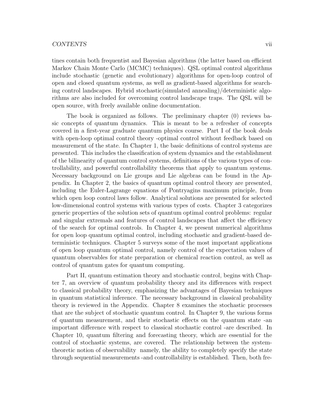#### CONTENTS vii

tines contain both frequentist and Bayesian algorithms (the latter based on efficient Markov Chain Monte Carlo (MCMC) techniques). QSL optimal control algorithms include stochastic (genetic and evolutionary) algorithms for open-loop control of open and closed quantum systems, as well as gradient-based algorithms for searching control landscapes. Hybrid stochastic(simulated annealing)/deterministic algorithms are also included for overcoming control landscape traps. The QSL will be open source, with freely available online documentation.

The book is organized as follows. The preliminary chapter (0) reviews basic concepts of quantum dynamics. This is meant to be a refresher of concepts covered in a first-year graduate quantum physics course. Part I of the book deals with open-loop optimal control theory -optimal control without feedback based on measurement of the state. In Chapter 1, the basic definitions of control systems are presented. This includes the classification of system dynamics and the establishment of the bilinearity of quantum control systems, definitions of the various types of controllability, and powerful controllability theorems that apply to quantum systems. Necessary background on Lie groups and Lie algebras can be found in the Appendix. In Chapter 2, the basics of quantum optimal control theory are presented, including the Euler-Lagrange equations of Pontryagins maximum principle, from which open loop control laws follow. Analytical solutions are presented for selected low-dimensional control systems with various types of costs. Chapter 3 categorizes generic properties of the solution sets of quantum optimal control problems: regular and singular extremals and features of control landscapes that affect the efficiency of the search for optimal controls. In Chapter 4, we present numerical algorithms for open loop quantum optimal control, including stochastic and gradient-based deterministic techniques. Chapter 5 surveys some of the most important applications of open loop quantum optimal control, namely control of the expectation values of quantum observables for state preparation or chemical reaction control, as well as control of quantum gates for quantum computing.

Part II, quantum estimation theory and stochastic control, begins with Chapter 7, an overview of quantum probability theory and its differences with respect to classical probability theory, emphasizing the advantages of Bayesian techniques in quantum statistical inference. The necessary background in classical probability theory is reviewed in the Appendix. Chapter 8 examines the stochastic processes that are the subject of stochastic quantum control. In Chapter 9, the various forms of quantum measurement, and their stochastic effects on the quantum state -an important difference with respect to classical stochastic control -are described. In Chapter 10, quantum filtering and forecasting theory, which are essential for the control of stochastic systems, are covered. The relationship between the systemtheoretic notion of observability namely, the ability to completely specify the state through sequential measurements -and controllability is established. Then, both fre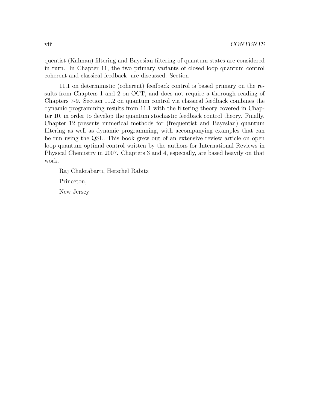quentist (Kalman) filtering and Bayesian filtering of quantum states are considered in turn. In Chapter 11, the two primary variants of closed loop quantum control coherent and classical feedback are discussed. Section

11.1 on deterministic (coherent) feedback control is based primary on the results from Chapters 1 and 2 on OCT, and does not require a thorough reading of Chapters 7-9. Section 11.2 on quantum control via classical feedback combines the dynamic programming results from 11.1 with the filtering theory covered in Chapter 10, in order to develop the quantum stochastic feedback control theory. Finally, Chapter 12 presents numerical methods for (frequentist and Bayesian) quantum filtering as well as dynamic programming, with accompanying examples that can be run using the QSL. This book grew out of an extensive review article on open loop quantum optimal control written by the authors for International Reviews in Physical Chemistry in 2007. Chapters 3 and 4, especially, are based heavily on that work.

Raj Chakrabarti, Herschel Rabitz

Princeton,

New Jersey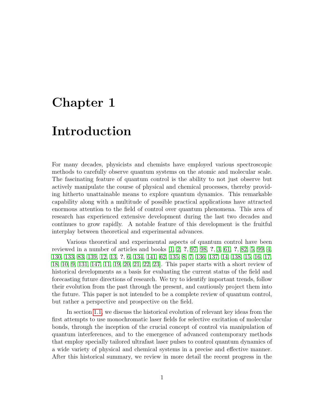## <span id="page-9-0"></span>Chapter 1

## Introduction

For many decades, physicists and chemists have employed various spectroscopic methods to carefully observe quantum systems on the atomic and molecular scale. The fascinating feature of quantum control is the ability to not just observe but actively manipulate the course of physical and chemical processes, thereby providing hitherto unattainable means to explore quantum dynamics. This remarkable capability along with a multitude of possible practical applications have attracted enormous attention to the field of control over quantum phenomena. This area of research has experienced extensive development during the last two decades and continues to grow rapidly. A notable feature of this development is the fruitful interplay between theoretical and experimental advances.

Various theoretical and experimental aspects of quantum control have been reviewed in a number of articles and books [\[1,](#page-73-0) [2,](#page-73-1) ?, [97,](#page-78-0) [98,](#page-78-1) ?, [3,](#page-73-2) [61,](#page-76-0) ?, [82,](#page-77-0) [5,](#page-73-3) [99,](#page-78-2) [4,](#page-73-4) [130,](#page-80-0) [133,](#page-80-1) [83,](#page-77-1) [139,](#page-81-0) [12,](#page-73-5) [13,](#page-73-6) ?, [6,](#page-73-7) [134,](#page-80-2) [141,](#page-81-1) [62,](#page-76-1) [135,](#page-81-2) [8,](#page-73-8) [7,](#page-73-9) [136,](#page-81-3) [137,](#page-81-4) [14,](#page-73-10) [138,](#page-81-5) [15,](#page-74-0) [16,](#page-74-1) [17,](#page-74-2) [18,](#page-74-3) [10,](#page-73-11) [9,](#page-73-12) [131,](#page-80-3) [147,](#page-81-6) [11,](#page-73-13) [19,](#page-74-4) [20,](#page-74-5) [21,](#page-74-6) [22,](#page-74-7) [23\]](#page-74-8). This paper starts with a short review of historical developments as a basis for evaluating the current status of the field and forecasting future directions of research. We try to identify important trends, follow their evolution from the past through the present, and cautiously project them into the future. This paper is not intended to be a complete review of quantum control, but rather a perspective and prospective on the field.

In section [1.1,](#page-10-0) we discuss the historical evolution of relevant key ideas from the first attempts to use monochromatic laser fields for selective excitation of molecular bonds, through the inception of the crucial concept of control via manipulation of quantum interferences, and to the emergence of advanced contemporary methods that employ specially tailored ultrafast laser pulses to control quantum dynamics of a wide variety of physical and chemical systems in a precise and effective manner. After this historical summary, we review in more detail the recent progress in the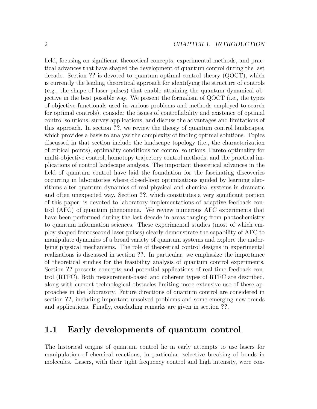field, focusing on significant theoretical concepts, experimental methods, and practical advances that have shaped the development of quantum control during the last decade. Section ?? is devoted to quantum optimal control theory (QOCT), which is currently the leading theoretical approach for identifying the structure of controls (e.g., the shape of laser pulses) that enable attaining the quantum dynamical objective in the best possible way. We present the formalism of QOCT (i.e., the types of objective functionals used in various problems and methods employed to search for optimal controls), consider the issues of controllability and existence of optimal control solutions, survey applications, and discuss the advantages and limitations of this approach. In section ??, we review the theory of quantum control landscapes, which provides a basis to analyze the complexity of finding optimal solutions. Topics discussed in that section include the landscape topology (i.e., the characterization of critical points), optimality conditions for control solutions, Pareto optimality for multi-objective control, homotopy trajectory control methods, and the practical implications of control landscape analysis. The important theoretical advances in the field of quantum control have laid the foundation for the fascinating discoveries occurring in laboratories where closed-loop optimizations guided by learning algorithms alter quantum dynamics of real physical and chemical systems in dramatic and often unexpected way. Section ??, which constitutes a very significant portion of this paper, is devoted to laboratory implementations of adaptive feedback control (AFC) of quantum phenomena. We review numerous AFC experiments that have been performed during the last decade in areas ranging from photochemistry to quantum information sciences. These experimental studies (most of which employ shaped femtosecond laser pulses) clearly demonstrate the capability of AFC to manipulate dynamics of a broad variety of quantum systems and explore the underlying physical mechanisms. The role of theoretical control designs in experimental realizations is discussed in section ??. In particular, we emphasize the importance of theoretical studies for the feasibility analysis of quantum control experiments. Section ?? presents concepts and potential applications of real-time feedback control (RTFC). Both measurement-based and coherent types of RTFC are described, along with current technological obstacles limiting more extensive use of these approaches in the laboratory. Future directions of quantum control are considered in section ??, including important unsolved problems and some emerging new trends and applications. Finally, concluding remarks are given in section ??.

## <span id="page-10-0"></span>1.1 Early developments of quantum control

The historical origins of quantum control lie in early attempts to use lasers for manipulation of chemical reactions, in particular, selective breaking of bonds in molecules. Lasers, with their tight frequency control and high intensity, were con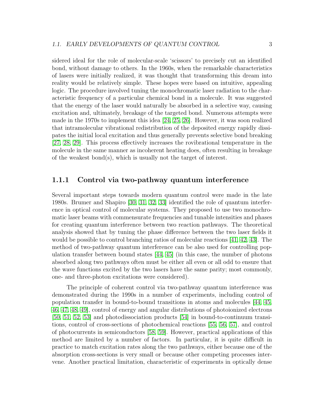sidered ideal for the role of molecular-scale 'scissors' to precisely cut an identified bond, without damage to others. In the 1960s, when the remarkable characteristics of lasers were initially realized, it was thought that transforming this dream into reality would be relatively simple. These hopes were based on intuitive, appealing logic. The procedure involved tuning the monochromatic laser radiation to the characteristic frequency of a particular chemical bond in a molecule. It was suggested that the energy of the laser would naturally be absorbed in a selective way, causing excitation and, ultimately, breakage of the targeted bond. Numerous attempts were made in the 1970s to implement this idea [\[24,](#page-74-9) [25,](#page-74-10) [26\]](#page-74-11). However, it was soon realized that intramolecular vibrational redistribution of the deposited energy rapidly dissipates the initial local excitation and thus generally prevents selective bond breaking [\[27,](#page-74-12) [28,](#page-74-13) [29\]](#page-74-14). This process effectively increases the rovibrational temperature in the molecule in the same manner as incoherent heating does, often resulting in breakage of the weakest bond(s), which is usually not the target of interest.

### <span id="page-11-0"></span>1.1.1 Control via two-pathway quantum interference

Several important steps towards modern quantum control were made in the late 1980s. Brumer and Shapiro [\[30,](#page-74-15) [31,](#page-74-16) [32,](#page-74-17) [33\]](#page-74-18) identified the role of quantum interference in optical control of molecular systems. They proposed to use two monochromatic laser beams with commensurate frequencies and tunable intensities and phases for creating quantum interference between two reaction pathways. The theoretical analysis showed that by tuning the phase difference between the two laser fields it would be possible to control branching ratios of molecular reactions [\[41,](#page-75-0) [42,](#page-75-1) [43\]](#page-75-2). The method of two-pathway quantum interference can be also used for controlling population transfer between bound states [\[44,](#page-75-3) [45\]](#page-75-4) (in this case, the number of photons absorbed along two pathways often must be either all even or all odd to ensure that the wave functions excited by the two lasers have the same parity; most commonly, one- and three-photon excitations were considered).

The principle of coherent control via two-pathway quantum interference was demonstrated during the 1990s in a number of experiments, including control of population transfer in bound-to-bound transitions in atoms and molecules [\[44,](#page-75-3) [45,](#page-75-4) [46,](#page-75-5) [47,](#page-75-6) [48,](#page-75-7) [49\]](#page-75-8), control of energy and angular distributions of photoionized electrons [\[50,](#page-75-9) [51,](#page-75-10) [52,](#page-75-11) [53\]](#page-75-12) and photodissociation products [\[54\]](#page-75-13) in bound-to-continuum transitions, control of cross-sections of photochemical reactions [\[55,](#page-76-2) [56,](#page-76-3) [57\]](#page-76-4), and control of photocurrents in semiconductors [\[58,](#page-76-5) [59\]](#page-76-6). However, practical applications of this method are limited by a number of factors. In particular, it is quite difficult in practice to match excitation rates along the two pathways, either because one of the absorption cross-sections is very small or because other competing processes intervene. Another practical limitation, characteristic of experiments in optically dense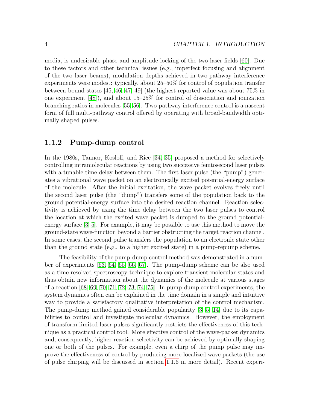media, is undesirable phase and amplitude locking of the two laser fields [\[60\]](#page-76-7). Due to these factors and other technical issues (e.g., imperfect focusing and alignment of the two laser beams), modulation depths achieved in two-pathway interference experiments were modest: typically, about 25–50% for control of population transfer between bound states [\[45,](#page-75-4) [46,](#page-75-5) [47,](#page-75-6) [49\]](#page-75-8) (the highest reported value was about 75% in one experiment [\[48\]](#page-75-7)), and about 15–25% for control of dissociation and ionization branching ratios in molecules [\[55,](#page-76-2) [56\]](#page-76-3). Two-pathway interference control is a nascent form of full multi-pathway control offered by operating with broad-bandwidth optimally shaped pulses.

### <span id="page-12-0"></span>1.1.2 Pump-dump control

In the 1980s, Tannor, Kosloff, and Rice [\[34,](#page-74-19) [35\]](#page-74-20) proposed a method for selectively controlling intramolecular reactions by using two successive femtosecond laser pulses with a tunable time delay between them. The first laser pulse (the "pump") generates a vibrational wave packet on an electronically excited potential-energy surface of the molecule. After the initial excitation, the wave packet evolves freely until the second laser pulse (the "dump") transfers some of the population back to the ground potential-energy surface into the desired reaction channel. Reaction selectivity is achieved by using the time delay between the two laser pulses to control the location at which the excited wave packet is dumped to the ground potentialenergy surface [\[3,](#page-73-2) [5\]](#page-73-3). For example, it may be possible to use this method to move the ground-state wave-function beyond a barrier obstructing the target reaction channel. In some cases, the second pulse transfers the population to an electronic state other than the ground state (e.g., to a higher excited state) in a pump-repump scheme.

The feasibility of the pump-dump control method was demonstrated in a number of experiments [\[63,](#page-76-8) [64,](#page-76-9) [65,](#page-76-10) [66,](#page-76-11) [67\]](#page-76-12). The pump-dump scheme can be also used as a time-resolved spectroscopy technique to explore transient molecular states and thus obtain new information about the dynamics of the molecule at various stages of a reaction [\[68,](#page-76-13) [69,](#page-76-14) [70,](#page-76-15) [71,](#page-77-2) [72,](#page-77-3) [73,](#page-77-4) [74,](#page-77-5) [75\]](#page-77-6). In pump-dump control experiments, the system dynamics often can be explained in the time domain in a simple and intuitive way to provide a satisfactory qualitative interpretation of the control mechanism. The pump-dump method gained considerable popularity [\[3,](#page-73-2) [5,](#page-73-3) [14\]](#page-73-10) due to its capabilities to control and investigate molecular dynamics. However, the employment of transform-limited laser pulses significantly restricts the effectiveness of this technique as a practical control tool. More effective control of the wave-packet dynamics and, consequently, higher reaction selectivity can be achieved by optimally shaping one or both of the pulses. For example, even a chirp of the pump pulse may improve the effectiveness of control by producing more localized wave packets (the use of pulse chirping will be discussed in section [1.1.6](#page-14-1) in more detail). Recent experi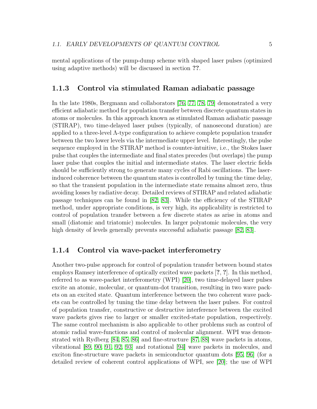mental applications of the pump-dump scheme with shaped laser pulses (optimized using adaptive methods) will be discussed in section ??.

### <span id="page-13-0"></span>1.1.3 Control via stimulated Raman adiabatic passage

In the late 1980s, Bergmann and collaborators [\[76,](#page-77-7) [77,](#page-77-8) [78,](#page-77-9) [79\]](#page-77-10) demonstrated a very efficient adiabatic method for population transfer between discrete quantum states in atoms or molecules. In this approach known as stimulated Raman adiabatic passage (STIRAP), two time-delayed laser pulses (typically, of nanosecond duration) are applied to a three-level Λ-type configuration to achieve complete population transfer between the two lower levels via the intermediate upper level. Interestingly, the pulse sequence employed in the STIRAP method is counter-intuitive, i.e., the Stokes laser pulse that couples the intermediate and final states precedes (but overlaps) the pump laser pulse that couples the initial and intermediate states. The laser electric fields should be sufficiently strong to generate many cycles of Rabi oscillations. The laserinduced coherence between the quantum states is controlled by tuning the time delay, so that the transient population in the intermediate state remains almost zero, thus avoiding losses by radiative decay. Detailed reviews of STIRAP and related adiabatic passage techniques can be found in [\[82,](#page-77-0) [83\]](#page-77-1). While the efficiency of the STIRAP method, under appropriate conditions, is very high, its applicability is restricted to control of population transfer between a few discrete states as arise in atoms and small (diatomic and triatomic) molecules. In larger polyatomic molecules, the very high density of levels generally prevents successful adiabatic passage [\[82,](#page-77-0) [83\]](#page-77-1).

### <span id="page-13-1"></span>1.1.4 Control via wave-packet interferometry

Another two-pulse approach for control of population transfer between bound states employs Ramsey interference of optically excited wave packets [?, ?]. In this method, referred to as wave-packet interferometry (WPI) [\[20\]](#page-74-5), two time-delayed laser pulses excite an atomic, molecular, or quantum-dot transition, resulting in two wave packets on an excited state. Quantum interference between the two coherent wave packets can be controlled by tuning the time delay between the laser pulses. For control of population transfer, constructive or destructive interference between the excited wave packets gives rise to larger or smaller excited-state population, respectively. The same control mechanism is also applicable to other problems such as control of atomic radial wave-functions and control of molecular alignment. WPI was demonstrated with Rydberg [\[84,](#page-77-11) [85,](#page-77-12) [86\]](#page-77-13) and fine-structure [\[87,](#page-78-3) [88\]](#page-78-4) wave packets in atoms, vibrational [\[89,](#page-78-5) [90,](#page-78-6) [91,](#page-78-7) [92,](#page-78-8) [93\]](#page-78-9) and rotational [\[94\]](#page-78-10) wave packets in molecules, and exciton fine-structure wave packets in semiconductor quantum dots [\[95,](#page-78-11) [96\]](#page-78-12) (for a detailed review of coherent control applications of WPI, see [\[20\]](#page-74-5); the use of WPI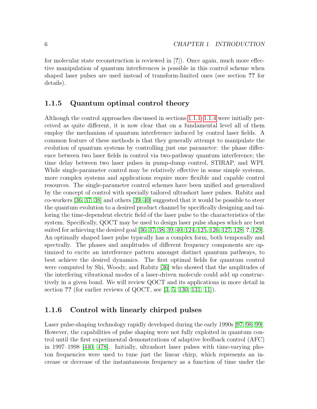for molecular state reconstruction is reviewed in [?]). Once again, much more effective manipulation of quantum interferences is possible in this control scheme when shaped laser pulses are used instead of transform-limited ones (see section ?? for details).

#### <span id="page-14-0"></span>1.1.5 Quantum optimal control theory

Although the control approaches discussed in sections [1.1.1–](#page-11-0)[1.1.4](#page-13-1) were initially perceived as quite different, it is now clear that on a fundamental level all of them employ the mechanism of quantum interference induced by control laser fields. A common feature of these methods is that they generally attempt to manipulate the evolution of quantum systems by controlling just one parameter: the phase difference between two laser fields in control via two-pathway quantum interference; the time delay between two laser pulses in pump-dump control, STIRAP, and WPI. While single-parameter control may be relatively effective in some simple systems, more complex systems and applications require more flexible and capable control resources. The single-parameter control schemes have been unified and generalized by the concept of control with specially tailored ultrashort laser pulses. Rabitz and co-workers [\[36,](#page-75-14) [37,](#page-75-15) [38\]](#page-75-16) and others [\[39,](#page-75-17) [40\]](#page-75-18) suggested that it would be possible to steer the quantum evolution to a desired product channel by specifically designing and tailoring the time-dependent electric field of the laser pulse to the characteristics of the system. Specifically, QOCT may be used to design laser pulse shapes which are best suited for achieving the desired goal [\[36,](#page-75-14) [37,](#page-75-15) [38,](#page-75-16) [39,](#page-75-17) [40,](#page-75-18) [124,](#page-80-4) [125,](#page-80-5) [126,](#page-80-6) [127,](#page-80-7) [128,](#page-80-8) ?, [129\]](#page-80-9). An optimally shaped laser pulse typically has a complex form, both temporally and spectrally. The phases and amplitudes of different frequency components are optimized to excite an interference pattern amongst distinct quantum pathways, to best achieve the desired dynamics. The first optimal fields for quantum control were computed by Shi, Woody, and Rabitz [\[36\]](#page-75-14) who showed that the amplitudes of the interfering vibrational modes of a laser-driven molecule could add up constructively in a given bond. We will review QOCT and its applications in more detail in section ?? (for earlier reviews of QOCT, see [\[3,](#page-73-2) [5,](#page-73-3) [130,](#page-80-0) [131,](#page-80-3) [11\]](#page-73-13)).

#### <span id="page-14-1"></span>1.1.6 Control with linearly chirped pulses

Laser pulse-shaping technology rapidly developed during the early 1990s [\[97,](#page-78-0) [98,](#page-78-1) [99\]](#page-78-2). However, the capabilities of pulse shaping were not fully exploited in quantum control until the first experimental demonstrations of adaptive feedback control (AFC) in 1997–1998 [\[440,](#page-97-0) [478\]](#page-99-0). Initially, ultrashort laser pulses with time-varying photon frequencies were used to tune just the linear chirp, which represents an increase or decrease of the instantaneous frequency as a function of time under the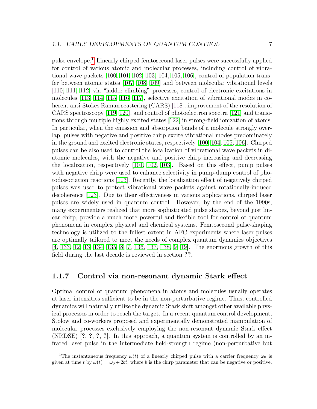pulse envelope.[1](#page-15-1) Linearly chirped femtosecond laser pulses were successfully applied for control of various atomic and molecular processes, including control of vibrational wave packets [\[100,](#page-78-13) [101,](#page-78-14) [102,](#page-79-0) [103,](#page-79-1) [104,](#page-79-2) [105,](#page-79-3) [106\]](#page-79-4), control of population transfer between atomic states [\[107,](#page-79-5) [108,](#page-79-6) [109\]](#page-79-7) and between molecular vibrational levels [\[110,](#page-79-8) [111,](#page-79-9) [112\]](#page-79-10) via "ladder-climbing" processes, control of electronic excitations in molecules [\[113,](#page-79-11) [114,](#page-79-12) [115,](#page-79-13) [116,](#page-79-14) [117\]](#page-80-10), selective excitation of vibrational modes in coherent anti-Stokes Raman scattering (CARS) [\[118\]](#page-80-11), improvement of the resolution of CARS spectroscopy [\[119,](#page-80-12) [120\]](#page-80-13), and control of photoelectron spectra [\[121\]](#page-80-14) and transitions through multiple highly excited states [\[122\]](#page-80-15) in strong-field ionization of atoms. In particular, when the emission and absorption bands of a molecule strongly overlap, pulses with negative and positive chirp excite vibrational modes predominately in the ground and excited electronic states, respectively [\[100,](#page-78-13) [104,](#page-79-2) [105,](#page-79-3) [106\]](#page-79-4). Chirped pulses can be also used to control the localization of vibrational wave packets in diatomic molecules, with the negative and positive chirp increasing and decreasing the localization, respectively [\[101,](#page-78-14) [102,](#page-79-0) [103\]](#page-79-1). Based on this effect, pump pulses with negative chirp were used to enhance selectivity in pump-dump control of photodissociation reactions [\[103\]](#page-79-1). Recently, the localization effect of negatively chirped pulses was used to protect vibrational wave packets against rotationally-induced decoherence [\[123\]](#page-80-16). Due to their effectiveness in various applications, chirped laser pulses are widely used in quantum control. However, by the end of the 1990s, many experimenters realized that more sophisticated pulse shapes, beyond just linear chirp, provide a much more powerful and flexible tool for control of quantum phenomena in complex physical and chemical systems. Femtosecond pulse-shaping technology is utilized to the fullest extent in AFC experiments where laser pulses are optimally tailored to meet the needs of complex quantum dynamics objectives [\[4,](#page-73-4) [133,](#page-80-1) [12,](#page-73-5) [13,](#page-73-6) [134,](#page-80-2) [135,](#page-81-2) [8,](#page-73-8) [7,](#page-73-9) [136,](#page-81-3) [137,](#page-81-4) [138,](#page-81-5) [9,](#page-73-12) [19\]](#page-74-4). The enormous growth of this field during the last decade is reviewed in section ??.

## <span id="page-15-0"></span>1.1.7 Control via non-resonant dynamic Stark effect

Optimal control of quantum phenomena in atoms and molecules usually operates at laser intensities sufficient to be in the non-perturbative regime. Thus, controlled dynamics will naturally utilize the dynamic Stark shift amongst other available physical processes in order to reach the target. In a recent quantum control development, Stolow and co-workers proposed and experimentally demonstrated manipulation of molecular processes exclusively employing the non-resonant dynamic Stark effect  $(NRDSE)$  [?, ?, ?, ?]. In this approach, a quantum system is controlled by an infrared laser pulse in the intermediate field-strength regime (non-perturbative but

<span id="page-15-1"></span><sup>&</sup>lt;sup>1</sup>The instantaneous frequency  $\omega(t)$  of a linearly chirped pulse with a carrier frequency  $\omega_0$  is given at time t by  $\omega(t) = \omega_0 + 2bt$ , where b is the chirp parameter that can be negative or positive.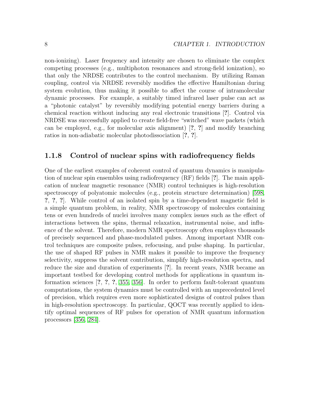non-ionizing). Laser frequency and intensity are chosen to eliminate the complex competing processes (e.g., multiphoton resonances and strong-field ionization), so that only the NRDSE contributes to the control mechanism. By utilizing Raman coupling, control via NRDSE reversibly modifies the effective Hamiltonian during system evolution, thus making it possible to affect the course of intramolecular dynamic processes. For example, a suitably timed infrared laser pulse can act as a "photonic catalyst" by reversibly modifying potential energy barriers during a chemical reaction without inducing any real electronic transitions [?]. Control via NRDSE was successfully applied to create field-free "switched" wave packets (which can be employed, e.g., for molecular axis alignment) [?, ?] and modify branching ratios in non-adiabatic molecular photodissociation [?, ?].

### <span id="page-16-0"></span>1.1.8 Control of nuclear spins with radiofrequency fields

One of the earliest examples of coherent control of quantum dynamics is manipulation of nuclear spin ensembles using radiofrequency (RF) fields [?]. The main application of nuclear magnetic resonance (NMR) control techniques is high-resolution spectroscopy of polyatomic molecules (e.g., protein structure determination) [\[598,](#page-106-0) ?, ?, ?]. While control of an isolated spin by a time-dependent magnetic field is a simple quantum problem, in reality, NMR spectroscopy of molecules containing tens or even hundreds of nuclei involves many complex issues such as the effect of interactions between the spins, thermal relaxation, instrumental noise, and influence of the solvent. Therefore, modern NMR spectroscopy often employs thousands of precisely sequenced and phase-modulated pulses. Among important NMR control techniques are composite pulses, refocusing, and pulse shaping. In particular, the use of shaped RF pulses in NMR makes it possible to improve the frequency selectivity, suppress the solvent contribution, simplify high-resolution spectra, and reduce the size and duration of experiments [?]. In recent years, NMR became an important testbed for developing control methods for applications in quantum information sciences [?, ?, ?, [355,](#page-92-0) [356\]](#page-92-1). In order to perform fault-tolerant quantum computations, the system dynamics must be controlled with an unprecedented level of precision, which requires even more sophisticated designs of control pulses than in high-resolution spectroscopy. In particular, QOCT was recently applied to identify optimal sequences of RF pulses for operation of NMR quantum information processors [\[356,](#page-92-1) [284\]](#page-88-0).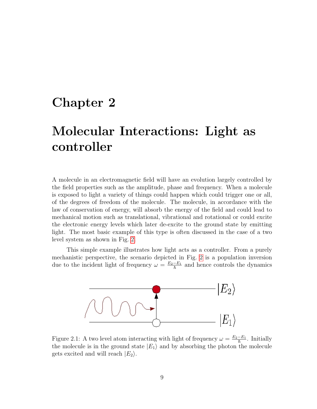## <span id="page-17-0"></span>Chapter 2

# Molecular Interactions: Light as controller

A molecule in an electromagnetic field will have an evolution largely controlled by the field properties such as the amplitude, phase and frequency. When a molecule is exposed to light a variety of things could happen which could trigger one or all, of the degrees of freedom of the molecule. The molecule, in accordance with the law of conservation of energy, will absorb the energy of the field and could lead to mechanical motion such as translational, vibrational and rotational or could excite the electronic energy levels which later de-excite to the ground state by emitting light. The most basic example of this type is often discussed in the case of a two level system as shown in Fig. [2.](#page-17-1)

This simple example illustrates how light acts as a controller. From a purely mechanistic perspective, the scenario depicted in Fig. [2](#page-17-1) is a population inversion due to the incident light of frequency  $\omega = \frac{E_2 - E_1}{\hbar}$  and hence controls the dynamics



<span id="page-17-1"></span>Figure 2.1: A two level atom interacting with light of frequency  $\omega = \frac{E_2 - E_1}{\hbar}$ . Initially the molecule is in the ground state  $|E_1\rangle$  and by absorbing the photon the molecule gets excited and will reach  $|E_2\rangle$ .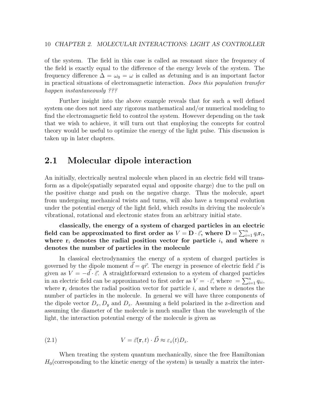of the system. The field in this case is called as resonant since the frequency of the field is exactly equal to the difference of the energy levels of the system. The frequency difference  $\Delta = \omega_0 = \omega$  is called as detuning and is an important factor in practical situations of electromagnetic interaction. Does this population transfer happen instantaneously ???

Further insight into the above example reveals that for such a well defined system one does not need any rigorous mathematical and/or numerical modeling to find the electromagnetic field to control the system. However depending on the task that we wish to achieve, it will turn out that employing the concepts for control theory would be useful to optimize the energy of the light pulse. This discussion is taken up in later chapters.

## <span id="page-18-0"></span>2.1 Molecular dipole interaction

An initially, electrically neutral molecule when placed in an electric field will transform as a dipole(spatially separated equal and opposite charge) due to the pull on the positive charge and push on the negative charge. Thus the molecule, apart from undergoing mechanical twists and turns, will also have a temporal evolution under the potential energy of the light field, which results in driving the molecule's vibrational, rotational and electronic states from an arbitrary initial state.

classically, the energy of a system of charged particles in an electric field can be approximated to first order as  $V = \mathbf{D} \cdot \vec{\varepsilon}$ , where  $\mathbf{D} = \sum_{i=1}^{n} q_i \mathbf{r}_i$ , where  $r_i$  denotes the radial position vector for particle i, and where n denotes the number of particles in the molecule

In classical electrodynamics the energy of a system of charged particles is governed by the dipole moment  $\vec{d} = q\vec{r}$ . The energy in presence of electric field  $\vec{\varepsilon}$  is given as  $V = -\vec{d} \cdot \vec{\varepsilon}$ . A straightforward extension to a system of charged particles in an electric field can be approximated to first order as  $V = \cdot \vec{\varepsilon}$ , where  $= \sum_{i=1}^{n} q_{ii}$ , where  $r_i$  denotes the radial position vector for particle i, and where n denotes the number of particles in the molecule. In general we will have three components of the dipole vector  $D_x, D_y$  and  $D_z$ . Assuming a field polarized in the z-direction and assuming the diameter of the molecule is much smaller than the wavelength of the light, the interaction potential energy of the molecule is given as

(2.1) 
$$
V = \vec{\varepsilon}(\mathbf{r}, t) \cdot \vec{D} \approx \varepsilon_z(t) D_z.
$$

When treating the system quantum mechanically, since the free Hamiltonian  $H_0$ (corresponding to the kinetic energy of the system) is usually a matrix the inter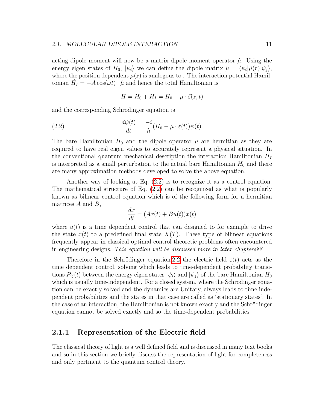acting dipole moment will now be a matrix dipole moment operator  $\hat{\mu}$ . Using the energy eigen states of  $H_0$ ,  $|\psi_i\rangle$  we can define the dipole matrix  $\hat{\mu} = \langle \psi_i | \hat{\mu}(r) | \psi_j \rangle$ , where the position dependent  $\mu(\mathbf{r})$  is analogous to . The interaction potential Hamiltonian  $\hat{H}_I = -A \cos(\omega t) \cdot \hat{\mu}$  and hence the total Hamiltonian is

<span id="page-19-1"></span>
$$
H = H_0 + H_I = H_0 + \mu \cdot \vec{\varepsilon}(\mathbf{r}, t)
$$

and the corresponding Schrödinger equation is

(2.2) 
$$
\frac{d\psi(t)}{dt} = \frac{-i}{\hbar}(H_0 - \mu \cdot \varepsilon(t))\psi(t).
$$

The bare Hamiltonian  $H_0$  and the dipole operator  $\mu$  are hermitian as they are required to have real eigen values to accurately represent a physical situation. In the conventional quantum mechanical description the interaction Hamiltonian  $H_I$ is interpreted as a small perturbation to the actual bare Hamiltonian  $H_0$  and there are many approximation methods developed to solve the above equation.

Another way of looking at Eq. [\(2.2\)](#page-19-1) is to recognize it as a control equation. The mathematical structure of Eq. [\(2.2\)](#page-19-1) can be recognized as what is popularly known as bilinear control equation which is of the following form for a hermitian matrices  $A$  and  $B$ ,

<span id="page-19-2"></span>
$$
\frac{dx}{dt} = (Ax(t) + Bu(t))x(t)
$$

where  $u(t)$  is a time dependent control that can designed to for example to drive the state  $x(t)$  to a predefined final state  $X(T)$ . These type of bilinear equations frequently appear in classical optimal control theoretic problems often encountered in engineering designs. This equation will be discussed more in later chapters??

Therefore in the Schrödinger equation[.2.2](#page-19-1) the electric field  $\varepsilon(t)$  acts as the time dependent control, solving which leads to time-dependent probability transitions  $P_{ij}(t)$  between the energy eigen states  $|\psi_i\rangle$  and  $|\psi_j\rangle$  of the bare Hamiltonian  $H_0$ which is usually time-independent. For a closed system, where the Schrödinger equation can be exactly solved and the dynamics are Unitary, always leads to time independent probabilities and the states in that case are called as 'stationary states'. In the case of an interaction, the Hamiltonian is not known exactly and the Schrödinger equation cannot be solved exactly and so the time-dependent probabilities.

### <span id="page-19-0"></span>2.1.1 Representation of the Electric field

The classical theory of light is a well defined field and is discussed in many text books and so in this section we briefly discuss the representation of light for completeness and only pertinent to the quantum control theory.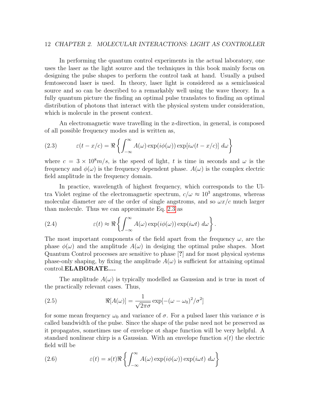In performing the quantum control experiments in the actual laboratory, one uses the laser as the light source and the techniques in this book mainly focus on designing the pulse shapes to perform the control task at hand. Usually a pulsed femtosecond laser is used. In theory, laser light is considered as a semiclassical source and so can be described to a remarkably well using the wave theory. In a fully quantum picture the finding an optimal pulse translates to finding an optimal distribution of photons that interact with the physical system under consideration, which is molecule in the present context.

An electromagnetic wave travelling in the z-direction, in general, is composed of all possible frequency modes and is written as,

(2.3) 
$$
\varepsilon(t - x/c) = \Re \left\{ \int_{-\infty}^{\infty} A(\omega) \exp(i\phi(\omega)) \exp[i\omega(t - x/c)] d\omega \right\}
$$

where  $c = 3 \times 10^8 m/s$ , is the speed of light, t is time in seconds and  $\omega$  is the frequency and  $\phi(\omega)$  is the frequency dependent phase.  $A(\omega)$  is the complex electric field amplitude in the frequency domain.

In practice, wavelength of highest frequency, which corresponds to the Ultra Violet regime of the electromagnetic spectrum,  $c/\omega \approx 10^3$  angstroms, whereas molecular diameter are of the order of single angstroms, and so  $\omega x/c$  much larger than molecule. Thus we can approximate Eq. [2.3](#page-19-2) as

(2.4) 
$$
\varepsilon(t) \approx \Re\left\{ \int_{-\infty}^{\infty} A(\omega) \exp(i\phi(\omega)) \exp(i\omega t) d\omega \right\}.
$$

The most important components of the field apart from the frequency  $\omega$ , are the phase  $\phi(\omega)$  and the amplitude  $A(\omega)$  in desiging the optimal pulse shapes. Most Quantum Control processes are sensitive to phase [?] and for most physical systems phase-only shaping, by fixing the amplitude  $A(\omega)$  is sufficient for attaining optimal control.ELABORATE....

The amplitude  $A(\omega)$  is typically modelled as Gaussian and is true in most of the practically relevant cases. Thus,

(2.5) 
$$
\Re[A(\omega)] = \frac{1}{\sqrt{2\pi\sigma}} \exp[-(\omega - \omega_0)^2/\sigma^2]
$$

for some mean frequency  $\omega_0$  and variance of  $\sigma$ . For a pulsed laser this variance  $\sigma$  is called bandwidth of the pulse. Since the shape of the pulse need not be preserved as it propagates, sometimes use of envelope ot shape function will be very helpful. A standard nonlinear chirp is a Gaussian. With an envelope function  $s(t)$  the electric field will be

(2.6) 
$$
\varepsilon(t) = s(t)\Re\left\{\int_{-\infty}^{\infty} A(\omega) \exp(i\phi(\omega)) \exp(i\omega t) d\omega\right\}
$$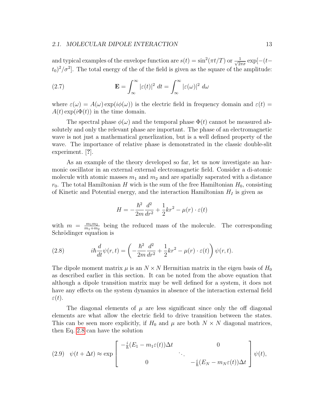#### 2.1. MOLECULAR DIPOLE INTERACTION 13

and typical examples of the envelope function are  $s(t) = \sin^2(\pi t/T)$  or  $\frac{1}{\sqrt{2}}$  $\frac{1}{2\pi\sigma}$  exp[-(t- $(t_0)^2/\sigma^2$ . The total energy of the of the field is given as the square of the amplitude:

(2.7) 
$$
\mathbf{E} = \int_{\infty}^{\infty} |\varepsilon(t)|^2 dt = \int_{\infty}^{\infty} |\varepsilon(\omega)|^2 d\omega
$$

where  $\varepsilon(\omega) = A(\omega) \exp(i\phi(\omega))$  is the electric field in frequency domain and  $\varepsilon(t) =$  $A(t) \exp(i\Phi(t))$  in the time domain.

The spectral phase  $\phi(\omega)$  and the temporal phase  $\Phi(t)$  cannot be measured absolutely and only the relevant phase are important. The phase of an electromagnetic wave is not just a mathematical generlization, but is a well defined property of the wave. The importance of relative phase is demonstrated in the classic double-slit experiment. [?].

As an example of the theory developed so far, let us now investigate an harmonic oscillator in an external external electromagnetic field. Consider a di-atomic molecule with atomic masses  $m_1$  and  $m_2$  and are spatially saperated with a distance  $r_0$ . The total Hamiltonian H wich is the sum of the free Hamiltonian  $H_0$ , consisting of Kinetic and Potential energy, and the interaction Hamiltonian  $H_I$  is given as

$$
H=-\frac{\hbar^2}{2m}\frac{d^2}{dr^2}+\frac{1}{2}kr^2-\mu(r)\cdot\varepsilon(t)
$$

with  $m = \frac{m_1 m_2}{m_1 + m_2}$  $\frac{m_1m_2}{m_1+m_2}$  being the reduced mass of the molecule. The corresponding Schrödinger equation is

<span id="page-21-0"></span>(2.8) 
$$
i\hbar \frac{d}{dt}\psi(r,t) = \left(-\frac{\hbar^2}{2m}\frac{d^2}{dr^2} + \frac{1}{2}kr^2 - \mu(r)\cdot \varepsilon(t)\right)\psi(r,t).
$$

The dipole moment matrix  $\mu$  is an  $N \times N$  Hermitian matrix in the eigen basis of  $H_0$ as described earlier in this section. It can be noted from the above equation that although a dipole transition matrix may be well defined for a system, it does not have any effects on the system dynamics in absence of the interaction external field  $\varepsilon(t).$ 

The diagonal elements of  $\mu$  are less significant since only the off diagonal elements are what allow the electric field to drive transition between the states. This can be seen more explicitly, if  $H_0$  and  $\mu$  are both  $N \times N$  diagonal matrices, then Eq. [2.8](#page-21-0) can have the solution

<span id="page-21-1"></span>(2.9) 
$$
\psi(t + \Delta t) \approx \exp \left[ \begin{array}{ccc} -\frac{i}{\hbar}(E_1 - m_1 \varepsilon(t))\Delta t & 0 \\ 0 & -\frac{i}{\hbar}(E_N - m_N \varepsilon(t))\Delta t \end{array} \right] \psi(t),
$$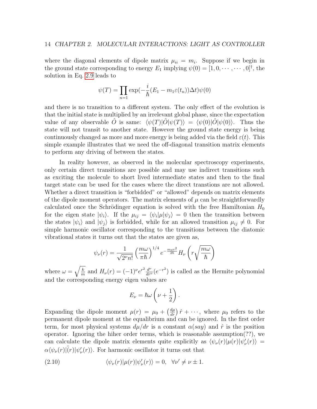where the diagonal elements of dipole matrix  $\mu_{ii} = m_i$ . Suppose if we begin in the ground state corresponding to energy  $E_1$  implying  $\psi(0) = [1, 0, \cdots, \cdots, 0]^{\dagger}$ , the solution in Eq. [2.9](#page-21-1) leads to

$$
\psi(T) = \prod_{n=1} \exp(-\frac{i}{\hbar}(E_1 - m_1 \varepsilon(t_n)) \Delta t) \psi(0)
$$

and there is no transition to a different system. The only effect of the evolution is that the initial state is multiplied by an irrelevant global phase, since the expectation value of any observable  $\hat{O}$  is same:  $\langle \psi(T)|\hat{O}|\psi(T)\rangle = \langle \psi(0)|\hat{O}|\psi(0)\rangle$ . Thus the state will not transit to another state. However the ground state energy is being continuously changed as more and more energy is being added via the field  $\varepsilon(t)$ . This simple example illustrates that we need the off-diagonal transition matrix elements to perform any driving of between the states.

In reality however, as observed in the molecular spectroscopy experiments, only certain direct transitions are possible and may use indirect transitions such as exciting the molecule to short lived intermediate states and then to the final target state can be used for the cases where the direct transtions are not allowed. Whether a direct transition is "forbidded" or "allowed" depends on matrix elements of the dipole moment operators. The matrix elements of  $\mu$  can be straightforwardly calculated once the Schrödinger equation is solved with the free Hamiltonian  $H_0$ for the eigen state  $|\psi_i\rangle$ . If the  $\mu_{ij} = \langle \psi_i | \mu | \psi_j \rangle = 0$  then the transition between the states  $|\psi_i\rangle$  and  $|\psi_j\rangle$  is forbidded, while for an allowed transition  $\mu_{ij} \neq 0$ . For simple harmonic oscillator corresponding to the transitions between the diatomic vibrational states it turns out that the states are given as,

$$
\psi_{\nu}(r) = \frac{1}{\sqrt{2^{\nu}n!}} \left(\frac{m\omega}{\pi\hbar}\right)^{1/4} e^{-\frac{m\omega r^2}{2\hbar}} H_{\nu}\left(r\sqrt{\frac{m\omega}{\hbar}}\right)
$$

where  $\omega = \sqrt{\frac{k}{m}}$  $\frac{k}{m}$  and  $H_{\nu}(r) = (-1)^{\nu} e^{r^2} \frac{d^{\nu}}{dr^{\nu}} (e^{-r^2})$  is called as the Hermite polynomial and the corresponding energy eigen values are

$$
E_{\nu} = \hbar \omega \left( \nu + \frac{1}{2} \right).
$$

Expanding the dipole moment  $\mu(r) = \mu_0 + \left(\frac{d\mu}{dr}\right)\hat{r} + \cdots$ , where  $\mu_0$  refers to the permanent dipole moment at the equalibrium and can be ignored. In the first order term, for most physical systems  $d\mu/dr$  is a constant  $\alpha(say)$  and  $\hat{r}$  is the position operator. Ignoring the hiher order terms, which is reasonable assumption(??), we can calculate the dipole matrix elements quite explicitly as  $\langle \psi_\nu(r) | \mu(r) | \psi'_\nu(r) \rangle =$  $\alpha \langle \psi_{\nu}(r) | (r) | \psi_{\nu}'(r) \rangle$ . For harmonic oscillator it turns out that

<span id="page-22-0"></span>(2.10) 
$$
\langle \psi_{\nu}(r)|\mu(r)|\psi_{\nu}'(r)\rangle = 0, \quad \forall \nu' \neq \nu \pm 1.
$$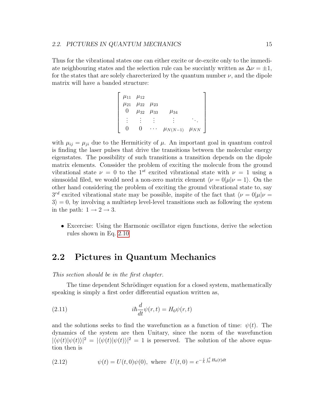Thus for the vibrational states one can either excite or de-excite only to the immediate neighbouring states and the selection rule can be succintly written as  $\Delta \nu = \pm 1$ , for the states that are solely charecterized by the quantum number  $\nu$ , and the dipole matrix will have a banded structure:

$$
\begin{bmatrix}\n\mu_{11} & \mu_{12} & & & & \\
\mu_{21} & \mu_{22} & \mu_{23} & & & \\
0 & \mu_{32} & \mu_{33} & \mu_{34} & & \\
\vdots & \vdots & \vdots & \vdots & \ddots & \\
0 & 0 & \cdots & \mu_{N(N-1)} & \mu_{NN}\n\end{bmatrix}
$$

with  $\mu_{ij} = \mu_{ji}$  due to the Hermiticity of  $\mu$ . An important goal in quantum control is finding the laser pulses that drive the transitions between the molecular energy eigenstates. The possibility of such transitions a transition depends on the dipole matrix elements. Conssider the problem of exciting the molecule from the ground vibrational state  $\nu = 0$  to the 1<sup>st</sup> excited vibrational state with  $\nu = 1$  using a sinusoidal filed, we would need a non-zero matrix element  $\langle \nu = 0 | \mu | \nu = 1 \rangle$ . On the other hand considering the problem of exciting the ground vibrational state to, say  $3^{rd}$  excited vibrational state may be possible, inspite of the fact that  $\langle \nu = 0 | \mu | \nu =$  $3\rangle = 0$ , by involving a multistep level-level transitions such as following the system in the path:  $1 \rightarrow 2 \rightarrow 3$ .

• Excercise: Using the Harmonic oscillator eigen functions, derive the selection rules shown in Eq. [2.10](#page-22-0)

## <span id="page-23-0"></span>2.2 Pictures in Quantum Mechanics

This section should be in the first chapter.

The time dependent Schrödinger equation for a closed system, mathematically speaking is simply a first order differential equation written as,

(2.11) 
$$
i\hbar \frac{d}{dt}\psi(r,t) = H_0\psi(r,t)
$$

and the solutions seeks to find the wavefunction as a function of time:  $\psi(t)$ . The dynamics of the system are then Unitary, since the norm of the wavefunction  $|\langle \psi(t)|\psi(t)\rangle|^2 = |\langle \psi(t)|\psi(t)\rangle|^2 = 1$  is preserved. The solution of the above equation then is

 $\ddot{\phantom{0}}$ 

(2.12) 
$$
\psi(t) = U(t,0)\psi(0), \text{ where } U(t,0) = e^{-\frac{i}{\hbar}\int_0^t H_0(t)dt}
$$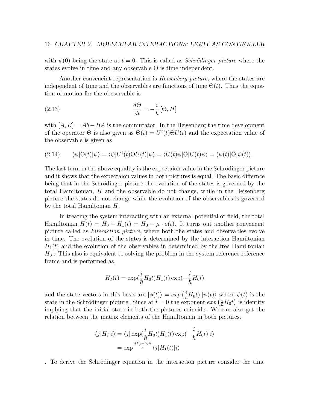with  $\psi(0)$  being the state at  $t = 0$ . This is called as *Schrödinger picture* where the states evolve in time and any observable  $\Theta$  is time independent.

Another conveneint representation is *Heisenberg picture*, where the states are independent of time and the observables are functions of time  $\Theta(t)$ . Thus the equation of motion for the obeservable is

(2.13) 
$$
\frac{d\Theta}{dt} = -\frac{i}{\hbar} [\Theta, H]
$$

with  $[A, B] = Ab - BA$  is the commutator. In the Heisenberg the time development of the operator  $\Theta$  is also given as  $\Theta(t) = U^{\dagger}(t)\Theta U(t)$  and the expectation value of the observable is given as

(2.14) 
$$
\langle \psi | \Theta(t) | \psi \rangle = \langle \psi | U^{\dagger}(t) \Theta U(t) | \psi \rangle = \langle U(t) \psi | \Theta | U(t) \psi \rangle = \langle \psi(t) | \Theta | \psi(t) \rangle.
$$

The last term in the above equality is the expectaion value in the Schrödinger picture and it shows that the expectaion values in both pictures is equal. The basic differnce being that in the Schrödinger picture the evolution of the states is governed by the total Hamiltonian,  $H$  and the observable do not change, while in the Heisenberg picture the states do not change while the evolution of the observables is governed by the total Hamiltonian H.

In treating the system interacting with an external potential or field, the total Hamiltonian  $H(t) = H_0 + H_1(t) = H_0 - \mu \cdot \varepsilon(t)$ . It turns out another conveneint picture called as Interaction picture, where both the states and observables evolve in time. The evolution of the states is determined by the interaction Hamiltonian  $H_1(t)$  and the evolution of the observables in determined by the free Hamiltonian  $H_0$ . This also is equivalent to solving the problem in the system reference reference frame and is performed as,

$$
H_I(t) = \exp(\frac{i}{\hbar}H_0t)H_1(t)\exp(-\frac{i}{\hbar}H_0t)
$$

and the state vectors in this basis are  $|\phi(t)\rangle = exp\left(\frac{i}{\hbar}H_0t\right)|\psi(t)\rangle$  where  $\psi(t)$  is the state in the Schrödinger picture. Since at  $t=0$  the exponent  $exp\left(\frac{i}{\hbar}H_0t\right)$  is identity implying that the initial state in both the pictures coincide. We can also get the relation between the matrix elements of the Hamiltonian in both pictures.

$$
\langle j|H_I|i\rangle = \langle j|\exp(\frac{i}{\hbar}H_0t)H_1(t)\exp(-\frac{i}{\hbar}H_0t)|i\rangle
$$

$$
=\exp^{\frac{i(E_j-E_i)t}{\hbar}}\langle j|H_1(t)|i\rangle
$$

. To derive the Schrödinger equation in the interaction picture consider the time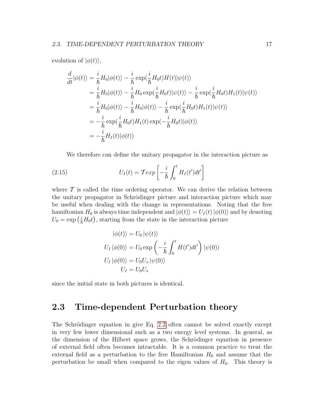evolution of  $|\phi(t)\rangle$ ,

$$
\frac{d}{dt}|\phi(t)\rangle = \frac{i}{\hbar}H_0|\phi(t)\rangle - \frac{i}{\hbar}\exp(\frac{i}{\hbar}H_0t)H(t)|\psi(t)\rangle
$$
\n
$$
= \frac{i}{\hbar}H_0|\phi(t)\rangle - \frac{i}{\hbar}H_0\exp(\frac{i}{\hbar}H_0t)|\psi(t)\rangle - \frac{i}{\hbar}\exp(\frac{i}{\hbar}H_0t)H_1(t)|\psi(t)\rangle
$$
\n
$$
= \frac{i}{\hbar}H_0|\phi(t)\rangle - \frac{i}{\hbar}H_0|\phi(t)\rangle - \frac{i}{\hbar}\exp(\frac{i}{\hbar}H_0t)H_1(t)|\psi(t)\rangle
$$
\n
$$
= -\frac{i}{\hbar}\exp(\frac{i}{\hbar}H_0t)H_1(t)\exp(-\frac{i}{\hbar}H_0t)|\phi(t)\rangle
$$
\n
$$
= -\frac{i}{\hbar}H_1(t)|\phi(t)\rangle
$$

<span id="page-25-1"></span>We therefore can define the unitary propagator in the interaction picture as

(2.15) 
$$
U_I(t) = \mathcal{T} \exp\left[-\frac{i}{\hbar} \int_0^t H_I(t')dt'\right]
$$

where  $\mathcal T$  is called the time ordering operator. We can derive the relation between the unitary propagator in Schrödinger picture and interaction picture which may be useful when dealing with the change in representations. Noting that the free hamiltonian  $H_0$  is always time independent and  $|\phi(t)\rangle = U_I(t)|\phi(0)\rangle$  and by denoting  $U_0 = \exp\left(\frac{i}{\hbar}H_0t\right)$ , starting from the state in the interaction picture

$$
\begin{aligned} |\phi(t)\rangle &= U_0 \, |\psi(t)\rangle \\ U_I \, |\phi(0)\rangle &= U_0 \exp\left(-\frac{i}{\hbar} \int_0^t H(t')dt'\right) |\psi(0)\rangle \\ U_I \, |\phi(0)\rangle &= U_0 U_s \, |\psi(0)\rangle \\ U_I &= U_0 U_s \end{aligned}
$$

since the initial state in both pictures is identical.

## <span id="page-25-0"></span>2.3 Time-dependent Perturbation theory

The Schrödinger equation in give Eq. [2.2](#page-19-1) often cannot be solved exactly except in very few lower dimensional such as a two energy level systems. In general, as the dimension of the Hilbert space grows, the Schrödinger equation in presence of external field often becomes intractable. It is a common practice to treat the external field as a perturbation to the free Hamiltonian  $H_0$  and assume that the perturbation be small when compared to the eigen values of  $H_0$ . This theory is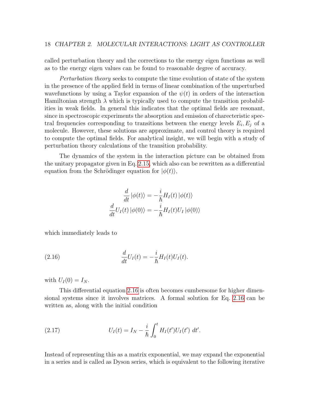called perturbation theory and the corrections to the energy eigen functions as well as to the energy eigen values can be found to reasonable degree of accuracy.

Perturbation theory seeks to compute the time evolution of state of the system in the presence of the applied field in terms of linear combination of the unperturbed wavefunctions by using a Taylor expansion of the  $\psi(t)$  in orders of the interaction Hamiltonian strength  $\lambda$  which is typically used to compute the transition probabilities in weak fields. In general this indicates that the optimal fields are resonant, since in spectroscopic experiments the absorption and emission of charecteristic spectral frequencies corresponding to transitions between the energy levels  $E_i, E_j$  of a molecule. However, these solutions are approximate, and control theory is required to compute the optimal fields. For analytical insight, we will begin with a study of perturbation theory calculations of the transition probability.

The dynamics of the system in the interaction picture can be obtained from the unitary propagator given in Eq. [2.15,](#page-25-1) which also can be rewritten as a differential equation from the Schrödinger equation for  $|\phi(t)\rangle$ ,

<span id="page-26-0"></span>
$$
\frac{d}{dt} |\phi(t)\rangle = -\frac{i}{\hbar} H_I(t) |\phi(t)\rangle
$$

$$
\frac{d}{dt} U_I(t) |\phi(0)\rangle = -\frac{i}{\hbar} H_I(t) U_I |\phi(0)\rangle
$$

which immediately leads to

(2.16) 
$$
\frac{d}{dt}U_I(t) = -\frac{i}{\hbar}H_I(t)U_I(t).
$$

with  $U_I(0) = I_N$ .

This differential equation [2.16](#page-26-0) is often becomes cumbersome for higher dimensional systems since it involves matrices. A formal solution for Eq. [2.16](#page-26-0) can be written as, along with the initial condition

(2.17) 
$$
U_I(t) = I_N - \frac{i}{\hbar} \int_0^t H_I(t') U_I(t') dt'.
$$

Instead of representing this as a matrix exponential, we may expand the exponential in a series and is called as Dyson series, which is equivalent to the following iterative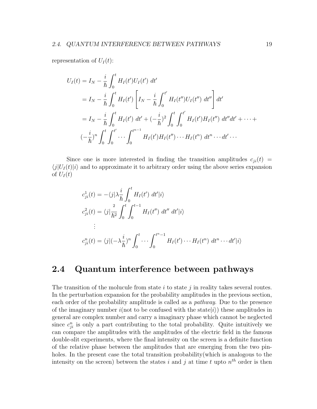representation of  $U_I(t)$ :

$$
U_{I}(t) = I_{N} - \frac{i}{\hbar} \int_{0}^{t} H_{I}(t')U_{I}(t') dt'
$$
  
\n
$$
= I_{N} - \frac{i}{\hbar} \int_{0}^{t} H_{I}(t') \left[ I_{N} - \frac{i}{\hbar} \int_{0}^{t'} H_{I}(t'')U_{I}(t'') dt'' \right] dt'
$$
  
\n
$$
= I_{N} - \frac{i}{\hbar} \int_{0}^{t} H_{I}(t') dt' + (-\frac{i}{\hbar})^{2} \int_{0}^{t'} \int_{0}^{t'} H_{I}(t')H_{I}(t'') dt'' dt' + \cdots + (-\frac{i}{\hbar})^{n} \int_{0}^{t'} \int_{0}^{t'' - 1} H_{I}(t')H_{I}(t'') \cdots H_{I}(t^{n}) dt^{n} \cdots dt' \cdots
$$

Since one is more interested in finding the transition amplitudes  $c_{ji}(t)$  =  $\langle j|U_I(t)|i\rangle$  and to approximate it to arbitrary order using the above series expansion of  $U_I(t)$ 

$$
c_{ji}^1(t) = -\langle j | \lambda \frac{i}{\hbar} \int_0^t H_I(t') dt' | i \rangle
$$
  
\n
$$
c_{ji}^2(t) = \langle j | \frac{2}{\hbar^2} \int_0^t \int_0^{t-1} H_I(t'') dt'' dt' | i \rangle
$$
  
\n
$$
\vdots
$$
  
\n
$$
c_{ji}^n(t) = \langle j | (-\lambda \frac{i}{\hbar})^n \int_0^t \cdots \int_0^{t^n - 1} H_I(t') \cdots H_I(t^n) dt^n \cdots dt' | i \rangle
$$

## <span id="page-27-0"></span>2.4 Quantum interference between pathways

The transition of the molucule from state  $i$  to state  $j$  in reality takes several routes. In the perturbation expansion for the probability amplitudes in the previous section, each order of the probability amplitude is called as a pathway. Due to the presence of the imaginary number i(not to be confused with the state  $|i\rangle$ ) these amplitudes in general are complex number and carry a imaginary phase which cannot be neglected since  $c_{ji}^n$  is only a part contributing to the total probability. Quite intuitively we can compare the amplitudes with the amplitudes of the electric field in the famous double-slit experiments, where the final intensity on the screen is a definite function of the relative phase between the amplitudes that are emerging from the two pinholes. In the present case the total transition probability(which is analogous to the intensity on the screen) between the states i and j at time t upto  $n^{th}$  order is then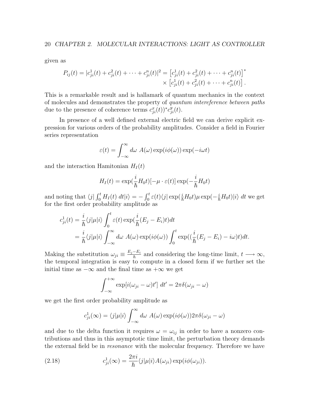given as

$$
P_{ij}(t) = |c_{ji}^1(t) + c_{ji}^2(t) + \dots + c_{ji}^n(t)|^2 = [c_{ji}^1(t) + c_{ji}^2(t) + \dots + c_{ji}^n(t)]^*
$$
  
 
$$
\times [c_{ji}^1(t) + c_{ji}^2(t) + \dots + c_{ji}^n(t)].
$$

This is a remarkable result and is hallamark of quantum mechanics in the context of molecules and demonstrates the property of quantum intereference between paths due to the presence of coherence terms  $c_{ji}^x(t)$ <sup>\*</sup> $c_{ji}^y(t)$ .

In presence of a well defined external electric field we can derive explicit expression for various orders of the probability amplitudes. Consider a field in Fourier series representation

$$
\varepsilon(t) = \int_{-\infty}^{\infty} d\omega \, A(\omega) \exp(i\phi(\omega)) \exp(-i\omega t)
$$

and the interaction Hamitonian  $H_I(t)$ 

$$
H_I(t) = \exp(\frac{i}{\hbar}H_0t)[-\mu \cdot \varepsilon(t)] \exp(-\frac{i}{\hbar}H_0t)
$$

and noting that  $\langle j | \int_0^t H_I(t) dt | i \rangle = - \int_0^t \varepsilon(t) \langle j | \exp(\frac{i}{\hbar} H_0 t) \mu \exp(-\frac{i}{\hbar} H_0 t) | i \rangle dt$  we get for the first order probability amplitude as

$$
c_{ji}^1(t) = \frac{i}{\hbar} \langle j|\mu|i\rangle \int_0^t \varepsilon(t) \exp(\frac{i}{\hbar}(E_j - E_i)t) dt
$$
  
=  $\frac{i}{\hbar} \langle j|\mu|i\rangle \int_{-\infty}^{\infty} d\omega A(\omega) \exp(i\phi(\omega)) \int_0^t \exp((\frac{i}{\hbar}(E_j - E_i) - i\omega)t) dt.$ 

Making the substitution  $\omega_{ji} \equiv \frac{E_j - E_i}{\hbar}$  and considering the long-time limit,  $t \longrightarrow \infty$ , the temporal integration is easy to compute in a closed form if we further set the initial time as  $-\infty$  and the final time as  $+\infty$  we get

$$
\int_{-\infty}^{+\infty} \exp[i(\omega_{ji} - \omega)t'] dt' = 2\pi \delta(\omega_{ji} - \omega)
$$

we get the first order probability amplitude as

$$
c_{ji}^{1}(\infty) = \langle j|\mu|i\rangle \int_{-\infty}^{\infty} d\omega \, A(\omega) \exp(i\phi(\omega)) 2\pi \delta(\omega_{ji} - \omega)
$$

and due to the delta function it requires  $\omega = \omega_{ij}$  in order to have a nonzero contributions and thus in this asymptotic time limit, the perturbation theory demands the external field be in resonance with the molecular frequency. Therefore we have

(2.18) 
$$
c_{ji}^{1}(\infty) = \frac{2\pi i}{\hbar} \langle j|\mu|i\rangle A(\omega_{ji}) \exp(i\phi(\omega_{ji})).
$$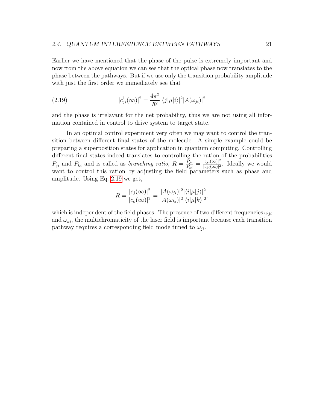Earlier we have mentioned that the phase of the pulse is extremely important and now from the above equation we can see that the optical phase now translates to the phase between the pathways. But if we use only the transition probability amplitude with just the first order we immediately see that

<span id="page-29-0"></span>(2.19) 
$$
|c_{ji}^{1}(\infty)|^{2} = \frac{4\pi^{2}}{\hbar^{2}} |\langle j|\mu|i\rangle|^{2} |A(\omega_{ji})|^{2}
$$

and the phase is irrelavant for the net probability, thus we are not using all information contained in control to drive system to target state.

In an optimal control experiment very often we may want to control the transition between different final states of the molecule. A simple example could be preparing a superposition states for application in quantum computing. Controlling different final states indeed translates to controlling the ration of the probabilities  $P_{ji}$  and  $P_{ki}$  and is called as *branching ratio*,  $R = \frac{P_{ji}}{P_{ki}}$  $\frac{\bar{P}_{ji}}{P_{ki}} = \frac{|c_{ji}(\infty)|^2}{|c_{ki}(\infty)|^2}$  $\frac{|c_{ji}(\infty)|^2}{|c_{ki}(\infty)|^2}$ . Ideally we would want to control this ration by adjusting the field parameters such as phase and amplitude. Using Eq. [2.19](#page-29-0) we get,

$$
R = \frac{|c_j(\infty)|^2}{|c_k(\infty)|^2} = \frac{|A(\omega_{ji})|^2 |\langle i|\mu|j\rangle|^2}{|A(\omega_{ki})|^2 |\langle i|\mu|k\rangle|^2}.
$$

which is independent of the field phases. The presence of two different frequencies  $\omega_{ji}$ and  $\omega_{ki}$ , the multichromaticity of the laser field is important because each transition pathway requires a corresponding field mode tuned to  $\omega_{ji}$ .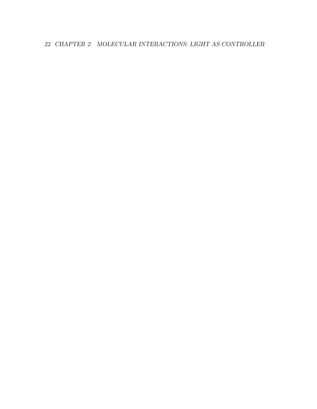CHAPTER 2. MOLECULAR INTERACTIONS: LIGHT AS CONTROLLER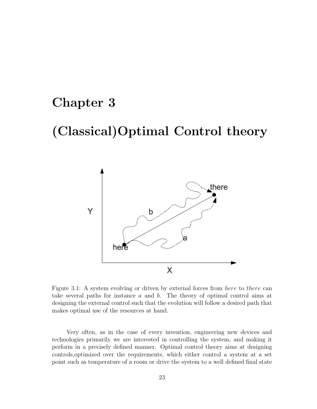## <span id="page-31-0"></span>Chapter 3

# (Classical)Optimal Control theory



Figure 3.1: A system evolving or driven by external forces from here to there can take several paths for instance a and b. The theory of optimal control aims at designing the external control such that the evolution will follow a desired path that makes optimal use of the resources at hand.

Very often, as in the case of every invention, engineering new devices and technologies primarily we are interested in controlling the system, and making it perform in a precisely defined manner. Optimal control theory aims at designing controls,optimized over the requirements, which either control a system at a set point such as temperature of a room or drive the system to a well defined final state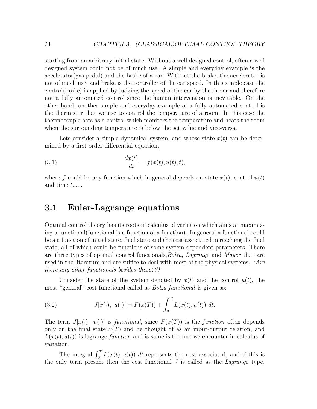starting from an arbitrary initial state. Without a well designed control, often a well designed system could not be of much use. A simple and everyday example is the accelerator(gas pedal) and the brake of a car. Without the brake, the accelerator is not of much use, and brake is the controller of the car speed. In this simple case the control(brake) is applied by judging the speed of the car by the driver and therefore not a fully automated control since the human intervention is inevitable. On the other hand, another simple and everyday example of a fully automated control is the thermistor that we use to control the temperature of a room. In this case the thermocouple acts as a control which monitors the temperature and heats the room when the surrounding temperature is below the set value and vice-versa.

Lets consider a simple dynamical system, and whose state  $x(t)$  can be determined by a first order differential equation,

(3.1) 
$$
\frac{dx(t)}{dt} = f(x(t), u(t), t),
$$

where f could be any function which in general depends on state  $x(t)$ , control  $u(t)$ and time t......

## <span id="page-32-0"></span>3.1 Euler-Lagrange equations

Optimal control theory has its roots in calculus of variation which aims at maximizing a functional(functional is a function of a function). In general a functional could be a a function of initial state, final state and the cost associated in reaching the final state, all of which could be functions of some system dependent parameters. There are three types of optimal control functionals, Bolza, Lagrange and Mayer that are used in the literature and are suffice to deal with most of the physical systems. (Are there any other functionals besides these??)

Consider the state of the system denoted by  $x(t)$  and the control  $u(t)$ , the most "general" cost functional called as Bolza functional is given as:

<span id="page-32-1"></span>(3.2) 
$$
J[x(\cdot), u(\cdot)] = F(x(T)) + \int_0^T L(x(t), u(t)) dt.
$$

The term  $J[x(\cdot), u(\cdot)]$  is functional, since  $F(x(T))$  is the function often depends only on the final state  $x(T)$  and be thought of as an input-output relation, and  $L(x(t), u(t))$  is lagrange function and is same is the one we encounter in calculus of variation.

The integral  $\int_0^T L(x(t), u(t)) dt$  represents the cost associated, and if this is the only term present then the cost functional  $J$  is called as the *Lagrange* type,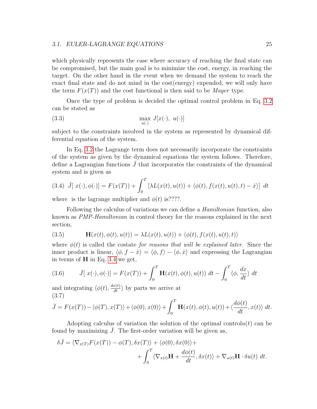#### 3.1. EULER-LAGRANGE EQUATIONS 25

which physically represents the case where accuracy of reaching the final state can be compromised, but the main goal is to minimize the cost, energy, in reaching the target. On the other hand in the event when we demand the system to reach the exact final state and do not mind in the cost(energy) expended, we will only have the term  $F(x(T))$  and the cost functional is then said to be *Mayer* type.

Once the type of problem is decided the optimal control problem in Eq. [3.2](#page-32-1) can be stated as

$$
\max_{u(\cdot)} J[x(\cdot), u(\cdot)]
$$

subject to the constraints involved in the system as represented by dynamical differential equation of the system.

In Eq. [3.2](#page-32-1) the Lagrange term does not necessarily incorporate the constraints of the system as given by the dynamical equations the system follows. Therefore, define a Lagrangian functions  $J$  that incorporates the constraints of the dynamical system and is given as

<span id="page-33-0"></span>
$$
(3.4) \ \ \bar{J}[\ x(\cdot), \phi(\cdot)] = F(x(T)) + \int_0^T \left[ \lambda L(x(t), u(t)) + \langle \phi(t), f(x(t), u(t), t) - \dot{x} \rangle \right] \ dt
$$

where is the lagrange multiplier and  $\phi(t)$  is????.

Following the calculus of variations we can define a *Hamiltonian* function, also known as PMP-Hamiltonian in control theory for the reasons explained in the next section,

(3.5) 
$$
\mathbf{H}(x(t), \phi(t), u(t)) = \lambda L(x(t), u(t)) + \langle \phi(t), f(x(t), u(t), t) \rangle
$$

where  $\phi(t)$  is called the costate for reasons that will be explained later. Since the inner product is linear,  $\langle \phi, f - \dot{x} \rangle = \langle \phi, f \rangle - \langle \phi, \dot{x} \rangle$  and expressing the Lagrangian in terms of  $H$  in Eq. [3.4](#page-33-0) we get,

(3.6) 
$$
\bar{J}[x(\cdot),\phi(\cdot)] = F(x(T)) + \int_0^T \mathbf{H}(x(t),\phi(t),u(t)) dt - \int_0^T \langle \phi, \frac{dx}{dt} \rangle dt
$$

and integrating  $\langle \phi(t), \frac{dx(t)}{dt} \rangle$  by parts we arrive at (3.7)

$$
\bar{J} = F(x(T)) - \langle \phi(T), x(T) \rangle + \langle \phi(0), x(0) \rangle + \int_0^T \mathbf{H}(x(t), \phi(t), u(t)) + \langle \frac{d\phi(t)}{dt}, x(t) \rangle dt.
$$

Adopting calculus of variation the solution of the optimal controlu $(t)$  can be found by maximizing  $J$ . The first-order variation will be given as,

$$
\delta \bar{J} = \langle \nabla_{x(T)} F(x(T)) - \phi(T), \delta x(T) \rangle + \langle \phi(0), \delta x(0) \rangle +
$$
  
+ 
$$
\int_0^T \langle \nabla_{x(t)} \mathbf{H} + \frac{d\phi(t)}{dt}, \delta x(t) \rangle + \nabla_{u(t)} \mathbf{H} \cdot \delta u(t) dt.
$$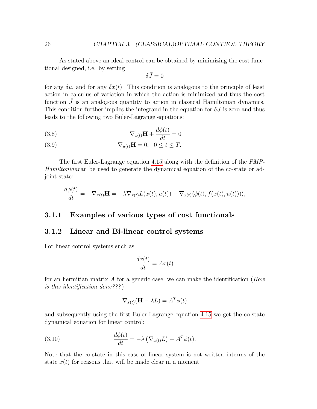As stated above an ideal control can be obtained by minimizing the cost functional designed, i.e. by setting

$$
\delta \bar J = 0
$$

for any  $\delta u$ , and for any  $\delta x(t)$ . This condition is analogous to the principle of least action in calculus of variation in which the action is minimized and thus the cost function  $\bar{J}$  is an analogous quantity to action in classical Hamiltonian dynamics. This condition further implies the integrand in the equation for  $\delta J$  is zero and thus leads to the following two Euler-Lagrange equations:

(3.8) 
$$
\nabla_{x(t)} \mathbf{H} + \frac{d\phi(t)}{dt} = 0
$$

(3.9) 
$$
\nabla_{u(t)} \mathbf{H} = 0, \quad 0 \le t \le T.
$$

The first Euler-Lagrange equation [4.15](#page-49-0) along with the definition of the PMP-Hamiltoniancan be used to generate the dynamical equation of the co-state or adjoint state:

$$
\frac{d\phi(t)}{dt} = -\nabla_{x(t)}\mathbf{H} = -\lambda \nabla_{x(t)}L(x(t), u(t)) - \nabla_{x(t)}\langle \phi(t), f(x(t), u(t)) \rangle,
$$

## <span id="page-34-0"></span>3.1.1 Examples of various types of cost functionals

### <span id="page-34-1"></span>3.1.2 Linear and Bi-linear control systems

For linear control systems such as

$$
\frac{dx(t)}{dt} = Ax(t)
$$

for an hermitian matrix A for a generic case, we can make the identification ( $How$ ) is this identification done???)

$$
\nabla_{x(t)}(\mathbf{H} - \lambda L) = A^T \phi(t)
$$

and subsequently using the first Euler-Lagrange equation [4.15](#page-49-0) we get the co-state dynamical equation for linear control:

(3.10) 
$$
\frac{d\phi(t)}{dt} = -\lambda \left( \nabla_{x(t)} L \right) - A^T \phi(t).
$$

Note that the co-state in this case of linear system is not written interms of the state  $x(t)$  for reasons that will be made clear in a moment.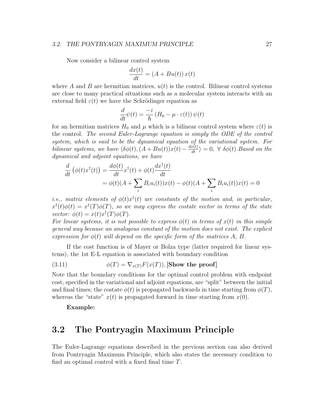#### 3.2. THE PONTRYAGIN MAXIMUM PRINCIPLE 27

Now consider a bilinear control system

$$
\frac{dx(t)}{dt} = (A + Bu(t))x(t)
$$

where A and B are hermitian matrices,  $u(t)$  is the control. Bilinear control systems are close to many practical situations such as a molecular system interacts with an external field  $\varepsilon(t)$  we have the Schrödinger equation as

$$
\frac{d}{dt}\psi(t) = \frac{-i}{\hbar} \left( H_0 - \mu \cdot \varepsilon(t) \right) \psi(t)
$$

for an hermitian matrices  $H_0$  and  $\mu$  which is a bilinear control system where  $\varepsilon(t)$  is the control. The second Euler-Lagrange equation is simply the ODE of the control system, which is said to be the dynamical equation of the variational system. For bilinear systems, we have  $\langle \delta \phi(t), (A + Bu(t))x(t) - \frac{dx(t)}{dt} \rangle = 0, \ \forall \ \delta \phi(t)$ . Based on the dynamical and adjoint equations, we have

$$
\frac{d}{dt}(\phi(t)x^{\dagger}(t)) = \frac{d\phi(t)}{dt}x^{\dagger}(t) + \phi(t)\frac{dx^{\dagger}(t)}{dt}
$$
\n
$$
= \phi(t)(A + \sum_{i} B_{i}u_{i}(t))x(t) - \phi(t)(A + \sum_{i} B_{i}u_{i}(t))x(t) = 0
$$

*i.e.*, matrix elements of  $\phi(t)x^{\dagger}(t)$  are constants of the motion and, in particular,  $x^{\dagger}(t)\phi(t) = x^{\dagger}(T)\phi(T)$ , so we may express the costate vector in terms of the state vector:  $\phi(t) = x(t)x^{\dagger}(T)\phi(T)$ .

For linear systems, it is not possible to express  $\phi(t)$  in terms of  $x(t)$  in this simple general way because an analogous constant of the motion does not exist. The explicit expression for  $\phi(t)$  will depend on the specific form of the matrices A, B.

If the cost function is of Mayer or Bolza type (latter required for linear systems), the 1st E-L equation is associated with boundary condition

(3.11) 
$$
\phi(T) = \nabla_{x(T)} F(x(T)), \text{[Show the proof]}
$$

Note that the boundary conditions for the optimal control problem with endpoint cost, specified in the variational and adjoint equations, are "split" between the initial and final times; the costate  $\phi(t)$  is propagated backwards in time starting from  $\phi(T)$ , whereas the "state"  $x(t)$  is propagated forward in time starting from  $x(0)$ .

Example:

## <span id="page-35-0"></span>3.2 The Pontryagin Maximum Principle

The Euler-Lagrange equations described in the previous section can also derived from Pontryagin Maximum Principle, which also states the necessary condition to find an optimal control with a fixed final time T.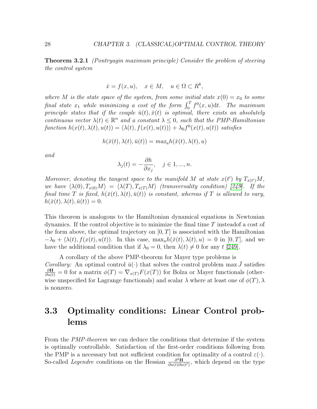Theorem 3.2.1 (Pontryagin maximum principle) Consider the problem of steering the control system

$$
\dot{x} = f(x, u), \quad x \in M, \quad u \in \Omega \subset R^k,
$$

where M is the state space of the system, from some initial state  $x(0) = x_0$  to some final state  $x_1$  while minimizing a cost of the form  $\int_0^T f^0(x, u) dt$ . The maximum principle states that if the couple  $\bar{u}(t)$ ,  $\bar{x}(t)$  is optimal, there exists an absolutely continuous vector  $\lambda(t) \in \mathbb{R}^n$  and a constant  $\lambda \leq 0$ , such that the PMP-Hamiltonian function  $h(x(t), \lambda(t), u(t)) = \langle \lambda(t), f(x(t), u(t)) \rangle + \lambda_0 f^0(x(t), u(t))$  satisfies

$$
h(\bar{x}(t),\lambda(t),\bar{u}(t)) = max_u h(\bar{x}(t),\lambda(t),u)
$$

and

$$
\lambda_j(t) = -\frac{\partial h}{\partial x_j}, \quad j \in 1, ..., n.
$$

Moreover, denoting the tangent space to the manifold M at state  $x(t')$  by  $T_{x(t')}M$ , we have  $\langle \lambda(0), T_{x(0)}M\rangle = \langle \lambda(T), T_{x(T)}M\rangle$  (transversality condition) [\[249\]](#page-86-0). If the final time T is fixed,  $h(\bar{x}(t), \lambda(t), \bar{u}(t))$  is constant, whereas if T is allowed to vary,  $h(\bar{x}(t), \lambda(t), \bar{u}(t)) = 0.$ 

This theorem is analogous to the Hamiltonian dynamical equations in Newtonian dynamics. If the control objective is to minimize the final time  $T$  instead of a cost of the form above, the optimal trajectory on  $[0, T]$  is associated with the Hamiltonian  $-\lambda_0 + \langle \lambda(t), f(x(t), u(t)) \rangle$ . In this case,  $\max_u h(\bar{x}(t), \lambda(t), u) = 0$  in [0, T], and we have the additional condition that if  $\lambda_0 = 0$ , then  $\lambda(t) \neq 0$  for any t [\[249\]](#page-86-0).

A corollary of the above PMP-theorem for Mayer type problems is Corollary: An optimal control  $\bar{u}(\cdot)$  that solves the control problem max J satisfies  $\frac{\partial \mathbf{H}}{\partial u(t)} = 0$  for a matrix  $\phi(T) = \nabla_{x(T)} F(x(T))$  for Bolza or Mayer functionals (otherwise unspecified for Lagrange functionals) and scalar  $\lambda$  where at least one of  $\phi(T)$ ,  $\lambda$ is nonzero.

# 3.3 Optimality conditions: Linear Control problems

From the *PMP-theorem* we can deduce the conditions that determine if the system is optimally controllable. Satisfaction of the first-order conditions following from the PMP is a necessary but not sufficient condition for optimality of a control  $\varepsilon(\cdot)$ . So-called *Legendre* conditions on the Hessian  $\frac{\partial^2 \mathbf{H}}{\partial w(t) \partial w}$  $\frac{\partial^2 \mathbf{H}}{\partial u(t) \partial u(t')}$ , which depend on the type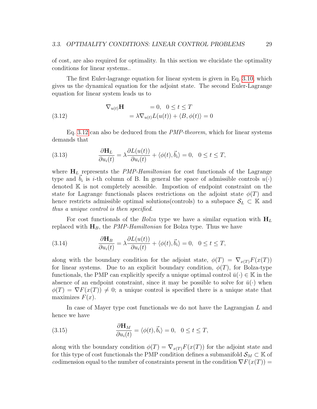of cost, are also required for optimality. In this section we elucidate the optimality conditions for linear systems..

The first Euler-lagrange equation for linear system is given in Eq. [3.10,](#page-34-0) which gives us the dynamical equation for the adjoint state. The second Euler-Lagrange equation for linear system leads us to

<span id="page-37-0"></span>(3.12) 
$$
\nabla_{u(t)} \mathbf{H} = 0, \quad 0 \le t \le T
$$

$$
= \lambda \nabla_{u(t)} L(u(t)) + \langle B, \phi(t) \rangle = 0
$$

Eq. [3.12](#page-37-0) can also be deduced from the  $PMP-theorem$ , which for linear systems demands that

(3.13) 
$$
\frac{\partial \mathbf{H}_L}{\partial u_i(t)} = \lambda \frac{\partial L(u(t))}{\partial u_i(t)} + \langle \phi(t), \vec{b}_i \rangle = 0, \quad 0 \le t \le T,
$$

where  $H_L$  represents the *PMP-Hamiltonian* for cost functionals of the Lagrange type and  $\vec{b}_i$  is *i*-th column of B. In general the space of admissible controls  $u(\cdot)$ denoted K is not completely acessible. Impostion of endpoint constraint on the state for Lagrange functionals places restrictions on the adjoint state  $\phi(T)$  and hence restricts admissible optimal solutions(controls) to a subspace  $\mathcal{S}_L \subset \mathbb{K}$  and thus a unique control is then specified.

For cost functionals of the *Bolza* type we have a similar equation with  $\mathbf{H}_L$ replaced with  $H_B$ , the *PMP-Hamiltonian* for Bolza type. Thus we have

(3.14) 
$$
\frac{\partial \mathbf{H}_B}{\partial u_i(t)} = \lambda \frac{\partial L(u(t))}{\partial u_i(t)} + \langle \phi(t), \vec{b}_i \rangle = 0, \quad 0 \le t \le T,
$$

along with the boundary condition for the adjoint state,  $\phi(T) = \nabla_{x(T)} F(x(T))$ for linear systems. Due to an explicit boundary condition,  $\phi(T)$ , for Bolza-type functionals, the PMP can explicitly specify a unique optimal control  $\bar{u}(\cdot) \in \mathbb{K}$  in the absence of an endpoint constraint, since it may be possible to solve for  $\bar{u}(\cdot)$  when  $\phi(T) = \nabla F(x(T)) \neq 0$ ; a unique control is specified there is a unique state that maximizes  $F(x)$ .

In case of Mayer type cost functionals we do not have the Lagrangian L and hence we have

(3.15) 
$$
\frac{\partial \mathbf{H}_M}{\partial u_i(t)} = \langle \phi(t), \vec{b}_i \rangle = 0, \quad 0 \le t \le T,
$$

along with the boundary condition  $\phi(T) = \nabla_{x(T)} F(x(T))$  for the adjoint state and for this type of cost functionals the PMP condition defines a submanifold  $\mathcal{S}_M \subset \mathbb{K}$  of codimension equal to the number of constraints present in the condition  $\nabla F(x(T)) =$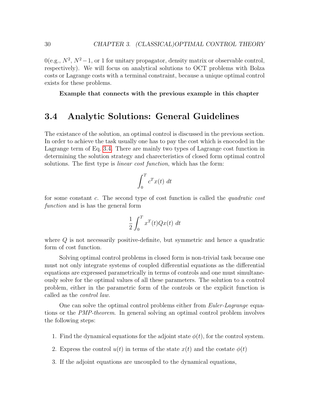$0$ (e.g.,  $N^2$ ,  $N^2-1$ , or 1 for unitary propagator, density matrix or observable control, respectively). We will focus on analytical solutions to OCT problems with Bolza costs or Lagrange costs with a terminal constraint, because a unique optimal control exists for these problems.

Example that connects with the previous example in this chapter

## 3.4 Analytic Solutions: General Guidelines

The existance of the solution, an optimal control is discussed in the previous section. In order to achieve the task usually one has to pay the cost which is enocoded in the Lagrange term of Eq. [3.4.](#page-33-0) There are mainly two types of Lagrange cost function in determining the solution strategy and charecteristics of closed form optimal control solutions. The first type is *linear cost function*, which has the form:

$$
\int_0^T c^T x(t) \ dt
$$

for some constant c. The second type of cost function is called the *quadratic cost* function and is has the general form

$$
\frac{1}{2}\int_0^T x^T(t)Qx(t) dt
$$

where  $Q$  is not necessarily positive-definite, but symmetric and hence a quadratic form of cost function.

Solving optimal control problems in closed form is non-trivial task because one must not only integrate systems of coupled differential equations as the differential equations are expressed parametrically in terms of controls and one must simultaneously solve for the optimal values of all these parameters. The solution to a control problem, either in the parametric form of the controls or the explicit function is called as the control law.

One can solve the optimal control problems either from *Euler-Lagrange* equations or the PMP-theorem. In general solving an optimal control problem involves the following steps:

- 1. Find the dynamical equations for the adjoint state  $\phi(t)$ , for the control system.
- 2. Express the control  $u(t)$  in terms of the state  $x(t)$  and the costate  $\phi(t)$
- 3. If the adjoint equations are uncoupled to the dynamical equations,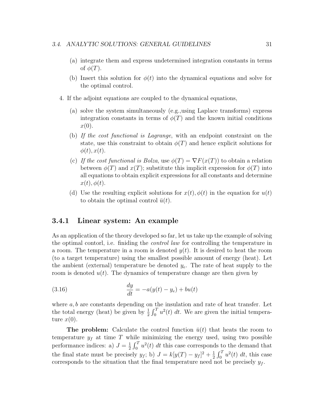- (a) integrate them and express undetermined integration constants in terms of  $\phi(T)$ .
- (b) Insert this solution for  $\phi(t)$  into the dynamical equations and solve for the optimal control.
- 4. If the adjoint equations are coupled to the dynamical equations,
	- (a) solve the system simultaneously (e.g.,using Laplace transforms) express integration constants in terms of  $\phi(T)$  and the known initial conditions  $x(0)$ .
	- (b) If the cost functional is Lagrange, with an endpoint constraint on the state, use this constraint to obtain  $\phi(T)$  and hence explicit solutions for  $\phi(t), x(t).$
	- (c) If the cost functional is Bolza, use  $\phi(T) = \nabla F(x(T))$  to obtain a relation between  $\phi(T)$  and  $x(T)$ ; substitute this implicit expression for  $\phi(T)$  into all equations to obtain explicit expressions for all constants and determine  $x(t), \phi(t).$
	- (d) Use the resulting explicit solutions for  $x(t)$ ,  $\phi(t)$  in the equation for  $u(t)$ to obtain the optimal control  $\bar{u}(t)$ .

### 3.4.1 Linear system: An example

As an application of the theory developed so far, let us take up the example of solving the optimal contorl, i.e. finiding the control law for controlling the temperature in a room. The temperature in a room is denoted  $y(t)$ . It is desired to heat the room (to a target temperature) using the smallest possible amount of energy (heat). Let the ambient (external) temperature be denoted  $y_e$ . The rate of heat supply to the room is denoted  $u(t)$ . The dynamics of temperature change are then given by

<span id="page-39-0"></span>(3.16) 
$$
\frac{dy}{dt} = -a(y(t) - y_e) + bu(t)
$$

where  $a, b$  are constants depending on the insulation and rate of heat transfer. Let the total energy (heat) be given by  $\frac{1}{2} \int_0^T u^2(t) dt$ . We are given the initial temperature  $x(0)$ .

**The problem:** Calculate the control function  $\bar{u}(t)$  that heats the room to temperature  $y_f$  at time T while minimizing the energy used, using two possible performance indices: a)  $J=\frac{1}{2}$  $\frac{1}{2} \int_0^T u^2(t) dt$  this case corresponds to the demand that the final state must be precisely  $y_f$ ; b)  $J = k[y(T) - y_f]^2 + \frac{1}{2}$  $\frac{1}{2} \int_0^T u^2(t) dt$ , this case corresponds to the situation that the final temperature need not be precisely  $y_f$ .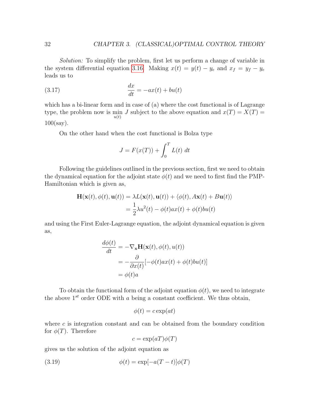Solution: To simplify the problem, first let us perform a change of variable in the system differential equation [3.16.](#page-39-0) Making  $x(t) = y(t) - y_e$  and  $x_f = y_f - y_e$ leads us to

(3.17) 
$$
\frac{dx}{dt} = -ax(t) + bu(t)
$$

which has a bi-linear form and in case of (a) where the cost functional is of Lagrange type, the problem now is min J subject to the above equation and  $x(T) = X(T) =$  $u(t)$  $100(sav)$ .

On the other hand when the cost functional is Bolza type

$$
J = F(x(T)) + \int_0^T L(t) dt
$$

Following the guidelines outlined in the previous section, first we need to obtain the dynamical equation for the adjoint state  $\phi(t)$  and we need to first find the PMP-Hamiltonian which is given as,

$$
\mathbf{H}(\mathbf{x}(t), \phi(t), \mathbf{u}(t)) = \lambda L(\mathbf{x}(t), \mathbf{u}(t)) + \langle \phi(t), A\mathbf{x}(t) + B\mathbf{u}(t) \rangle
$$

$$
= \frac{1}{2}\lambda u^2(t) - \phi(t)ax(t) + \phi(t)bu(t)
$$

and using the First Euler-Lagrange equation, the adjoint dynamical equation is given as,

$$
\frac{d\phi(t)}{dt} = -\nabla_{\mathbf{x}} \mathbf{H}(\mathbf{x}(t), \phi(t), u(t))
$$

$$
= -\frac{\partial}{\partial x(t)}[-\phi(t)ax(t) + \phi(t)bu(t)]
$$

$$
= \phi(t)a
$$

To obtain the functional form of the adjoint equation  $\phi(t)$ , we need to integrate the above  $1^{st}$  order ODE with a being a constant coefficient. We thus obtain,

$$
\phi(t) = c \exp(at)
$$

where  $c$  is integration constant and can be obtained from the boundary condition for  $\phi(T)$ . Therefore

$$
c = \exp(aT)\phi(T)
$$

gives us the solution of the adjoint equation as

(3.19) 
$$
\phi(t) = \exp[-a(T-t)]\phi(T)
$$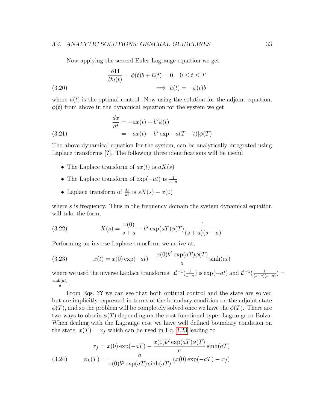#### 3.4. ANALYTIC SOLUTIONS: GENERAL GUIDELINES 33

Now applying the second Euler-Lagrange equation we get

(3.20) 
$$
\frac{\partial \mathbf{H}}{\partial u(t)} = \phi(t)b + \bar{u}(t) = 0, \quad 0 \le t \le T
$$

$$
\implies \bar{u}(t) = -\phi(t)b
$$

where  $\bar{u}(t)$  is the optimal control. Now using the solution for the adjoint equation,  $\phi(t)$  from above in the dynamical equation for the system we get

(3.21) 
$$
\frac{dx}{dt} = -ax(t) - b^2\phi(t)
$$

$$
= -ax(t) - b^2 \exp[-a(T - t)]\phi(T)
$$

The above dynamical equation for the system, can be analytically integrated using Laplace transforms [?]. The following three identifications will be useful

- The Laplace transform of  $ax(t)$  is  $aX(s)$
- The Laplace transform of  $\exp(-at)$  is  $\frac{1}{s-a}$
- Laplace transform of  $\frac{dx}{dt}$  is  $sX(s) x(0)$

where s is frequency. Thus in the frequency domain the system dynamical equation will take the form,

(3.22) 
$$
X(s) = \frac{x(0)}{s+a} - b^2 \exp(aT)\phi(T)\frac{1}{(s+a)(s-a)}.
$$

Performing an inverse Laplace transform we arrive at,

<span id="page-41-0"></span>(3.23) 
$$
x(t) = x(0) \exp(-at) - \frac{x(0)b^2 \exp(aT)\phi(T)}{a} \sinh(at)
$$

where we used the inverse Laplace transforms:  $\mathcal{L}^{-1}(\frac{1}{\epsilon_1})$  $\frac{1}{s+a}$ ) is exp(-at) and  $\mathcal{L}^{-1}(\frac{1}{(s+a)(s+a)})$  $\frac{1}{(s+a)(s-a)}$ ) =  $\frac{\sinh(at)}{a}$ .  $\overline{a}$ 

From Eqs. ?? we can see that both optimal control and the state are solved but are implicitly expressed in terms of the boundary condition on the adjoint state  $\phi(T)$ , and so the problem will be completely solved once we have the  $\phi(T)$ . There are two ways to obtain  $\phi(T)$  depending on the cost functional type: Lagrange or Bolza. When dealing with the Lagrange cost we have well defined boundary condition on the state,  $x(T) = x_f$  which can be used in Eq. [3.23](#page-41-0) leading to

<span id="page-41-1"></span>(3.24) 
$$
x_f = x(0) \exp(-aT) - \frac{x(0)b^2 \exp(aT)\phi(T)}{a} \sinh(aT)
$$

$$
\phi_L(T) = \frac{a}{x(0)b^2 \exp(aT)\sinh(aT)} (x(0) \exp(-aT) - x_f)
$$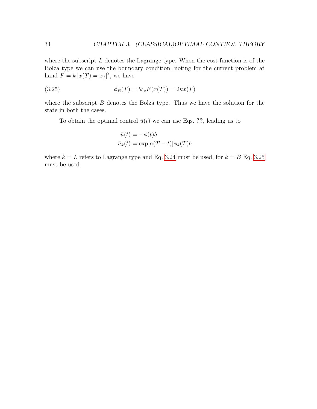where the subscript  $L$  denotes the Lagrange type. When the cost function is of the Bolza type we can use the boundary condition, noting for the current problem at hand  $F = k[x(T) = x_f]^2$ , we have

(3.25) 
$$
\phi_B(T) = \nabla_x F(x(T)) = 2kx(T)
$$

where the subscript  $B$  denotes the Bolza type. Thus we have the solution for the state in both the cases.

To obtain the optimal control  $\bar{u}(t)$  we can use Eqs. ??, leading us to

<span id="page-42-0"></span>
$$
\bar{u}(t) = -\phi(t)b
$$
  

$$
\bar{u}_k(t) = \exp[a(T - t)]\phi_k(T)b
$$

where  $k = L$  refers to Lagrange type and Eq. [3.24](#page-41-1) must be used, for  $k = B$  Eq. [3.25](#page-42-0) must be used.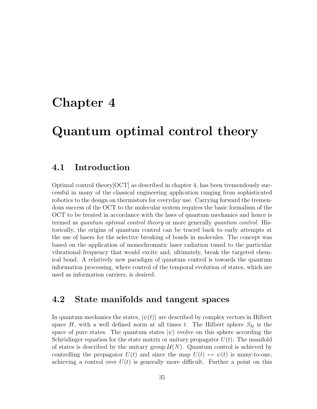# Chapter 4

# Quantum optimal control theory

# 4.1 Introduction

Optimal control theory[OCT] as described in chapter 4, has been tremendously successful in many of the classical engineering application ranging from sophisticated robotics to the design on thermistors for everyday use. Carrying forward the tremendous success of the OCT to the molecular system requires the basic formalism of the OCT to be treated in accordance with the laws of quantum mechanics and hence is termed as quantum optimal control theory or more generally quantum control. Historically, the origins of quantum control can be traced back to early attempts at the use of lasers for the selective breaking of bonds in molecules. The concept was based on the application of monochromatic laser radiation tuned to the particular vibrational frequency that would excite and, ultimately, break the targeted chemical bond. A relatively new paradigm of quantum control is towards the quantum information processing, where control of the temporal evolution of states, which are used as information carriers, is desired.

# 4.2 State manifolds and tangent spaces

In quantum mechanics the states,  $|\psi(t)\rangle$  are described by complex vectors in Hilbert space H, with a well defined norm at all times t. The Hilbert sphere  $S_H$  is the space of pure states. The quantum states  $|\psi\rangle$  evolve on this sphere according the Schrödinger equation for the state matrix or unitary propagator  $U(t)$ . The manifold of states is described by the unitary group  $\mathcal{U}(N)$ . Quantum control is achieved by controlling the propagator  $U(t)$  and since the map  $U(t) \mapsto \psi(t)$  is many-to-one, achieving a control over  $U(t)$  is generally more difficult. Further a point on this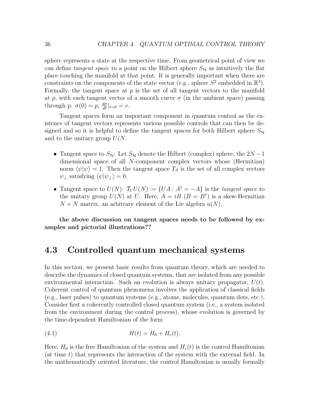sphere represents a state at the respective time. From geometrical point of view we can define tangent space to a point on the Hilbert sphere  $S_{\mathcal{H}}$  as intuitively the flat place touching the manifold at that point. It is generally important when there are constraints on the components of the state vector (e.g., sphere  $S^2$  embedded in  $\mathbb{R}^3$ ). Formally, the tangent space at  $p$  is the set of all tangent vectors to the manifold at p, with each tangent vector of a smooth curve  $\sigma$  (in the ambient space) passing through p.  $\sigma(0) = p, \frac{d\sigma}{dt}|_{t=0} = v.$ 

Tangent spaces form an important component in quantum control as the existence of tangent vectors represents various possible controls that can then be designed and so it is helpful to define the tangent spaces for both Hilbert sphere  $S_{\mathcal{H}}$ and to the unitary group  $U(N)$ .

- Tangent space to  $S_{\mathcal{H}}$ : Let  $S_{\mathcal{H}}$  denote the Hilbert (complex) sphere, the  $2N-1$ dimensional space of all N-component complex vectors whose (Hermitian) norm  $\langle \psi | \psi \rangle = 1$ . Then the tangent space  $T_S$  is the set of all complex vectors  $\psi_{\perp}$  satisfying  $\langle \psi | \psi_{\perp} \rangle = 0$ .
- Tangent space to  $U(N)$ :  $\mathcal{T}_U U(N) := \{UA : A^{\dagger} = -A\}$  is the *tangent space* to the unitary group  $U(N)$  at U. Here,  $A = iB (B = B^{\dagger})$  is a skew-Hermitian  $N \times N$  matrix, an arbitrary element of the Lie algebra  $u(N)$ .

the above discussion on tangent spaces needs to be followed by examples and pictorial illustrations??

## 4.3 Controlled quantum mechanical systems

In this section, we present basic results from quantum theory, which are needed to describe the dynamics of closed quantum systems, that are isolated from any possible environmental interaction. Such an evolution is always unitary propagator,  $U(t)$ . Coherent control of quantum phenomena involves the application of classical fields (e.g., laser pulses) to quantum systems (e.g., atoms, molecules, quantum dots, etc.). Consider first a coherently controlled closed quantum system (i.e., a system isolated from the environment during the control process), whose evolution is governed by the time-dependent Hamiltonian of the form

<span id="page-44-0"></span>(4.1) 
$$
H(t) = H_0 + H_c(t).
$$

Here,  $H_0$  is the free Hamiltonian of the system and  $H_c(t)$  is the control Hamiltonian (at time  $t$ ) that represents the interaction of the system with the external field. In the mathematically oriented literature, the control Hamiltonian is usually formally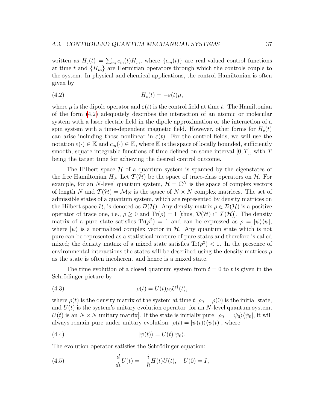written as  $H_c(t) = \sum_m c_m(t) H_m$ , where  $\{c_m(t)\}\$ are real-valued control functions at time t and  ${H_m}$  are Hermitian operators through which the controls couple to the system. In physical and chemical applications, the control Hamiltonian is often given by

<span id="page-45-0"></span>
$$
(4.2) \t\t\t H_{\rm c}(t) = -\varepsilon(t)\mu,
$$

where  $\mu$  is the dipole operator and  $\varepsilon(t)$  is the control field at time t. The Hamiltonian of the form [\(4.2\)](#page-45-0) adequately describes the interaction of an atomic or molecular system with a laser electric field in the dipole approximation or the interaction of a spin system with a time-dependent magnetic field. However, other forms for  $H_c(t)$ can arise including those nonlinear in  $\varepsilon(t)$ . For the control fields, we will use the notation  $\varepsilon(\cdot) \in \mathbb{K}$  and  $c_m(\cdot) \in \mathbb{K}$ , where K is the space of locally bounded, sufficiently smooth, square integrable functions of time defined on some interval  $[0, T]$ , with T being the target time for achieving the desired control outcome.

The Hilbert space  $H$  of a quantum system is spanned by the eigenstates of the free Hamiltonian  $H_0$ . Let  $\mathcal{T}(\mathcal{H})$  be the space of trace-class operators on  $\mathcal{H}$ . For example, for an N-level quantum system,  $\mathcal{H} = \mathbb{C}^N$  is the space of complex vectors of length N and  $\mathcal{T}(\mathcal{H}) = \mathcal{M}_N$  is the space of  $N \times N$  complex matrices. The set of admissible states of a quantum system, which are represented by density matrices on the Hilbert space  $\mathcal{H}$ , is denoted as  $\mathcal{D}(\mathcal{H})$ . Any density matrix  $\rho \in \mathcal{D}(\mathcal{H})$  is a positive operator of trace one, i.e.,  $\rho \geq 0$  and  $\text{Tr}(\rho) = 1$  [thus,  $\mathcal{D}(\mathcal{H}) \subset \mathcal{T}(\mathcal{H})$ ]. The density matrix of a pure state satisfies  $\text{Tr}(\rho^2) = 1$  and can be expressed as  $\rho = |\psi\rangle\langle\psi|$ , where  $|\psi\rangle$  is a normalized complex vector in H. Any quantum state which is not pure can be represented as a statistical mixture of pure states and therefore is called mixed; the density matrix of a mixed state satisfies  $\text{Tr}(\rho^2)$  < 1. In the presence of environmental interactions the states will be described using the density matrices  $\rho$ as the state is often incoherent and hence is a mixed state.

The time evolution of a closed quantum system from  $t = 0$  to t is given in the Schrödinger picture by

(4.3) 
$$
\rho(t) = U(t)\rho_0 U^{\dagger}(t),
$$

where  $\rho(t)$  is the density matrix of the system at time t,  $\rho_0 = \rho(0)$  is the initial state, and  $U(t)$  is the system's unitary evolution operator [for an N-level quantum system,  $U(t)$  is an  $N \times N$  unitary matrix]. If the state is initially pure:  $\rho_0 = |\psi_0\rangle \langle \psi_0|$ , it will always remain pure under unitary evolution:  $\rho(t) = |\psi(t)\rangle \langle \psi(t)|$ , where

(4.4) 
$$
|\psi(t)\rangle = U(t)|\psi_0\rangle.
$$

The evolution operator satisfies the Schrödinger equation:

<span id="page-45-1"></span>(4.5) 
$$
\frac{d}{dt}U(t) = -\frac{i}{\hbar}H(t)U(t), \quad U(0) = I,
$$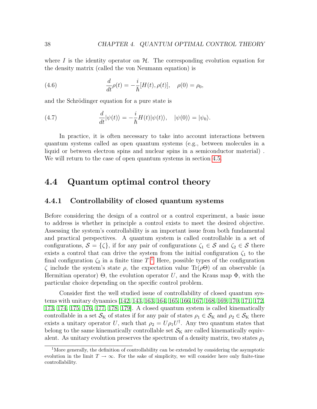where I is the identity operator on  $H$ . The corresponding evolution equation for the density matrix (called the von Neumann equation) is

(4.6) 
$$
\frac{d}{dt}\rho(t) = -\frac{i}{\hbar}[H(t), \rho(t)], \quad \rho(0) = \rho_0,
$$

and the Schrödinger equation for a pure state is

<span id="page-46-1"></span>(4.7) 
$$
\frac{d}{dt}|\psi(t)\rangle = -\frac{i}{\hbar}H(t)|\psi(t)\rangle, \quad |\psi(0)\rangle = |\psi_0\rangle.
$$

In practice, it is often necessary to take into account interactions between quantum systems called as open quantum systems (e.g., between molecules in a liquid or between electron spins and nuclear spins in a semiconductor material) . We will return to the case of open quantum systems in section [4.5.](#page-59-0)

## 4.4 Quantum optimal control theory

### 4.4.1 Controllability of closed quantum systems

Before considering the design of a control or a control experiment, a basic issue to address is whether in principle a control exists to meet the desired objective. Assessing the system's controllability is an important issue from both fundamental and practical perspectives. A quantum system is called controllable in a set of configurations,  $S = \{\zeta\}$ , if for any pair of configurations  $\zeta_1 \in S$  and  $\zeta_2 \in S$  there exists a control that can drive the system from the initial configuration  $\zeta_1$  to the final configuration  $\zeta_2$  in a finite time  $T<sup>1</sup>$  $T<sup>1</sup>$  $T<sup>1</sup>$ . Here, possible types of the configuration ζ include the system's state ρ, the expectation value Tr(ρΘ) of an observable (a Hermitian operator)  $\Theta$ , the evolution operator U, and the Kraus map  $\Phi$ , with the particular choice depending on the specific control problem.

Consider first the well studied issue of controllability of closed quantum systems with unitary dynamics [\[142,](#page-81-0) [143,](#page-81-1) [163,](#page-82-0) [164,](#page-82-1) [165,](#page-82-2) [166,](#page-82-3) [167,](#page-82-4) [168,](#page-82-5) [169,](#page-82-6) [170,](#page-82-7) [171,](#page-82-8) [172,](#page-82-9) [173,](#page-83-0) [174,](#page-83-1) [175,](#page-83-2) [176,](#page-83-3) [177,](#page-83-4) [178,](#page-83-5) [179\]](#page-83-6). A closed quantum system is called kinematically controllable in a set  $\mathcal{S}_K$  of states if for any pair of states  $\rho_1 \in \mathcal{S}_K$  and  $\rho_2 \in \mathcal{S}_K$  there exists a unitary operator U, such that  $\rho_2 = U \rho_1 U^{\dagger}$ . Any two quantum states that belong to the same kinematically controllable set  $\mathcal{S}_K$  are called kinematically equivalent. As unitary evolution preserves the spectrum of a density matrix, two states  $\rho_1$ 

<span id="page-46-0"></span><sup>1</sup>More generally, the definition of controllability can be extended by considering the asymptotic evolution in the limit  $T \to \infty$ . For the sake of simplicity, we will consider here only finite-time controllability.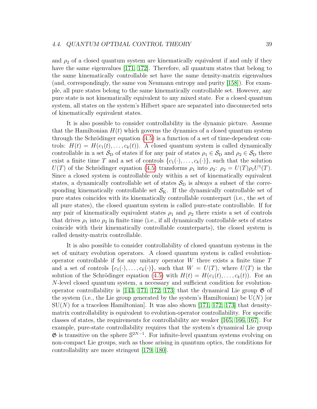and  $\rho_2$  of a closed quantum system are kinematically equivalent if and only if they have the same eigenvalues [\[171,](#page-82-8) [172\]](#page-82-9). Therefore, all quantum states that belong to the same kinematically controllable set have the same density-matrix eigenvalues (and, correspondingly, the same von Neumann entropy and purity [\[158\]](#page-82-10)). For example, all pure states belong to the same kinematically controllable set. However, any pure state is not kinematically equivalent to any mixed state. For a closed quantum system, all states on the system's Hilbert space are separated into disconnected sets of kinematically equivalent states.

It is also possible to consider controllability in the dynamic picture. Assume that the Hamiltonian  $H(t)$  which governs the dynamics of a closed quantum system through the Schrödinger equation  $(4.5)$  is a function of a set of time-dependent controls:  $H(t) = H(c_1(t), \ldots, c_k(t))$ . A closed quantum system is called dynamically controllable in a set  $S_D$  of states if for any pair of states  $\rho_1 \in S_D$  and  $\rho_2 \in S_D$  there exist a finite time T and a set of controls  $\{c_1(\cdot), \ldots, c_k(\cdot)\}\)$ , such that the solution  $U(T)$  of the Schrödinger equation [\(4.5\)](#page-45-1) transforms  $\rho_1$  into  $\rho_2$ :  $\rho_2 = U(T)\rho_1 U^{\dagger}(T)$ . Since a closed system is controllable only within a set of kinematically equivalent states, a dynamically controllable set of states  $S<sub>D</sub>$  is always a subset of the corresponding kinematically controllable set  $\mathcal{S}_K$ . If the dynamically controllable set of pure states coincides with its kinematically controllable counterpart (i.e., the set of all pure states), the closed quantum system is called pure-state controllable. If for any pair of kinematically equivalent states  $\rho_1$  and  $\rho_2$  there exists a set of controls that drives  $\rho_1$  into  $\rho_2$  in finite time (i.e., if all dynamically controllable sets of states coincide with their kinematically controllable counterparts), the closed system is called density-matrix controllable.

It is also possible to consider controllability of closed quantum systems in the set of unitary evolution operators. A closed quantum system is called evolutionoperator controllable if for any unitary operator  $W$  there exists a finite time  $T$ and a set of controls  $\{c_1(\cdot), \ldots, c_k(\cdot)\}\)$ , such that  $W = U(T)$ , where  $U(T)$  is the solution of the Schrödinger equation [\(4.5\)](#page-45-1) with  $H(t) = H(c_1(t), \ldots, c_k(t))$ . For an N-level closed quantum system, a necessary and sufficient condition for evolution-operator controllability is [\[143,](#page-81-1) [171,](#page-82-8) [172,](#page-82-9) [173\]](#page-83-0) that the dynamical Lie group  $\mathfrak{G}$  of the system (i.e., the Lie group generated by the system's Hamiltonian) be  $U(N)$  [or  $SU(N)$  for a traceless Hamiltonian. It was also shown [\[171,](#page-82-8) [172,](#page-82-9) [173\]](#page-83-0) that densitymatrix controllability is equivalent to evolution-operator controllability. For specific classes of states, the requirements for controllability are weaker [\[165,](#page-82-2) [166,](#page-82-3) [167\]](#page-82-4). For example, pure-state controllability requires that the system's dynamical Lie group  $\mathfrak{G}$  is transitive on the sphere  $\mathbb{S}^{2N-1}$ . For infinite-level quantum systems evolving on non-compact Lie groups, such as those arising in quantum optics, the conditions for controllability are more stringent [\[179,](#page-83-6) [180\]](#page-83-7).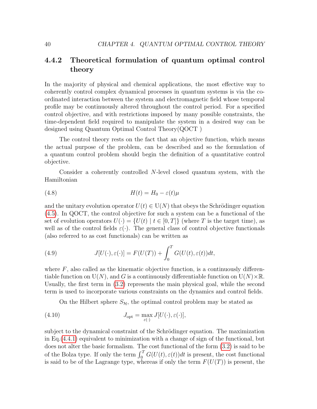## 4.4.2 Theoretical formulation of quantum optimal control theory

In the majority of physical and chemical applications, the most effective way to coherently control complex dynamical processes in quantum systems is via the coordinated interaction between the system and electromagnetic field whose temporal profile may be continuously altered throughout the control period. For a specified control objective, and with restrictions imposed by many possible constraints, the time-dependent field required to manipulate the system in a desired way can be designed using Quantum Optimal Control Theory(QOCT )

The control theory rests on the fact that an objective function, which means the actual purpose of the problem, can be described and so the formulation of a quantum control problem should begin the definition of a quantitative control objective.

Consider a coherently controlled N-level closed quantum system, with the Hamiltonian

<span id="page-48-1"></span>(4.8) 
$$
H(t) = H_0 - \varepsilon(t)\mu
$$

and the unitary evolution operator  $U(t) \in U(N)$  that obeys the Schrödinger equation [\(4.5\)](#page-45-1). In QOCT, the control objective for such a system can be a functional of the set of evolution operators  $U(\cdot) = \{U(t) | t \in [0,T]\}\$  (where T is the target time), as well as of the control fields  $\varepsilon(\cdot)$ . The general class of control objective functionals (also referred to as cost functionals) can be written as

<span id="page-48-0"></span>(4.9) 
$$
J[U(\cdot),\varepsilon(\cdot)] = F(U(T)) + \int_0^T G(U(t),\varepsilon(t))dt,
$$

where  $F$ , also called as the kinematic objective function, is a continuously differentiable function on  $U(N)$ , and G is a continuously differentiable function on  $U(N) \times \mathbb{R}$ . Usually, the first term in [\(3.2\)](#page-32-0) represents the main physical goal, while the second term is used to incorporate various constraints on the dynamics and control fields.

On the Hilbert sphere  $S_{H}$ , the optimal control problem may be stated as

(4.10) 
$$
J_{\text{opt}} = \max_{\varepsilon(\cdot)} J[U(\cdot), \varepsilon(\cdot)],
$$

subject to the dynamical constraint of the Schrödinger equation. The maximization in Eq.  $(4.4.1)$  equivalent to minimization with a change of sign of the functional, but does not alter the basic formalism. The cost functional of the form [\(3.2\)](#page-32-0) is said to be of the Bolza type. If only the term  $\int_0^T G(U(t), \varepsilon(t))dt$  is present, the cost functional is said to be of the Lagrange type, whereas if only the term  $F(U(T))$  is present, the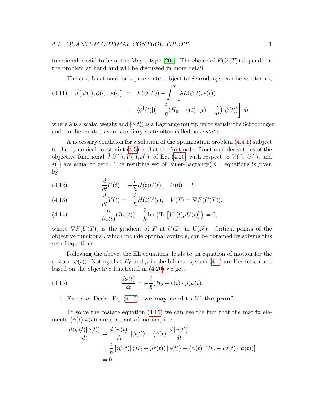functional is said to be of the Mayer type [\[204\]](#page-84-0). The choice of  $F(U(T))$  depends on the problem at hand and will be discussed in more detail.

The cost functional for a pure state subject to Schrödinger can be written as,

(4.11) 
$$
\bar{J}[\psi(\cdot), \phi(\cdot), \varepsilon(\cdot)] = F(\psi(T)) + \int_0^T \left[ \lambda L(\psi(t), \varepsilon(t)) + \langle \phi^{\dagger}(t) | \left( -\frac{i}{\hbar} (H_0 - \varepsilon(t) \cdot \mu) - \frac{d}{dt} \right) | \psi(t) \rangle \right] dt
$$

where  $\lambda$  is a scalar weight and  $|\phi(t)\rangle$  is a Lagrange multiplier to satisfy the Schrödinger and can be treated as an auxiliary state often called as costate.

A necessary condition for a solution of the optimization problem [\(4.4.1\)](#page-50-0) subject to the dynamical constraint [\(4.5\)](#page-45-1) is that the first-order functional derivatives of the objective functional  $\tilde{J}[U(\cdot), V(\cdot), \varepsilon(\cdot)]$  of Eq. [\(4.20\)](#page-51-0) with respect to  $V(\cdot)$ ,  $U(\cdot)$ , and  $\varepsilon(\cdot)$  are equal to zero. The resulting set of Euler-Lagrange(EL) equations is given by

(4.12) 
$$
\frac{d}{dt}U(t) = -\frac{i}{\hbar}H(t)U(t), \quad U(0) = I,
$$

(4.13) 
$$
\frac{d}{dt}V(t) = -\frac{i}{\hbar}H(t)V(t), \quad V(T) = \nabla F(U(T)),
$$

(4.14) 
$$
\frac{\partial}{\partial \varepsilon(t)} G(\varepsilon(t)) - \frac{2}{\hbar} \text{Im} \left\{ \text{Tr} \left[ V^{\dagger}(t) \mu U(t) \right] \right\} = 0,
$$

where  $\nabla F(U(T))$  is the gradient of F at  $U(T)$  in U(N). Critical points of the objective functional, which include optimal controls, can be obtained by solving this set of equations.

Following the above, the EL equations, leads to an equation of motion for the costate  $|\phi(t)\rangle$ . Noting that  $H_0$  and  $\mu$  in the bilinear system [\(4.1\)](#page-44-0) are Hermitian and based on the objective functional in [\(4.20\)](#page-51-0) we get,

(4.15) 
$$
\frac{d\phi(t)}{dt} = -\frac{i}{\hbar}(H_0 - \varepsilon(t) \cdot \mu)\phi(t).
$$

#### <span id="page-49-0"></span>1. Exercise: Derive Eq. [\(4.15\)](#page-49-0)...we may need to fill the proof

To solve the costate equation [\(4.15\)](#page-49-0) we can use the fact that the matrix elements  $\langle \psi(t)|\phi(t)\rangle$  are constant of motion, i. e.,

$$
\frac{d\langle\psi(t)|\phi(t)\rangle}{dt} = \frac{d\langle\psi(t)|}{dt} |\phi(t)\rangle + \langle\psi(t)| \frac{d|\phi(t)\rangle}{dt}
$$
  
= 
$$
\frac{i}{\hbar} [\langle\psi(t)| (H_0 - \mu \varepsilon(t)) |\phi(t)\rangle - \langle\psi(t)| (H_0 - \mu \varepsilon(t)) |\phi(t)\rangle]
$$
  
= 0.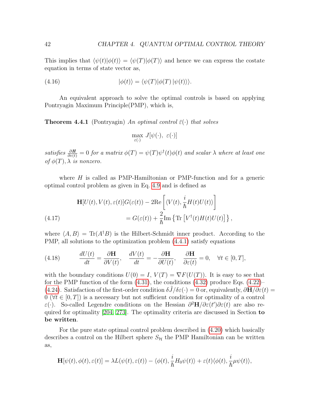This implies that  $\langle \psi(t)|\phi(t)\rangle = \langle \psi(T)|\phi(T)\rangle$  and hence we can express the costate equation in terms of state vector as,

(4.16) 
$$
|\phi(t)\rangle = \langle \psi(T)|\phi(T)|\psi(t)\rangle.
$$

An equivalent approach to solve the optimal controls is based on applying Pontryagin Maximum Principle(PMP), which is,

<span id="page-50-0"></span>**Theorem 4.4.1** (Pontryagin) An optimal control  $\bar{\varepsilon}(\cdot)$  that solves

<span id="page-50-1"></span>
$$
\max_{\boldsymbol{\varepsilon}(\cdot)}\;J[\psi(\cdot),\;\boldsymbol{\varepsilon}(\cdot)]
$$

satisfies  $\frac{\partial H}{\partial \varepsilon(t)} = 0$  for a matrix  $\phi(T) = \psi(T)\psi^{\dagger}(t)\phi(t)$  and scalar  $\lambda$  where at least one of  $\phi(T)$ ,  $\lambda$  is nonzero.

where  $H$  is called as PMP-Hamiltonian or PMP-function and for a generic optimal control problem as given in Eq. [4.9](#page-48-0) and is defined as

(4.17) 
$$
\mathbf{H}[U(t), V(t), \varepsilon(t)]G(\varepsilon(t)) - 2\mathrm{Re}\left[\langle V(t), \frac{i}{\hbar}H(t)U(t)\rangle\right] \n= G(\varepsilon(t)) + \frac{2}{\hbar}\mathrm{Im}\left\{\mathrm{Tr}\left[V^{\dagger}(t)H(t)U(t)\right]\right\},
$$

where  $\langle A, B \rangle = \text{Tr}(A^{\dagger}B)$  is the Hilbert-Schmidt inner product. According to the PMP, all solutions to the optimization problem [\(4.4.1\)](#page-50-0) satisfy equations

(4.18) 
$$
\frac{dU(t)}{dt} = \frac{\partial \mathbf{H}}{\partial V(t)}, \quad \frac{dV(t)}{dt} = -\frac{\partial \mathbf{H}}{\partial U(t)}, \quad \frac{\partial \mathbf{H}}{\partial \varepsilon(t)} = 0, \quad \forall t \in [0, T],
$$

with the boundary conditions  $U(0) = I$ ,  $V(T) = \nabla F(U(T))$ . It is easy to see that for the PMP function of the form  $(4.31)$ , the conditions  $(4.32)$  produce Eqs.  $(4.22)$ – [\(4.24\)](#page-52-1). Satisfaction of the first-order condition  $\delta \tilde{J}/\delta \varepsilon(\cdot) = 0$  or, equivalently,  $\partial \mathbf{H}/\partial \varepsilon(t) =$  $0 \ (\forall t \in [0, T])$  is a necessary but not sufficient condition for optimality of a control ε(.). So-called Legendre conditions on the Hessian  $\partial^2 \mathbf{H}/\partial \varepsilon(t')\partial \varepsilon(t)$  are also required for optimality [\[204,](#page-84-0) [273\]](#page-88-0). The optimality criteria are discussed in Section to be written.

For the pure state optimal control problem described in [\(4.20\)](#page-51-0) which basically describes a control on the Hilbert sphere  $S_H$  the PMP Hamiltonian can be written as,

$$
\mathbf{H}[\psi(t),\phi(t),\varepsilon(t)]=\lambda L(\psi(t),\varepsilon(t))-\langle\phi(t),\frac{i}{\hbar}H_0\psi(t)\rangle+\varepsilon(t)\langle\phi(t),\frac{i}{\hbar}\mu\psi(t)\rangle,
$$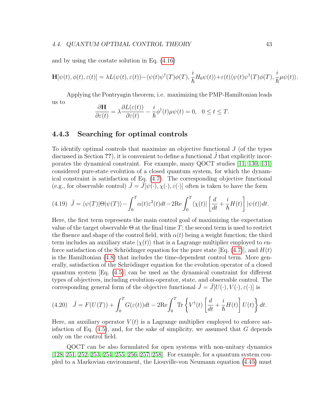and by using the costate solution in Eq. [\(4.16\)](#page-50-1)

$$
\mathbf{H}[\psi(t),\phi(t),\varepsilon(t)]=\lambda L(\psi(t),\varepsilon(t))-\langle \psi(t)\psi^\dagger(T)\phi(T),\frac{i}{\hbar}H_0\psi(t)\rangle+\varepsilon(t)\langle \psi(t)\psi^\dagger(T)\phi(T),\frac{i}{\hbar}\mu\psi(t)\rangle.
$$

Applying the Pontryagin theorem, i.e. maximizing the PMP-Hamiltonian leads us to o±i  $\mathfrak{D}L(\mathfrak{g}(t))$ i

$$
\frac{\partial \mathbf{H}}{\partial \varepsilon(t)} = \lambda \frac{\partial L(\varepsilon(t))}{\partial \varepsilon(t)} - \frac{i}{\hbar} \phi^{\dagger}(t) \mu \psi(t) = 0, \quad 0 \le t \le T.
$$

## <span id="page-51-2"></span>4.4.3 Searching for optimal controls

To identify optimal controls that maximize an objective functional  $J$  (of the types discussed in Section ??), it is convenient to define a functional  $J$  that explicitly incorporates the dynamical constraint. For example, many QOCT studies [\[11,](#page-73-0) [130,](#page-80-0) [131\]](#page-80-1) considered pure-state evolution of a closed quantum system, for which the dynamical constraint is satisfaction of Eq. [\(4.7\)](#page-46-1). The corresponding objective functional (e.g., for observable control)  $\tilde{J} = \tilde{J}[\psi(\cdot), \chi(\cdot), \varepsilon(\cdot)]$  often is taken to have the form

<span id="page-51-1"></span>
$$
(4.19)\ \ \tilde{J} = \langle \psi(T) | \Theta | \psi(T) \rangle - \int_0^T \alpha(t) \varepsilon^2(t) dt - 2 \text{Re} \int_0^T \langle \chi(t) | \left[ \frac{d}{dt} + \frac{i}{\hbar} H(t) \right] | \psi(t) \rangle dt.
$$

Here, the first term represents the main control goal of maximizing the expectation value of the target observable  $\Theta$  at the final time T; the second term is used to restrict the fluence and shape of the control field, with  $\alpha(t)$  being a weight function; the third term includes an auxiliary state  $|\chi(t)\rangle$  that is a Lagrange multiplier employed to enforce satisfaction of the Schrödinger equation for the pure state [Eq.  $(4.7)$ ], and  $H(t)$ is the Hamiltonian [\(4.8\)](#page-48-1) that includes the time-dependent control term. More generally, satisfaction of the Schrödinger equation for the evolution operator of a closed quantum system [Eq. [\(4.5\)](#page-45-1)] can be used as the dynamical constraint for different types of objectives, including evolution-operator, state, and observable control. The corresponding general form of the objective functional  $\tilde{J} = \tilde{J}[U(\cdot), V(\cdot), \varepsilon(\cdot)]$  is

<span id="page-51-0"></span>(4.20) 
$$
\tilde{J} = F(U(T)) + \int_0^T G(\varepsilon(t))dt - 2\text{Re}\int_0^T \text{Tr}\left\{V^{\dagger}(t)\left[\frac{d}{dt} + \frac{i}{\hbar}H(t)\right]U(t)\right\}dt.
$$

Here, an auxiliary operator  $V(t)$  is a Lagrange multiplier employed to enforce satisfaction of Eq.  $(4.5)$ , and, for the sake of simplicity, we assumed that G depends only on the control field.

QOCT can be also formulated for open systems with non-unitary dynamics [\[128,](#page-80-2) [251,](#page-87-0) [252,](#page-87-1) [253,](#page-87-2) [254,](#page-87-3) [255,](#page-87-4) [256,](#page-87-5) [257,](#page-87-6) [258\]](#page-87-7). For example, for a quantum system coupled to a Markovian environment, the Liouville-von Neumann equation [\(4.45\)](#page-60-0) must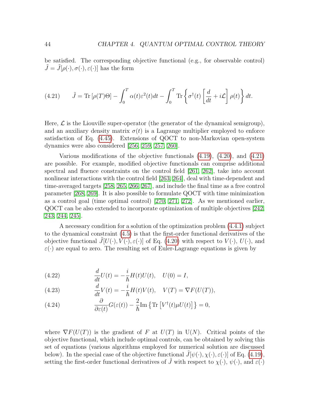be satisfied. The corresponding objective functional (e.g., for observable control)  $\tilde{J} = \tilde{J}[\rho(\cdot), \sigma(\cdot), \varepsilon(\cdot)]$  has the form

<span id="page-52-2"></span>(4.21) 
$$
\tilde{J} = \text{Tr}\left[\rho(T)\Theta\right] - \int_0^T \alpha(t)\varepsilon^2(t)dt - \int_0^T \text{Tr}\left\{\sigma^\dagger(t)\left[\frac{d}{dt} + i\mathcal{L}\right]\rho(t)\right\}dt.
$$

Here,  $\mathcal L$  is the Liouville super-operator (the generator of the dynamical semigroup), and an auxiliary density matrix  $\sigma(t)$  is a Lagrange multiplier employed to enforce satisfaction of Eq. [\(4.45\)](#page-60-0). Extensions of QOCT to non-Markovian open-system dynamics were also considered [\[256,](#page-87-5) [259,](#page-87-8) [257,](#page-87-6) [260\]](#page-87-9).

Various modifications of the objective functionals [\(4.19\)](#page-51-1), [\(4.20\)](#page-51-0), and [\(4.21\)](#page-52-2) are possible. For example, modified objective functionals can comprise additional spectral and fluence constraints on the control field [\[261,](#page-87-10) [262\]](#page-87-11), take into account nonlinear interactions with the control field [\[263,](#page-87-12) [264\]](#page-87-13), deal with time-dependent and time-averaged targets [\[258,](#page-87-7) [265,](#page-87-14) [266,](#page-87-15) [267\]](#page-87-16), and include the final time as a free control parameter [\[268,](#page-87-17) [269\]](#page-87-18). It is also possible to formulate QOCT with time minimization as a control goal (time optimal control) [\[270,](#page-88-1) [271,](#page-88-2) [272\]](#page-88-3). As we mentioned earlier, QOCT can be also extended to incorporate optimization of multiple objectives [\[242,](#page-86-1) [243,](#page-86-2) [244,](#page-86-3) [245\]](#page-86-4).

A necessary condition for a solution of the optimization problem [\(4.4.1\)](#page-50-0) subject to the dynamical constraint [\(4.5\)](#page-45-1) is that the first-order functional derivatives of the objective functional  $J[U(\cdot), V(\cdot), \varepsilon(\cdot)]$  of Eq. [\(4.20\)](#page-51-0) with respect to  $V(\cdot)$ ,  $U(\cdot)$ , and  $\varepsilon(\cdot)$  are equal to zero. The resulting set of Euler-Lagrange equations is given by

<span id="page-52-0"></span>(4.22) 
$$
\frac{d}{dt}U(t) = -\frac{i}{\hbar}H(t)U(t), \quad U(0) = I,
$$

(4.23) 
$$
\frac{d}{dt}V(t) = -\frac{i}{\hbar}H(t)V(t), \quad V(T) = \nabla F(U(T)),
$$

<span id="page-52-1"></span>(4.24) 
$$
\frac{\partial}{\partial \varepsilon(t)} G(\varepsilon(t)) - \frac{2}{\hbar} \text{Im} \left\{ \text{Tr} \left[ V^{\dagger}(t) \mu U(t) \right] \right\} = 0,
$$

where  $\nabla F(U(T))$  is the gradient of F at  $U(T)$  in  $U(N)$ . Critical points of the objective functional, which include optimal controls, can be obtained by solving this set of equations (various algorithms employed for numerical solution are discussed below). In the special case of the objective functional  $\tilde{J}[\psi(\cdot), \chi(\cdot), \varepsilon(\cdot)]$  of Eq. [\(4.19\)](#page-51-1), setting the first-order functional derivatives of  $\tilde{J}$  with respect to  $\chi(\cdot), \psi(\cdot)$ , and  $\varepsilon(\cdot)$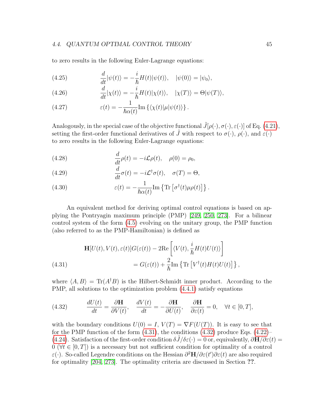to zero results in the following Euler-Lagrange equations:

(4.25) 
$$
\frac{d}{dt}|\psi(t)\rangle = -\frac{i}{\hbar}H(t)|\psi(t)\rangle, \quad |\psi(0)\rangle = |\psi_0\rangle,
$$

(4.26) 
$$
\frac{d}{dt}|\chi(t)\rangle = -\frac{i}{\hbar}H(t)|\chi(t)\rangle, \quad |\chi(T)\rangle = \Theta|\psi(T)\rangle,
$$

(4.27) 
$$
\varepsilon(t) = -\frac{1}{\hbar \alpha(t)} \text{Im} \left\{ \langle \chi(t) | \mu | \psi(t) \rangle \right\}.
$$

Analogously, in the special case of the objective functional  $\tilde{J}[\rho(\cdot), \sigma(\cdot), \varepsilon(\cdot)]$  of Eq. [\(4.21\)](#page-52-2), setting the first-order functional derivatives of  $\tilde{J}$  with respect to  $\sigma(\cdot)$ ,  $\rho(\cdot)$ , and  $\varepsilon(\cdot)$ to zero results in the following Euler-Lagrange equations:

(4.28) 
$$
\frac{d}{dt}\rho(t) = -i\mathcal{L}\rho(t), \quad \rho(0) = \rho_0,
$$

(4.29) 
$$
\frac{d}{dt}\sigma(t) = -i\mathcal{L}^{\dagger}\sigma(t), \quad \sigma(T) = \Theta,
$$

(4.30) 
$$
\varepsilon(t) = -\frac{1}{\hbar \alpha(t)} \text{Im} \left\{ \text{Tr} \left[ \sigma^{\dagger}(t) \mu \rho(t) \right] \right\}.
$$

An equivalent method for deriving optimal control equations is based on applying the Pontryagin maximum principle (PMP) [\[249,](#page-86-0) [250,](#page-86-5) [273\]](#page-88-0). For a bilinear control system of the form [\(4.5\)](#page-45-1) evolving on the unitary group, the PMP function (also referred to as the PMP-Hamiltonian) is defined as

<span id="page-53-0"></span>(4.31)  
\n
$$
\mathbf{H}[U(t), V(t), \varepsilon(t)]G(\varepsilon(t)) - 2\mathrm{Re}\left[\langle V(t), \frac{i}{\hbar}H(t)U(t)\rangle\right]
$$
\n
$$
= G(\varepsilon(t)) + \frac{2}{\hbar}\mathrm{Im}\left\{\mathrm{Tr}\left[V^{\dagger}(t)H(t)U(t)\right]\right\},
$$

where  $\langle A, B \rangle = \text{Tr}(A^{\dagger}B)$  is the Hilbert-Schmidt inner product. According to the PMP, all solutions to the optimization problem [\(4.4.1\)](#page-50-0) satisfy equations

<span id="page-53-1"></span>(4.32) 
$$
\frac{dU(t)}{dt} = \frac{\partial \mathbf{H}}{\partial V(t)}, \quad \frac{dV(t)}{dt} = -\frac{\partial \mathbf{H}}{\partial U(t)}, \quad \frac{\partial \mathbf{H}}{\partial \varepsilon(t)} = 0, \quad \forall t \in [0, T],
$$

with the boundary conditions  $U(0) = I$ ,  $V(T) = \nabla F(U(T))$ . It is easy to see that for the PMP function of the form  $(4.31)$ , the conditions  $(4.32)$  produce Eqs.  $(4.22)$ – [\(4.24\)](#page-52-1). Satisfaction of the first-order condition  $\delta\tilde{J}/\delta\varepsilon(\cdot) = 0$  or, equivalently,  $\partial\mathbf{H}/\partial\varepsilon(t) =$  $0 \ (\forall t \in [0, T])$  is a necessary but not sufficient condition for optimality of a control ε(·). So-called Legendre conditions on the Hessian  $\partial^2 \mathbf{H}/\partial \varepsilon(t')\partial \varepsilon(t)$  are also required for optimality [\[204,](#page-84-0) [273\]](#page-88-0). The optimality criteria are discussed in Section ??.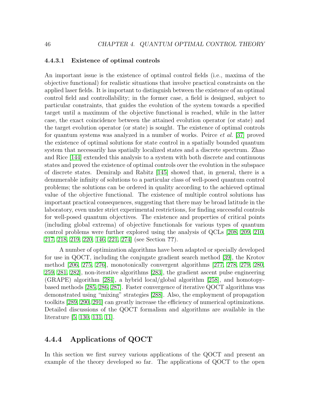#### 4.4.3.1 Existence of optimal controls

An important issue is the existence of optimal control fields (i.e., maxima of the objective functional) for realistic situations that involve practical constraints on the applied laser fields. It is important to distinguish between the existence of an optimal control field and controllability; in the former case, a field is designed, subject to particular constraints, that guides the evolution of the system towards a specified target until a maximum of the objective functional is reached, while in the latter case, the exact coincidence between the attained evolution operator (or state) and the target evolution operator (or state) is sought. The existence of optimal controls for quantum systems was analyzed in a number of works. Peirce et al. [\[37\]](#page-75-0) proved the existence of optimal solutions for state control in a spatially bounded quantum system that necessarily has spatially localized states and a discrete spectrum. Zhao and Rice [\[144\]](#page-81-2) extended this analysis to a system with both discrete and continuous states and proved the existence of optimal controls over the evolution in the subspace of discrete states. Demiralp and Rabitz [\[145\]](#page-81-3) showed that, in general, there is a denumerable infinity of solutions to a particular class of well-posed quantum control problems; the solutions can be ordered in quality according to the achieved optimal value of the objective functional. The existence of multiple control solutions has important practical consequences, suggesting that there may be broad latitude in the laboratory, even under strict experimental restrictions, for finding successful controls for well-posed quantum objectives. The existence and properties of critical points (including global extrema) of objective functionals for various types of quantum control problems were further explored using the analysis of QCLs [\[208,](#page-84-1) [209,](#page-84-2) [210,](#page-84-3) [217,](#page-85-0) [218,](#page-85-1) [219,](#page-85-2) [220,](#page-85-3) [146,](#page-81-4) [221,](#page-85-4) [274\]](#page-88-4) (see Section ??).

A number of optimization algorithms have been adapted or specially developed for use in QOCT, including the conjugate gradient search method [\[39\]](#page-75-1), the Krotov method [\[206,](#page-84-4) [275,](#page-88-5) [276\]](#page-88-6), monotonically convergent algorithms [\[277,](#page-88-7) [278,](#page-88-8) [279,](#page-88-9) [280,](#page-88-10) [259,](#page-87-8) [281,](#page-88-11) [282\]](#page-88-12), non-iterative algorithms [\[283\]](#page-88-13), the gradient ascent pulse engineering (GRAPE) algorithm [\[284\]](#page-88-14), a hybrid local/global algorithm [\[258\]](#page-87-7), and homotopybased methods [\[285,](#page-88-15) [286,](#page-88-16) [287\]](#page-88-17). Faster convergence of iterative QOCT algorithms was demonstrated using "mixing" strategies [\[288\]](#page-88-18). Also, the employment of propagation toolkits [\[289,](#page-88-19) [290,](#page-89-0) [291\]](#page-89-1) can greatly increase the efficiency of numerical optimizations. Detailed discussions of the QOCT formalism and algorithms are available in the literature [\[5,](#page-73-1) [130,](#page-80-0) [131,](#page-80-1) [11\]](#page-73-0).

## 4.4.4 Applications of QOCT

In this section we first survey various applications of the QOCT and present an example of the theory developed so far. The applications of QOCT to the open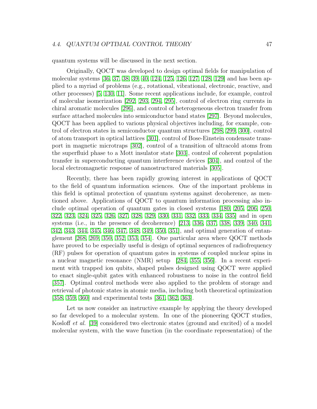quantum systems will be discussed in the next section.

Originally, QOCT was developed to design optimal fields for manipulation of molecular systems [\[36,](#page-75-2) [37,](#page-75-0) [38,](#page-75-3) [39,](#page-75-1) [40,](#page-75-4) [124,](#page-80-3) [125,](#page-80-4) [126,](#page-80-5) [127,](#page-80-6) [128,](#page-80-2) [129\]](#page-80-7) and has been applied to a myriad of problems (e.g., rotational, vibrational, electronic, reactive, and other processes) [\[5,](#page-73-1) [130,](#page-80-0) [11\]](#page-73-0). Some recent applications include, for example, control of molecular isomerization [\[292,](#page-89-2) [293,](#page-89-3) [294,](#page-89-4) [295\]](#page-89-5), control of electron ring currents in chiral aromatic molecules [\[296\]](#page-89-6), and control of heterogeneous electron transfer from surface attached molecules into semiconductor band states [\[297\]](#page-89-7). Beyond molecules, QOCT has been applied to various physical objectives including, for example, control of electron states in semiconductor quantum structures [\[298,](#page-89-8) [299,](#page-89-9) [300\]](#page-89-10), control of atom transport in optical lattices [\[301\]](#page-89-11), control of Bose-Einstein condensate transport in magnetic microtraps [\[302\]](#page-89-12), control of a transition of ultracold atoms from the superfluid phase to a Mott insulator state [\[303\]](#page-89-13), control of coherent population transfer in superconducting quantum interference devices [\[304\]](#page-89-14), and control of the local electromagnetic response of nanostructured materials [\[305\]](#page-89-15).

Recently, there has been rapidly growing interest in applications of QOCT to the field of quantum information sciences. One of the important problems in this field is optimal protection of quantum systems against decoherence, as mentioned above. Applications of QOCT to quantum information processing also include optimal operation of quantum gates in closed systems [\[180,](#page-83-7) [205,](#page-84-5) [206,](#page-84-4) [250,](#page-86-5) [322,](#page-90-0) [323,](#page-90-1) [324,](#page-90-2) [325,](#page-90-3) [326,](#page-90-4) [327,](#page-90-5) [328,](#page-90-6) [329,](#page-90-7) [330,](#page-91-0) [331,](#page-91-1) [332,](#page-91-2) [333,](#page-91-3) [334,](#page-91-4) [335\]](#page-91-5) and in open systems (i.e., in the presence of decoherence) [\[213,](#page-84-6) [336,](#page-91-6) [337,](#page-91-7) [338,](#page-91-8) [339,](#page-91-9) [340,](#page-91-10) [341,](#page-91-11) [342,](#page-91-12) [343,](#page-91-13) [344,](#page-91-14) [345,](#page-91-15) [346,](#page-91-16) [347,](#page-91-17) [348,](#page-91-18) [349,](#page-91-19) [350,](#page-92-0) [351\]](#page-92-1), and optimal generation of entanglement [\[268,](#page-87-17) [269,](#page-87-18) [350,](#page-92-0) [352,](#page-92-2) [353,](#page-92-3) [354\]](#page-92-4). One particular area where QOCT methods have proved to be especially useful is design of optimal sequences of radiofrequency (RF) pulses for operation of quantum gates in systems of coupled nuclear spins in a nuclear magnetic resonance (NMR) setup [\[284,](#page-88-14) [355,](#page-92-5) [356\]](#page-92-6). In a recent experiment with trapped ion qubits, shaped pulses designed using QOCT were applied to enact single-qubit gates with enhanced robustness to noise in the control field [\[357\]](#page-92-7). Optimal control methods were also applied to the problem of storage and retrieval of photonic states in atomic media, including both theoretical optimization [\[358,](#page-92-8) [359,](#page-92-9) [360\]](#page-92-10) and experimental tests [\[361,](#page-92-11) [362,](#page-92-12) [363\]](#page-92-13).

Let us now consider an instructive example by applying the theory developed so far developed to a molecular system. In one of the pioneering QOCT studies, Kosloff et al. [\[39\]](#page-75-1) considered two electronic states (ground and excited) of a model molecular system, with the wave function (in the coordinate representation) of the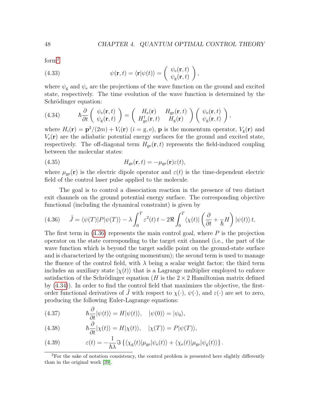form<sup>[2](#page-56-0)</sup>

(4.33) 
$$
\psi(\mathbf{r},t) = \langle \mathbf{r} | \psi(t) \rangle = \begin{pmatrix} \psi_e(\mathbf{r},t) \\ \psi_g(\mathbf{r},t) \end{pmatrix},
$$

where  $\psi_{\rm g}$  and  $\psi_{\rm e}$  are the projections of the wave function on the ground and excited state, respectively. The time evolution of the wave function is determined by the Schrödinger equation:

<span id="page-56-2"></span>(4.34) 
$$
\hbar \frac{\partial}{\partial t} \begin{pmatrix} \psi_{\rm e}(\mathbf{r},t) \\ \psi_{\rm g}(\mathbf{r},t) \end{pmatrix} = \begin{pmatrix} H_{\rm e}(\mathbf{r}) & H_{\rm ge}(\mathbf{r},t) \\ H_{\rm ge}^{\dagger}(\mathbf{r},t) & H_{\rm g}(\mathbf{r}) \end{pmatrix} \begin{pmatrix} \psi_{\rm e}(\mathbf{r},t) \\ \psi_{\rm g}(\mathbf{r},t) \end{pmatrix},
$$

where  $H_i(\mathbf{r}) = \mathbf{p}^2/(2m) + V_i(\mathbf{r})$  (i = g, e), **p** is the momentum operator,  $V_{\rm g}(\mathbf{r})$  and  $V_e(\mathbf{r})$  are the adiabatic potential energy surfaces for the ground and excited state, respectively. The off-diagonal term  $H_{ge}(\mathbf{r},t)$  represents the field-induced coupling between the molecular states:

(4.35) 
$$
H_{\rm ge}(\mathbf{r},t)=-\mu_{\rm ge}(\mathbf{r})\varepsilon(t),
$$

where  $\mu_{ge}(\mathbf{r})$  is the electric dipole operator and  $\varepsilon(t)$  is the time-dependent electric field of the control laser pulse applied to the molecule.

The goal is to control a dissociation reaction in the presence of two distinct exit channels on the ground potential energy surface. The corresponding objective functional (including the dynamical constraint) is given by

<span id="page-56-1"></span>(4.36) 
$$
\tilde{J} = \langle \psi(T) | P | \psi(T) \rangle - \lambda \int_0^T \varepsilon^2(t) t - 2 \Re \int_0^T \langle \chi(t) | \left( \frac{\partial}{\partial t} + \frac{\varepsilon}{\hbar} \right) | \psi(t) \rangle t,
$$

The first term in  $(4.36)$  represents the main control goal, where P is the projection operator on the state corresponding to the target exit channel (i.e., the part of the wave function which is beyond the target saddle point on the ground-state surface and is characterized by the outgoing momentum); the second term is used to manage the fluence of the control field, with  $\lambda$  being a scalar weight factor; the third term includes an auxiliary state  $|\chi(t)\rangle$  that is a Lagrange multiplier employed to enforce satisfaction of the Schrödinger equation (*H* is the  $2 \times 2$  Hamiltonian matrix defined by [\(4.34\)](#page-56-2)). In order to find the control field that maximizes the objective, the firstorder functional derivatives of  $\tilde{J}$  with respect to  $\chi(\cdot)$ ,  $\psi(\cdot)$ , and  $\varepsilon(\cdot)$  are set to zero, producing the following Euler-Lagrange equations:

<span id="page-56-3"></span>(4.37) 
$$
\hbar \frac{\partial}{\partial t} |\psi(t)\rangle = H |\psi(t)\rangle, \quad |\psi(0)\rangle = |\psi_0\rangle,
$$

(4.38) 
$$
\hbar \frac{\partial}{\partial t} |\chi(t)\rangle = H |\chi(t)\rangle, \quad |\chi(T)\rangle = P |\psi(T)\rangle,
$$

<span id="page-56-4"></span>(4.39) 
$$
\varepsilon(t) = -\frac{1}{\hbar\lambda}\Im\left\{\langle\chi_{\rm g}(t)|\mu_{\rm ge}|\psi_{\rm e}(t)\rangle + \langle\chi_{\rm e}(t)|\mu_{\rm ge}|\psi_{\rm g}(t)\rangle\right\}.
$$

<span id="page-56-0"></span><sup>2</sup>For the sake of notation consistency, the control problem is presented here slightly differently than in the original work [\[39\]](#page-75-1).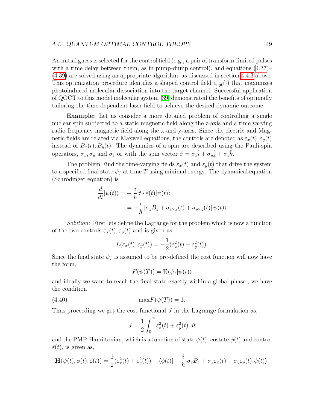An initial guess is selected for the control field (e.g., a pair of transform-limited pulses with a time delay between them, as in pump-dump control), and equations  $(4.37)$ – [\(4.39\)](#page-56-4) are solved using an appropriate algorithm, as discussed in section [4.4.3](#page-51-2) above. This optimization procedure identifies a shaped control field  $\varepsilon_{opt}(\cdot)$  that maximizes photoinduced molecular dissociation into the target channel. Successful application of QOCT to this model molecular system [\[39\]](#page-75-1) demonstrated the benefits of optimally tailoring the time-dependent laser field to achieve the desired dynamic outcome.

Example: Let us consider a more detailed problem of controlling a single nuclear spin subjected to a static magnetic field along the z-axis and a time varying radio frequency magnetic field along the x and y-axes. Since the electric and Magnetic fields are related via Maxwell equations, the controls are denoted as  $\varepsilon_x(t)$ ,  $\varepsilon_y(t)$ instead of  $B_x(t)$ ,  $B_y(t)$ . The dynamics of a spin are described using the Pauli-spin operators,  $\sigma_x, \sigma_y$  and  $\sigma_z$  or with the spin vector  $\vec{\sigma} = \sigma_x \hat{i} + \sigma_y \hat{j} + \sigma_z \hat{k}$ .

The problem: Find the time-varying fields  $\varepsilon_x(t)$  and  $\varepsilon_y(t)$  that drive the system to a specified final state  $\psi_f$  at time T using minimal energy. The dynamical equation (Schrödinger equation) is

$$
\frac{d}{dt}|\psi(t)\rangle = -\frac{i}{\hbar}\vec{\sigma}\cdot\vec{\varepsilon}(t)|\psi(t)\rangle
$$
  
=  $-\frac{i}{\hbar}\left[\sigma_zB_z + \sigma_x\varepsilon_x(t) + \sigma_y\varepsilon_y(t)\right]\psi(t)\rangle$ 

Solution: First lets define the Lagrange for the problem which is now a function of the two controls  $\varepsilon_x(t)$ ,  $\varepsilon_y(t)$  and is given as,

$$
L(\varepsilon_x(t), \varepsilon_y(t)) = -\frac{1}{2}(\varepsilon_x^2(t) + \varepsilon_y^2(t)).
$$

Since the final state  $\psi_f$  is assumed to be pre-defined the cost function will now have the form,

$$
F(\psi(T)) = \Re \langle \psi_f | \psi(t) \rangle
$$

and ideally we want to reach the final state exactly within a global phase , we have the condition

$$
(4.40) \qquad \qquad \max F(\psi(T)) = 1.
$$

Thus proceeding we get the cost functional  $J$  in the Lagrange formulation as,

$$
J = \frac{1}{2} \int_0^T \varepsilon_x^2(t) + \varepsilon_y^2(t) dt
$$

and the PMP-Hamiltonian, which is a function of state  $\psi(t)$ , costate  $\phi(t)$  and control  $\vec{\varepsilon}(t)$ , is given as,

$$
\mathbf{H}(\psi(t),\phi(t),\vec{\varepsilon}(t))=\frac{1}{2}(\varepsilon_x^2(t)+\varepsilon_y^2(t))+\langle\phi(t)|-\frac{i}{\hbar}[\sigma_zB_z+\sigma_x\varepsilon_x(t)+\sigma_y\varepsilon_y(t)|\psi(t)\rangle.
$$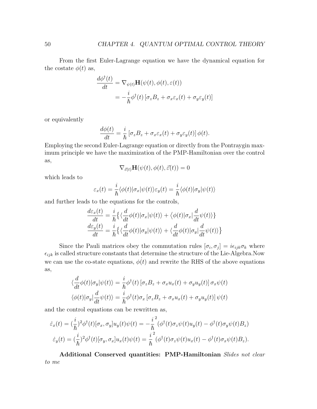From the first Euler-Lagrange equation we have the dynamical equation for the costate  $\phi(t)$  as,

$$
\frac{d\phi^{\dagger}(t)}{dt} = \nabla_{\psi(t)} \mathbf{H}(\psi(t), \phi(t), \varepsilon(t))
$$

$$
= -\frac{i}{\hbar} \phi^{\dagger}(t) \left[ \sigma_z B_z + \sigma_x \varepsilon_x(t) + \sigma_y \varepsilon_y(t) \right]
$$

or equivalently

$$
\frac{d\phi(t)}{dt} = \frac{i}{\hbar} \left[ \sigma_z B_z + \sigma_x \varepsilon_x(t) + \sigma_y \varepsilon_y(t) \right] \phi(t).
$$

Employing the second Euler-Lagrange equation or directly from the Pontraygin maximum principle we have the maximization of the PMP-Hamiltonian over the control as,

$$
\nabla_{\vec{\varepsilon}(t)} \mathbf{H}(\psi(t), \phi(t), \vec{\varepsilon}(t)) = 0
$$

which leads to

$$
\varepsilon_x(t)=\frac{i}{\hbar}\langle\phi(t)|\sigma_x|\psi(t)\rangle\varepsilon_y(t)=\frac{i}{\hbar}\langle\phi(t)|\sigma_y|\psi(t)\rangle
$$

and further leads to the equations for the controls,

$$
\frac{d\varepsilon_x(t)}{dt} = \frac{i}{\hbar} \left\{ \langle \frac{d}{dt} \phi(t) | \sigma_x | \psi(t) \rangle + \langle \phi(t) | \sigma_x | \frac{d}{dt} \psi(t) \rangle \right\}
$$
\n
$$
\frac{d\varepsilon_y(t)}{dt} = \frac{i}{\hbar} \left\{ \langle \frac{d}{dt} \phi(t) | \sigma_y | \psi(t) \rangle + \langle \frac{d}{dt} \phi(t) | \sigma_y | \frac{d}{dt} \psi(t) \rangle \right\}
$$

Since the Pauli matrices obey the commutation rules  $[\sigma_i, \sigma_j] = i\epsilon_{ijk}\sigma_k$  where  $\epsilon_{ijk}$  is called structure constants that determine the structure of the Lie-Algebra.Now we can use the co-state equations,  $\phi(t)$  and rewrite the RHS of the above equations as,

$$
\langle \frac{d}{dt} \phi(t) | \sigma_y | \psi(t) \rangle = \frac{i}{\hbar} \phi^{\dagger}(t) \left[ \sigma_z B_z + \sigma_x u_x(t) + \sigma_y u_y(t) \right] \sigma_x \psi(t)
$$
  

$$
\langle \phi(t) | \sigma_y | \frac{d}{dt} \psi(t) \rangle = \frac{i}{\hbar} \phi^{\dagger}(t) \sigma_x \left[ \sigma_z B_z + \sigma_x u_x(t) + \sigma_y u_y(t) \right] \psi(t)
$$

and the control equations can be rewritten as,

$$
\dot{\varepsilon}_x(t) = (\frac{i}{\hbar})^2 \phi^{\dagger}(t) [\sigma_x, \sigma_y] u_y(t) \psi(t) = -\frac{i}{\hbar} (\phi^{\dagger}(t) \sigma_z \psi(t) u_y(t) - \phi^{\dagger}(t) \sigma_y \psi(t) B_z)
$$
  

$$
\dot{\varepsilon}_y(t) = (\frac{i}{\hbar})^2 \phi^{\dagger}(t) [\sigma_y, \sigma_x] u_x(t) \psi(t) = \frac{i}{\hbar} (\phi^{\dagger}(t) \sigma_z \psi(t) u_x(t) - \phi^{\dagger}(t) \sigma_x \psi(t) B_z).
$$

Additional Conserved quantities: PMP-Hamiltonian Slides not clear to me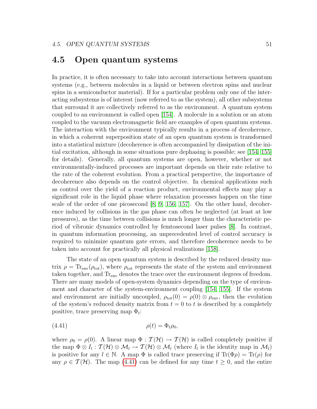# <span id="page-59-0"></span>4.5 Open quantum systems

In practice, it is often necessary to take into account interactions between quantum systems (e.g., between molecules in a liquid or between electron spins and nuclear spins in a semiconductor material). If for a particular problem only one of the interacting subsystems is of interest (now referred to as the system), all other subsystems that surround it are collectively referred to as the environment. A quantum system coupled to an environment is called open [\[154\]](#page-81-5). A molecule in a solution or an atom coupled to the vacuum electromagnetic field are examples of open quantum systems. The interaction with the environment typically results in a process of decoherence, in which a coherent superposition state of an open quantum system is transformed into a statistical mixture (decoherence is often accompanied by dissipation of the initial excitation, although in some situations pure dephasing is possible; see [\[154,](#page-81-5) [155\]](#page-82-11) for details). Generally, all quantum systems are open, however, whether or not environmentally-induced processes are important depends on their rate relative to the rate of the coherent evolution. From a practical perspective, the importance of decoherence also depends on the control objective. In chemical applications such as control over the yield of a reaction product, environmental effects may play a significant role in the liquid phase where relaxation processes happen on the time scale of the order of one picosecond [\[8,](#page-73-2) [9,](#page-73-3) [156,](#page-82-12) [157\]](#page-82-13). On the other hand, decoherence induced by collisions in the gas phase can often be neglected (at least at low pressures), as the time between collisions is much longer than the characteristic period of vibronic dynamics controlled by femtosecond laser pulses [\[8\]](#page-73-2). In contrast, in quantum information processing, an unprecedented level of control accuracy is required to minimize quantum gate errors, and therefore decoherence needs to be taken into account for practically all physical realizations [\[158\]](#page-82-10).

The state of an open quantum system is described by the reduced density matrix  $\rho = \text{Tr}_{env}(\rho_{\text{tot}})$ , where  $\rho_{\text{tot}}$  represents the state of the system and environment taken together, and  $Tr_{env}$  denotes the trace over the environment degrees of freedom. There are many models of open-system dynamics depending on the type of environment and character of the system-environment coupling [\[154,](#page-81-5) [155\]](#page-82-11). If the system and environment are initially uncoupled,  $\rho_{\text{tot}}(0) = \rho(0) \otimes \rho_{\text{env}}$ , then the evolution of the system's reduced density matrix from  $t = 0$  to t is described by a completely positive, trace preserving map  $\Phi_t$ :

<span id="page-59-1"></span>
$$
(4.41)\qquad \qquad \rho(t) = \Phi_t \rho_0,
$$

where  $\rho_0 = \rho(0)$ . A linear map  $\Phi : \mathcal{T}(\mathcal{H}) \to \mathcal{T}(\mathcal{H})$  is called completely positive if the map  $\Phi \otimes I_l : \mathcal{T}(\mathcal{H}) \otimes \mathcal{M}_l \to \mathcal{T}(\mathcal{H}) \otimes \mathcal{M}_l$  (where  $I_l$  is the identity map in  $\mathcal{M}_l$ ) is positive for any  $l \in \mathbb{N}$ . A map  $\Phi$  is called trace preserving if  $\text{Tr}(\Phi \rho) = \text{Tr}(\rho)$  for any  $\rho \in \mathcal{T}(\mathcal{H})$ . The map [\(4.41\)](#page-59-1) can be defined for any time  $t \geq 0$ , and the entire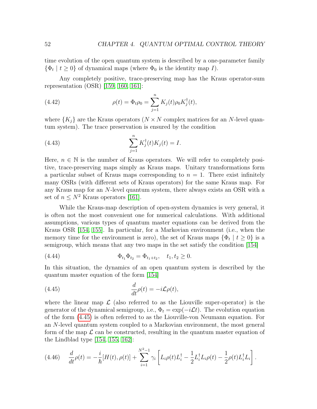time evolution of the open quantum system is described by a one-parameter family  $\{\Phi_t \mid t \geq 0\}$  of dynamical maps (where  $\Phi_0$  is the identity map I).

Any completely positive, trace-preserving map has the Kraus operator-sum representation (OSR) [\[159,](#page-82-14) [160,](#page-82-15) [161\]](#page-82-16):

(4.42) 
$$
\rho(t) = \Phi_t \rho_0 = \sum_{j=1}^n K_j(t) \rho_0 K_j^{\dagger}(t),
$$

where  $\{K_i\}$  are the Kraus operators  $(N \times N)$  complex matrices for an N-level quantum system). The trace preservation is ensured by the condition

(4.43) 
$$
\sum_{j=1}^{n} K_{j}^{\dagger}(t) K_{j}(t) = I.
$$

Here,  $n \in \mathbb{N}$  is the number of Kraus operators. We will refer to completely positive, trace-preserving maps simply as Kraus maps. Unitary transformations form a particular subset of Kraus maps corresponding to  $n = 1$ . There exist infinitely many OSRs (with different sets of Kraus operators) for the same Kraus map. For any Kraus map for an N-level quantum system, there always exists an OSR with a set of  $n \leq N^2$  Kraus operators [\[161\]](#page-82-16).

While the Kraus-map description of open-system dynamics is very general, it is often not the most convenient one for numerical calculations. With additional assumptions, various types of quantum master equations can be derived from the Kraus OSR [\[154,](#page-81-5) [155\]](#page-82-11). In particular, for a Markovian environment (i.e., when the memory time for the environment is zero), the set of Kraus maps  $\{\Phi_t | t \geq 0\}$  is a semigroup, which means that any two maps in the set satisfy the condition [\[154\]](#page-81-5)

(4.44) 
$$
\Phi_{t_1}\Phi_{t_2} = \Phi_{t_1+t_2}, \quad t_1, t_2 \geq 0.
$$

In this situation, the dynamics of an open quantum system is described by the quantum master equation of the form [\[154\]](#page-81-5)

<span id="page-60-0"></span>(4.45) 
$$
\frac{d}{dt}\rho(t) = -i\mathcal{L}\rho(t),
$$

where the linear map  $\mathcal L$  (also referred to as the Liouville super-operator) is the generator of the dynamical semigroup, i.e.,  $\Phi_t = \exp(-i\mathcal{L}t)$ . The evolution equation of the form [\(4.45\)](#page-60-0) is often referred to as the Liouville-von Neumann equation. For an N-level quantum system coupled to a Markovian environment, the most general form of the map  $\mathcal L$  can be constructed, resulting in the quantum master equation of the Lindblad type [\[154,](#page-81-5) [155,](#page-82-11) [162\]](#page-82-17):

<span id="page-60-1"></span>
$$
(4.46)\quad \frac{d}{dt}\rho(t) = -\frac{i}{\hbar}[H(t),\rho(t)] + \sum_{i=1}^{N^2-1} \gamma_i \left[L_i \rho(t)L_i^{\dagger} - \frac{1}{2}L_i^{\dagger}L_i \rho(t) - \frac{1}{2}\rho(t)L_i^{\dagger}L_i\right].
$$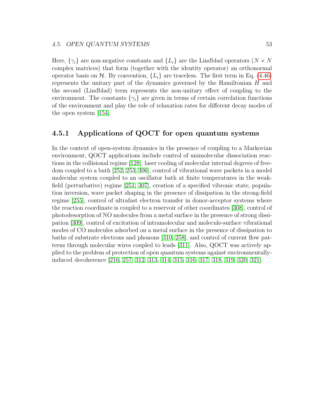Here,  $\{\gamma_i\}$  are non-negative constants and  $\{L_i\}$  are the Lindblad operators  $(N \times N)$ complex matrices) that form (together with the identity operator) an orthonormal operator basis on  $\mathcal{H}$ . By convention,  $\{L_i\}$  are traceless. The first term in Eq. [\(4.46\)](#page-60-1) represents the unitary part of the dynamics governed by the Hamiltonian  $H$  and the second (Lindblad) term represents the non-unitary effect of coupling to the environment. The constants  $\{\gamma_i\}$  are given in terms of certain correlation functions of the environment and play the role of relaxation rates for different decay modes of the open system [\[154\]](#page-81-5).

## 4.5.1 Applications of QOCT for open quantum systems

In the context of open-system dynamics in the presence of coupling to a Markovian environment, QOCT applications include control of unimolecular dissociation reactions in the collisional regime [\[128\]](#page-80-2), laser cooling of molecular internal degrees of freedom coupled to a bath [\[252,](#page-87-1) [253,](#page-87-2) [306\]](#page-89-16), control of vibrational wave packets in a model molecular system coupled to an oscillator bath at finite temperatures in the weakfield (perturbative) regime [\[251,](#page-87-0) [307\]](#page-89-17), creation of a specified vibronic state, population inversion, wave packet shaping in the presence of dissipation in the strong-field regime [\[255\]](#page-87-4), control of ultrafast electron transfer in donor-acceptor systems where the reaction coordinate is coupled to a reservoir of other coordinates [\[308\]](#page-89-18), control of photodesorption of NO molecules from a metal surface in the presence of strong dissipation [\[309\]](#page-90-8), control of excitation of intramolecular and molecule-surface vibrational modes of CO molecules adsorbed on a metal surface in the presence of dissipation to baths of substrate electrons and phonons [\[310,](#page-90-9) [258\]](#page-87-7), and control of current flow patterns through molecular wires coupled to leads [\[311\]](#page-90-10). Also, QOCT was actively applied to the problem of protection of open quantum systems against environmentallyinduced decoherence [\[216,](#page-85-5) [257,](#page-87-6) [312,](#page-90-11) [313,](#page-90-12) [314,](#page-90-13) [315,](#page-90-14) [316,](#page-90-15) [317,](#page-90-16) [318,](#page-90-17) [319,](#page-90-18) [320,](#page-90-19) [321\]](#page-90-20).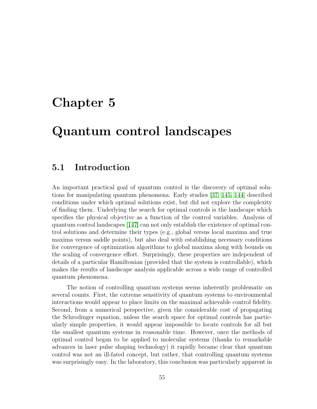# Chapter 5

# Quantum control landscapes

# 5.1 Introduction

An important practical goal of quantum control is the discovery of optimal solutions for manipulating quantum phenomena. Early studies [\[37,](#page-75-0) [145,](#page-81-3) [144\]](#page-81-2) described conditions under which optimal solutions exist, but did not explore the complexity of finding them. Underlying the search for optimal controls is the landscape which specifies the physical objective as a function of the control variables. Analysis of quantum control landscapes [\[147\]](#page-81-6) can not only establish the existence of optimal control solutions and determine their types (e.g., global versus local maxima and true maxima versus saddle points), but also deal with establishing necessary conditions for convergence of optimization algorithms to global maxima along with bounds on the scaling of convergence effort. Surprisingly, these properties are independent of details of a particular Hamiltonian (provided that the system is controllable), which makes the results of landscape analysis applicable across a wide range of controlled quantum phenomena.

The notion of controlling quantum systems seems inherently problematic on several counts. First, the extreme sensitivity of quantum systems to environmental interactions would appear to place limits on the maximal achievable control fidelity. Second, from a numerical perspective, given the considerable cost of propagating the Schrodinger equation, unless the search space for optimal controls has particularly simple properties, it would appear impossible to locate controls for all but the smallest quantum systems in reasonable time. However, once the methods of optimal control began to be applied to molecular systems (thanks to remarkable advances in laser pulse shaping technology) it rapidly became clear that quantum control was not an ill-fated concept, but rather, that controlling quantum systems was surprisingly easy. In the laboratory, this conclusion was particularly apparent in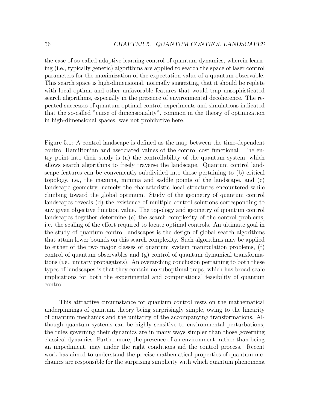the case of so-called adaptive learning control of quantum dynamics, wherein learning (i.e., typically genetic) algorithms are applied to search the space of laser control parameters for the maximization of the expectation value of a quantum observable. This search space is high-dimensional, normally suggesting that it should be replete with local optima and other unfavorable features that would trap unsophisticated search algorithms, especially in the presence of environmental decoherence. The repeated successes of quantum optimal control experiments and simulations indicated that the so-called "curse of dimensionality", common in the theory of optimization in high-dimensional spaces, was not prohibitive here.

<span id="page-64-0"></span>Figure 5.1: A control landscape is defined as the map between the time-dependent control Hamiltonian and associated values of the control cost functional. The entry point into their study is (a) the controllability of the quantum system, which allows search algorithms to freely traverse the landscape. Quantum control landscape features can be conveniently subdivided into those pertaining to (b) critical topology, i.e., the maxima, minima and saddle points of the landscape, and (c) landscape geometry, namely the characteristic local structures encountered while climbing toward the global optimum. Study of the geometry of quantum control landscapes reveals (d) the existence of multiple control solutions corresponding to any given objective function value. The topology and geometry of quantum control landscapes together determine (e) the search complexity of the control problems, i.e. the scaling of the effort required to locate optimal controls. An ultimate goal in the study of quantum control landscapes is the design of global search algorithms that attain lower bounds on this search complexity. Such algorithms may be applied to either of the two major classes of quantum system manipulation problems, (f) control of quantum observables and (g) control of quantum dynamical transformations (i.e., unitary propagators). An overarching conclusion pertaining to both these types of landscapes is that they contain no suboptimal traps, which has broad-scale implications for both the experimental and computational feasibility of quantum control.

This attractive circumstance for quantum control rests on the mathematical underpinnings of quantum theory being surprisingly simple, owing to the linearity of quantum mechanics and the unitarity of the accompanying transformations. Although quantum systems can be highly sensitive to environmental perturbations, the rules governing their dynamics are in many ways simpler than those governing classical dynamics. Furthermore, the presence of an environment, rather than being an impediment, may under the right conditions aid the control process. Recent work has aimed to understand the precise mathematical properties of quantum mechanics are responsible for the surprising simplicity with which quantum phenomena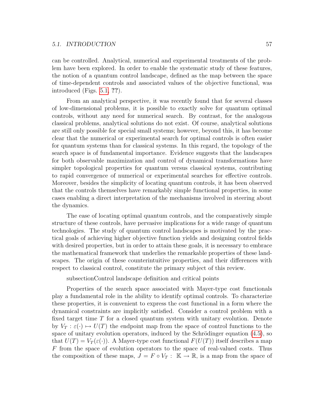can be controlled. Analytical, numerical and experimental treatments of the problem have been explored. In order to enable the systematic study of these features, the notion of a quantum control landscape, defined as the map between the space of time-dependent controls and associated values of the objective functional, was introduced (Figs. [5.1,](#page-64-0) ??).

From an analytical perspective, it was recently found that for several classes of low-dimensional problems, it is possible to exactly solve for quantum optimal controls, without any need for numerical search. By contrast, for the analogous classical problems, analytical solutions do not exist. Of course, analytical solutions are still only possible for special small systems; however, beyond this, it has become clear that the numerical or experimental search for optimal controls is often easier for quantum systems than for classical systems. In this regard, the topology of the search space is of fundamental importance. Evidence suggests that the landscapes for both observable maximization and control of dynamical transformations have simpler topological properties for quantum versus classical systems, contributing to rapid convergence of numerical or experimental searches for effective controls. Moreover, besides the simplicity of locating quantum controls, it has been observed that the controls themselves have remarkably simple functional properties, in some cases enabling a direct interpretation of the mechanisms involved in steering about the dynamics.

The ease of locating optimal quantum controls, and the comparatively simple structure of these controls, have pervasive implications for a wide range of quantum technologies. The study of quantum control landscapes is motivated by the practical goals of achieving higher objective function yields and designing control fields with desired properties, but in order to attain these goals, it is necessary to embrace the mathematical framework that underlies the remarkable properties of these landscapes. The origin of these counterintuitive properties, and their differences with respect to classical control, constitute the primary subject of this review.

subsectionControl landscape definition and critical points

Properties of the search space associated with Mayer-type cost functionals play a fundamental role in the ability to identify optimal controls. To characterize these properties, it is convenient to express the cost functional in a form where the dynamical constraints are implicitly satisfied. Consider a control problem with a fixed target time T for a closed quantum system with unitary evolution. Denote by  $V_T : \varepsilon(\cdot) \mapsto U(T)$  the endpoint map from the space of control functions to the space of unitary evolution operators, induced by the Schrödinger equation  $(4.5)$ , so that  $U(T) = V_T(\varepsilon(\cdot))$ . A Mayer-type cost functional  $F(U(T))$  itself describes a map F from the space of evolution operators to the space of real-valued costs. Thus the composition of these maps,  $J = F \circ V_T : \mathbb{K} \to \mathbb{R}$ , is a map from the space of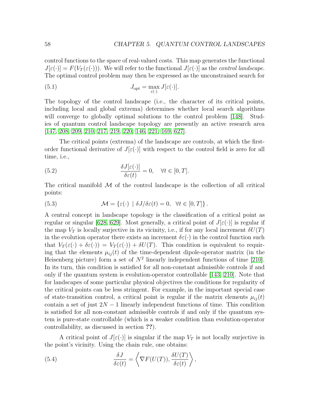control functions to the space of real-valued costs. This map generates the functional  $J[\varepsilon(\cdot)] = F(V_T(\varepsilon(\cdot)))$ . We will refer to the functional  $J[\varepsilon(\cdot)]$  as the *control landscape*. The optimal control problem may then be expressed as the unconstrained search for

(5.1) 
$$
J_{\text{opt}} = \max_{\varepsilon(\cdot)} J[\varepsilon(\cdot)].
$$

The topology of the control landscape (i.e., the character of its critical points, including local and global extrema) determines whether local search algorithms will converge to globally optimal solutions to the control problem [\[148\]](#page-81-7). Studies of quantum control landscape topology are presently an active research area [\[147,](#page-81-6) [208,](#page-84-1) [209,](#page-84-2) [210,](#page-84-3) [217,](#page-85-0) [219,](#page-85-2) [220,](#page-85-3) [146,](#page-81-4) [221,](#page-85-4) [169,](#page-82-6) [627\]](#page-108-0).

The critical points (extrema) of the landscape are controls, at which the firstorder functional derivative of  $J[\varepsilon(\cdot)]$  with respect to the control field is zero for all time, i.e.,

<span id="page-66-1"></span>(5.2) 
$$
\frac{\delta J[\varepsilon(\cdot)]}{\delta \varepsilon(t)} = 0, \quad \forall t \in [0, T].
$$

The critical manifold  $\mathcal M$  of the control landscape is the collection of all critical points:

(5.3) 
$$
\mathcal{M} = \{\varepsilon(\cdot) \mid \delta J/\delta \varepsilon(t) = 0, \ \forall t \in [0, T]\}.
$$

A central concept in landscape topology is the classification of a critical point as regular or singular [\[628,](#page-108-1) [629\]](#page-108-2). Most generally, a critical point of  $J[\epsilon(\cdot)]$  is regular if the map  $V_T$  is locally surjective in its vicinity, i.e., if for any local increment  $\delta U(T)$ in the evolution operator there exists an increment  $\delta \varepsilon(\cdot)$  in the control function such that  $V_T(\varepsilon(\cdot) + \delta \varepsilon(\cdot)) = V_T(\varepsilon(\cdot)) + \delta U(T)$ . This condition is equivalent to requiring that the elements  $\mu_{ij}(t)$  of the time-dependent dipole-operator matrix (in the Heisenberg picture) form a set of  $N^2$  linearly independent functions of time [\[210\]](#page-84-3). In its turn, this condition is satisfied for all non-constant admissible controls if and only if the quantum system is evolution-operator controllable [\[143,](#page-81-1) [210\]](#page-84-3). Note that for landscapes of some particular physical objectives the conditions for regularity of the critical points can be less stringent. For example, in the important special case of state-transition control, a critical point is regular if the matrix elements  $\mu_{ij}(t)$ contain a set of just  $2N - 1$  linearly independent functions of time. This condition is satisfied for all non-constant admissible controls if and only if the quantum system is pure-state controllable (which is a weaker condition than evolution-operator controllability, as discussed in section ??).

A critical point of  $J[\varepsilon(\cdot)]$  is singular if the map  $V_T$  is not locally surjective in the point's vicinity. Using the chain rule, one obtains:

<span id="page-66-0"></span>(5.4) 
$$
\frac{\delta J}{\delta \varepsilon(t)} = \left\langle \nabla F(U(T)), \frac{\delta U(T)}{\delta \varepsilon(t)} \right\rangle,
$$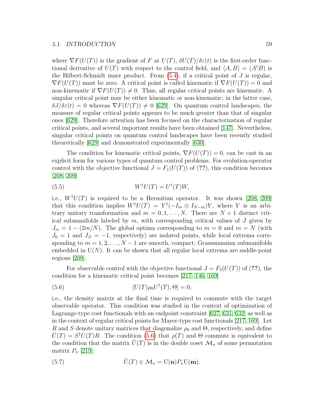where  $\nabla F(U(T))$  is the gradient of F at  $U(T)$ ,  $\delta U(T)/\delta \varepsilon(t)$  is the first-order functional derivative of  $U(T)$  with respect to the control field, and  $\langle A, B \rangle = (A^{\dagger}B)$  is the Hilbert-Schmidt inner product. From  $(5.4)$ , if a critical point of J is regular,  $\nabla F(U(T))$  must be zero. A critical point is called kinematic if  $\nabla F(U(T)) = 0$  and non-kinematic if  $\nabla F(U(T)) \neq 0$ . Thus, all regular critical points are kinematic. A singular critical point may be either kinematic or non-kinematic; in the latter case,  $\delta J/\delta \varepsilon(t) = 0$  whereas  $\nabla F(U(T)) \neq 0$  [\[629\]](#page-108-2). On quantum control landscapes, the measure of regular critical points appears to be much greater than that of singular ones [\[629\]](#page-108-2). Therefore attention has been focused on the characterization of regular critical points, and several important results have been obtained [\[147\]](#page-81-6). Nevertheless, singular critical points on quantum control landscapes have been recently studied theoretically [\[629\]](#page-108-2) and demonstrated experimentally [\[630\]](#page-108-3).

The condition for kinematic critical points,  $\nabla F(U(T)) = 0$ , can be cast in an explicit form for various types of quantum control problems. For evolution-operator control with the objective functional  $J = F_1(U(T))$  of (??), this condition becomes [\[208,](#page-84-1) [209\]](#page-84-2)

$$
(5.5) \t W†U(T) = U†(T)W,
$$

i.e.,  $W^{\dagger}U(T)$  is required to be a Hermitian operator. It was shown [\[208,](#page-84-1) [209\]](#page-84-2) that this condition implies  $W^{\dagger}U(T) = Y^{\dagger}(-I_m \oplus I_{N-m})Y$ , where Y is an arbitrary unitary transformation and  $m = 0, 1, ..., N$ . There are  $N + 1$  distinct critical submanifolds labeled by  $m$ , with corresponding critical values of J given by  $J_m = 1 - (2m/N)$ . The global optima corresponding to  $m = 0$  and  $m = N$  (with  $J_0 = 1$  and  $J_N = -1$ , respectively) are isolated points, while local extrema corresponding to  $m = 1, 2, ..., N - 1$  are smooth, compact, Grassmannian submanifolds embedded in  $U(N)$ . It can be shown that all regular local extrema are saddle-point regions [\[209\]](#page-84-2).

For observable control with the objective functional  $J = F_3(U(T))$  of (??), the condition for a kinematic critical point becomes [\[217,](#page-85-0) [146,](#page-81-4) [169\]](#page-82-6)

<span id="page-67-0"></span>(5.6) 
$$
[U(T)\rho_0 U^{\dagger}(T),\Theta]=0,
$$

i.e., the density matrix at the final time is required to commute with the target observable operator. This condition was studied in the context of optimization of Lagrange-type cost functionals with an endpoint constraint [\[627,](#page-108-0) [631,](#page-108-4) [632\]](#page-108-5) as well as in the context of regular critical points for Mayer-type cost functionals [\[217,](#page-85-0) [169\]](#page-82-6). Let R and S denote unitary matrices that diagonalize  $\rho_0$  and  $\Theta$ , respectively, and define  $\tilde{U}(T) = S^{\dagger}U(T)R$ . The condition [\(5.6\)](#page-67-0) that  $\rho(T)$  and  $\Theta$  commute is equivalent to the condition that the matrix  $U(T)$  is in the double coset  $\mathcal{M}_{\pi}$  of some permutation matrix  $P_{\pi}$  [\[219\]](#page-85-2):

(5.7) 
$$
\tilde{U}(T) \in \mathcal{M}_{\pi} = U(n) P_{\pi} U(m).
$$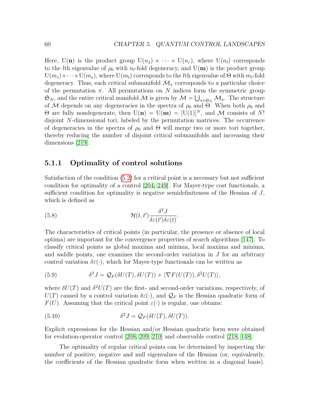Here,  $U(n)$  is the product group  $U(n_1) \times \cdots \times U(n_r)$ , where  $U(n_l)$  corresponds to the *l*th eigenvalue of  $\rho_0$  with  $n_l$ -fold degeneracy, and U(m) is the product group  $U(m_1)\times\cdots\times U(m_s)$ , where  $U(m_l)$  corresponds to the *l*th eigenvalue of  $\Theta$  with  $m_l$ -fold degeneracy. Thus, each critical submanifold  $\mathcal{M}_{\pi}$  corresponds to a particular choice of the permutation  $\pi$ . All permutations on N indices form the symmetric group  $\mathfrak{S}_N$ , and the entire critical manifold M is given by  $\mathcal{M} = \bigcup_{\pi \in \mathfrak{S}_N} \mathcal{M}_{\pi}$ . The structure of M depends on any degeneracies in the spectra of  $\rho_0$  and  $\Theta$ . When both  $\rho_0$  and  $Θ$  are fully nondegenerate, then  $U(n) = U(m) = [U(1)]^N$ , and M consists of N! disjoint N-dimensional tori, labeled by the permutation matrices. The occurrence of degeneracies in the spectra of  $\rho_0$  and  $\Theta$  will merge two or more tori together, thereby reducing the number of disjoint critical submanifolds and increasing their dimensions [\[219\]](#page-85-2).

## 5.1.1 Optimality of control solutions

Satisfaction of the condition [\(5.2\)](#page-66-1) for a critical point is a necessary but not sufficient condition for optimality of a control [\[204,](#page-84-0) [249\]](#page-86-0). For Mayer-type cost functionals, a sufficient condition for optimality is negative semidefiniteness of the Hessian of J, which is defined as

(5.8) 
$$
\mathcal{H}(t,t')\frac{\delta^2 J}{\delta \varepsilon(t')\delta \varepsilon(t)}.
$$

The characteristics of critical points (in particular, the presence or absence of local optima) are important for the convergence properties of search algorithms [\[147\]](#page-81-6). To classify critical points as global maxima and minima, local maxima and minima, and saddle points, one examines the second-order variation in  $J$  for an arbitrary control variation  $\delta \varepsilon(\cdot)$ , which for Mayer-type functionals can be written as

(5.9) 
$$
\delta^2 J = \mathcal{Q}_F(\delta U(T), \delta U(T)) + \langle \nabla F(U(T)), \delta^2 U(T) \rangle,
$$

where  $\delta U(T)$  and  $\delta^2 U(T)$  are the first- and second-order variations, respectively, of  $U(T)$  caused by a control variation  $\delta \varepsilon(\cdot)$ , and  $\mathcal{Q}_F$  is the Hessian quadratic form of  $F(U)$ . Assuming that the critical point  $\varepsilon(\cdot)$  is regular, one obtains:

(5.10) 
$$
\delta^2 J = \mathcal{Q}_F(\delta U(T), \delta U(T)).
$$

Explicit expressions for the Hessian and/or Hessian quadratic form were obtained for evolution-operator control [\[208,](#page-84-1) [209,](#page-84-2) [210\]](#page-84-3) and observable control [\[218,](#page-85-1) [148\]](#page-81-7).

The optimality of regular critical points can be determined by inspecting the number of positive, negative and null eigenvalues of the Hessian (or, equivalently, the coefficients of the Hessian quadratic form when written in a diagonal basis).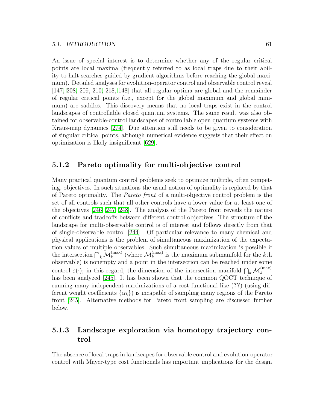An issue of special interest is to determine whether any of the regular critical points are local maxima (frequently referred to as local traps due to their ability to halt searches guided by gradient algorithms before reaching the global maximum). Detailed analyses for evolution-operator control and observable control reveal [\[147,](#page-81-6) [208,](#page-84-1) [209,](#page-84-2) [210,](#page-84-3) [218,](#page-85-1) [148\]](#page-81-7) that all regular optima are global and the remainder of regular critical points (i.e., except for the global maximum and global minimum) are saddles. This discovery means that no local traps exist in the control landscapes of controllable closed quantum systems. The same result was also obtained for observable-control landscapes of controllable open quantum systems with Kraus-map dynamics [\[274\]](#page-88-4). Due attention still needs to be given to consideration of singular critical points, although numerical evidence suggests that their effect on optimization is likely insignificant [\[629\]](#page-108-2).

## 5.1.2 Pareto optimality for multi-objective control

Many practical quantum control problems seek to optimize multiple, often competing, objectives. In such situations the usual notion of optimality is replaced by that of Pareto optimality. The Pareto front of a multi-objective control problem is the set of all controls such that all other controls have a lower value for at least one of the objectives [\[246,](#page-86-6) [247,](#page-86-7) [248\]](#page-86-8). The analysis of the Pareto front reveals the nature of conflicts and tradeoffs between different control objectives. The structure of the landscape for multi-observable control is of interest and follows directly from that of single-observable control [\[244\]](#page-86-3). Of particular relevance to many chemical and physical applications is the problem of simultaneous maximization of the expectation values of multiple observables. Such simultaneous maximization is possible if the intersection  $\bigcap_k \mathcal{M}_k^{(\max)}$  (where  $\mathcal{M}_k^{(\max)}$  is the maximum submanifold for the kth observable) is nonempty and a point in the intersection can be reached under some control  $\varepsilon(\cdot)$ ; in this regard, the dimension of the intersection manifold  $\bigcap_k \mathcal{M}_k^{(\max)}$ has been analyzed [\[245\]](#page-86-4). It has been shown that the common QOCT technique of running many independent maximizations of a cost functional like (??) (using different weight coefficients  $\{\alpha_k\}$  is incapable of sampling many regions of the Pareto front [\[245\]](#page-86-4). Alternative methods for Pareto front sampling are discussed further below.

## 5.1.3 Landscape exploration via homotopy trajectory control

The absence of local traps in landscapes for observable control and evolution-operator control with Mayer-type cost functionals has important implications for the design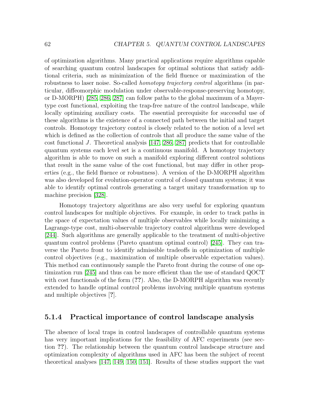of optimization algorithms. Many practical applications require algorithms capable of searching quantum control landscapes for optimal solutions that satisfy additional criteria, such as minimization of the field fluence or maximization of the robustness to laser noise. So-called *homotopy trajectory control* algorithms (in particular, diffeomorphic modulation under observable-response-preserving homotopy, or D-MORPH) [\[285,](#page-88-15) [286,](#page-88-16) [287\]](#page-88-17) can follow paths to the global maximum of a Mayertype cost functional, exploiting the trap-free nature of the control landscape, while locally optimizing auxiliary costs. The essential prerequisite for successful use of these algorithms is the existence of a connected path between the initial and target controls. Homotopy trajectory control is closely related to the notion of a level set which is defined as the collection of controls that all produce the same value of the cost functional J. Theoretical analysis [\[147,](#page-81-6) [286,](#page-88-16) [287\]](#page-88-17) predicts that for controllable quantum systems each level set is a continuous manifold. A homotopy trajectory algorithm is able to move on such a manifold exploring different control solutions that result in the same value of the cost functional, but may differ in other properties (e.g., the field fluence or robustness). A version of the D-MORPH algorithm was also developed for evolution-operator control of closed quantum systems; it was able to identify optimal controls generating a target unitary transformation up to machine precision [\[328\]](#page-90-6).

Homotopy trajectory algorithms are also very useful for exploring quantum control landscapes for multiple objectives. For example, in order to track paths in the space of expectation values of multiple observables while locally minimizing a Lagrange-type cost, multi-observable trajectory control algorithms were developed [\[244\]](#page-86-3). Such algorithms are generally applicable to the treatment of multi-objective quantum control problems (Pareto quantum optimal control) [\[245\]](#page-86-4). They can traverse the Pareto front to identify admissible tradeoffs in optimization of multiple control objectives (e.g., maximization of multiple observable expectation values). This method can continuously sample the Pareto front during the course of one optimization run [\[245\]](#page-86-4) and thus can be more efficient than the use of standard QOCT with cost functionals of the form  $(??)$ . Also, the D-MORPH algorithm was recently extended to handle optimal control problems involving multiple quantum systems and multiple objectives [?].

### 5.1.4 Practical importance of control landscape analysis

The absence of local traps in control landscapes of controllable quantum systems has very important implications for the feasibility of AFC experiments (see section ??). The relationship between the quantum control landscape structure and optimization complexity of algorithms used in AFC has been the subject of recent theoretical analyses [\[147,](#page-81-6) [149,](#page-81-8) [150,](#page-81-9) [151\]](#page-81-10). Results of these studies support the vast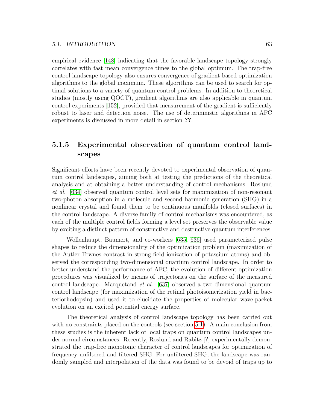empirical evidence [\[148\]](#page-81-7) indicating that the favorable landscape topology strongly correlates with fast mean convergence times to the global optimum. The trap-free control landscape topology also ensures convergence of gradient-based optimization algorithms to the global maximum. These algorithms can be used to search for optimal solutions to a variety of quantum control problems. In addition to theoretical studies (mostly using QOCT), gradient algorithms are also applicable in quantum control experiments [\[152\]](#page-81-11), provided that measurement of the gradient is sufficiently robust to laser and detection noise. The use of deterministic algorithms in AFC experiments is discussed in more detail in section ??.

## 5.1.5 Experimental observation of quantum control landscapes

Significant efforts have been recently devoted to experimental observation of quantum control landscapes, aiming both at testing the predictions of the theoretical analysis and at obtaining a better understanding of control mechanisms. Roslund et al. [\[634\]](#page-108-6) observed quantum control level sets for maximization of non-resonant two-photon absorption in a molecule and second harmonic generation (SHG) in a nonlinear crystal and found them to be continuous manifolds (closed surfaces) in the control landscape. A diverse family of control mechanisms was encountered, as each of the multiple control fields forming a level set preserves the observable value by exciting a distinct pattern of constructive and destructive quantum interferences.

Wollenhaupt, Baumert, and co-workers [\[635,](#page-108-7) [636\]](#page-108-8) used parameterized pulse shapes to reduce the dimensionality of the optimization problem (maximization of the Autler-Townes contrast in strong-field ionization of potassium atoms) and observed the corresponding two-dimensional quantum control landscape. In order to better understand the performance of AFC, the evolution of different optimization procedures was visualized by means of trajectories on the surface of the measured control landscape. Marquetand et al. [\[637\]](#page-108-9) observed a two-dimensional quantum control landscape (for maximization of the retinal photoisomerization yield in bacteriorhodopsin) and used it to elucidate the properties of molecular wave-packet evolution on an excited potential energy surface.

The theoretical analysis of control landscape topology has been carried out with no constraints placed on the controls (see section [5.1\)](#page-64-0). A main conclusion from these studies is the inherent lack of local traps on quantum control landscapes under normal circumstances. Recently, Roslund and Rabitz [?] experimentally demonstrated the trap-free monotonic character of control landscapes for optimization of frequency unfiltered and filtered SHG. For unfiltered SHG, the landscape was randomly sampled and interpolation of the data was found to be devoid of traps up to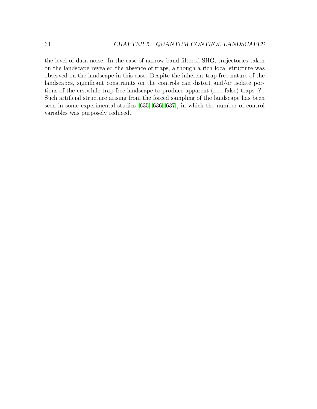the level of data noise. In the case of narrow-band-filtered SHG, trajectories taken on the landscape revealed the absence of traps, although a rich local structure was observed on the landscape in this case. Despite the inherent trap-free nature of the landscapes, significant constraints on the controls can distort and/or isolate portions of the erstwhile trap-free landscape to produce apparent (i.e., false) traps [?]. Such artificial structure arising from the forced sampling of the landscape has been seen in some experimental studies [\[635,](#page-108-0) [636,](#page-108-1) [637\]](#page-108-2), in which the number of control variables was purposely reduced.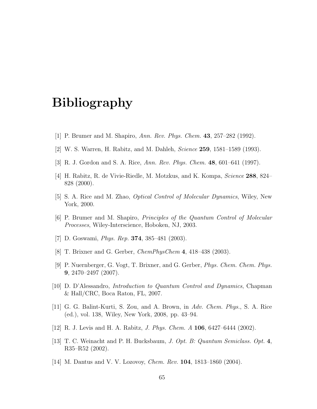## Bibliography

- [1] P. Brumer and M. Shapiro, Ann. Rev. Phys. Chem. 43, 257–282 (1992).
- [2] W. S. Warren, H. Rabitz, and M. Dahleh, Science 259, 1581–1589 (1993).
- [3] R. J. Gordon and S. A. Rice, Ann. Rev. Phys. Chem. 48, 601–641 (1997).
- [4] H. Rabitz, R. de Vivie-Riedle, M. Motzkus, and K. Kompa, Science 288, 824– 828 (2000).
- [5] S. A. Rice and M. Zhao, Optical Control of Molecular Dynamics, Wiley, New York, 2000.
- [6] P. Brumer and M. Shapiro, Principles of the Quantum Control of Molecular Processes, Wiley-Interscience, Hoboken, NJ, 2003.
- [7] D. Goswami, Phys. Rep. 374, 385–481 (2003).
- [8] T. Brixner and G. Gerber, ChemPhysChem 4, 418–438 (2003).
- [9] P. Nuernberger, G. Vogt, T. Brixner, and G. Gerber, Phys. Chem. Chem. Phys. 9, 2470–2497 (2007).
- [10] D. D'Alessandro, Introduction to Quantum Control and Dynamics, Chapman & Hall/CRC, Boca Raton, FL, 2007.
- [11] G. G. Balint-Kurti, S. Zou, and A. Brown, in Adv. Chem. Phys., S. A. Rice (ed.), vol. 138, Wiley, New York, 2008, pp. 43–94.
- [12] R. J. Levis and H. A. Rabitz, J. Phys. Chem. A 106, 6427–6444 (2002).
- [13] T. C. Weinacht and P. H. Bucksbaum, J. Opt. B: Quantum Semiclass. Opt. 4, R35–R52 (2002).
- [14] M. Dantus and V. V. Lozovoy, Chem. Rev. 104, 1813–1860 (2004).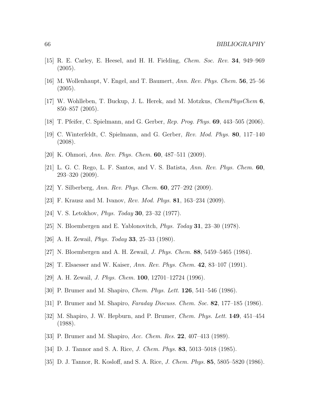- [15] R. E. Carley, E. Heesel, and H. H. Fielding, Chem. Soc. Rev. 34, 949–969 (2005).
- [16] M. Wollenhaupt, V. Engel, and T. Baumert, Ann. Rev. Phys. Chem. 56, 25–56 (2005).
- [17] W. Wohlleben, T. Buckup, J. L. Herek, and M. Motzkus, ChemPhysChem 6, 850–857 (2005).
- [18] T. Pfeifer, C. Spielmann, and G. Gerber, Rep. Prog. Phys. 69, 443–505 (2006).
- [19] C. Winterfeldt, C. Spielmann, and G. Gerber, Rev. Mod. Phys. 80, 117–140 (2008).
- [20] K. Ohmori, Ann. Rev. Phys. Chem. 60, 487–511 (2009).
- [21] L. G. C. Rego, L. F. Santos, and V. S. Batista, Ann. Rev. Phys. Chem. 60, 293–320 (2009).
- [22] Y. Silberberg, Ann. Rev. Phys. Chem. 60, 277–292 (2009).
- [23] F. Krausz and M. Ivanov, Rev. Mod. Phys. 81, 163–234 (2009).
- [24] V. S. Letokhov, *Phys. Today* **30**, 23–32 (1977).
- [25] N. Bloembergen and E. Yablonovitch, *Phys. Today* **31**, 23–30 (1978).
- [26] A. H. Zewail, *Phys. Today* **33**, 25–33 (1980).
- [27] N. Bloembergen and A. H. Zewail, J. Phys. Chem. 88, 5459–5465 (1984).
- [28] T. Elsaesser and W. Kaiser, Ann. Rev. Phys. Chem. 42, 83–107 (1991).
- [29] A. H. Zewail, J. Phys. Chem. 100, 12701–12724 (1996).
- [30] P. Brumer and M. Shapiro, Chem. Phys. Lett. 126, 541–546 (1986).
- [31] P. Brumer and M. Shapiro, Faraday Discuss. Chem. Soc. 82, 177–185 (1986).
- [32] M. Shapiro, J. W. Hepburn, and P. Brumer, Chem. Phys. Lett. 149, 451–454 (1988).
- [33] P. Brumer and M. Shapiro, Acc. Chem. Res. 22, 407–413 (1989).
- [34] D. J. Tannor and S. A. Rice, *J. Chem. Phys.* **83**, 5013–5018 (1985).
- [35] D. J. Tannor, R. Kosloff, and S. A. Rice, J. Chem. Phys. 85, 5805–5820 (1986).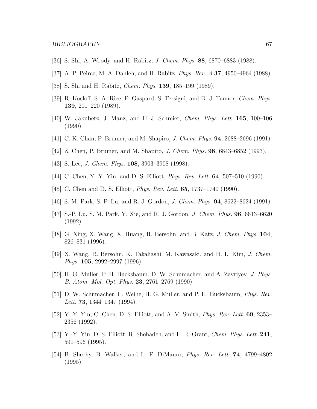- [36] S. Shi, A. Woody, and H. Rabitz, J. Chem. Phys. 88, 6870–6883 (1988).
- [37] A. P. Peirce, M. A. Dahleh, and H. Rabitz, Phys. Rev. A 37, 4950–4964 (1988).
- [38] S. Shi and H. Rabitz, *Chem. Phys.* **139**, 185–199 (1989).
- [39] R. Kosloff, S. A. Rice, P. Gaspard, S. Tersigni, and D. J. Tannor, Chem. Phys. 139, 201–220 (1989).
- [40] W. Jakubetz, J. Manz, and H.-J. Schreier, Chem. Phys. Lett. 165, 100–106 (1990).
- [41] C. K. Chan, P. Brumer, and M. Shapiro, J. Chem. Phys. 94, 2688–2696 (1991).
- [42] Z. Chen, P. Brumer, and M. Shapiro, J. Chem. Phys. 98, 6843–6852 (1993).
- [43] S. Lee, *J. Chem. Phys.* **108**, 3903–3908 (1998).
- [44] C. Chen, Y.-Y. Yin, and D. S. Elliott, *Phys. Rev. Lett.* **64**, 507–510 (1990).
- [45] C. Chen and D. S. Elliott, *Phys. Rev. Lett.* **65**, 1737–1740 (1990).
- [46] S. M. Park, S.-P. Lu, and R. J. Gordon, *J. Chem. Phys.* **94**, 8622–8624 (1991).
- [47] S.-P. Lu, S. M. Park, Y. Xie, and R. J. Gordon, J. Chem. Phys. 96, 6613–6620 (1992).
- [48] G. Xing, X. Wang, X. Huang, R. Bersohn, and B. Katz, J. Chem. Phys. 104, 826–831 (1996).
- [49] X. Wang, R. Bersohn, K. Takahashi, M. Kawasaki, and H. L. Kim, J. Chem. Phys. 105, 2992–2997 (1996).
- [50] H. G. Muller, P. H. Bucksbaum, D. W. Schumacher, and A. Zavriyev, J. Phys. B: Atom. Mol. Opt. Phys. 23, 2761–2769 (1990).
- [51] D. W. Schumacher, F. Weihe, H. G. Muller, and P. H. Bucksbaum, Phys. Rev. Lett. **73**,  $1344-1347$  (1994).
- [52] Y.-Y. Yin, C. Chen, D. S. Elliott, and A. V. Smith, Phys. Rev. Lett. 69, 2353– 2356 (1992).
- [53] Y.-Y. Yin, D. S. Elliott, R. Shehadeh, and E. R. Grant, Chem. Phys. Lett. 241, 591–596 (1995).
- [54] B. Sheehy, B. Walker, and L. F. DiMauro, Phys. Rev. Lett. 74, 4799–4802 (1995).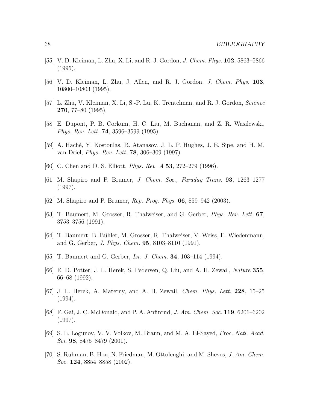- [55] V. D. Kleiman, L. Zhu, X. Li, and R. J. Gordon, J. Chem. Phys. 102, 5863–5866 (1995).
- [56] V. D. Kleiman, L. Zhu, J. Allen, and R. J. Gordon, J. Chem. Phys. 103, 10800–10803 (1995).
- [57] L. Zhu, V. Kleiman, X. Li, S.-P. Lu, K. Trentelman, and R. J. Gordon, Science **270**, 77–80  $(1995)$ .
- [58] E. Dupont, P. B. Corkum, H. C. Liu, M. Buchanan, and Z. R. Wasilewski, Phys. Rev. Lett. 74, 3596–3599 (1995).
- [59] A. Haché, Y. Kostoulas, R. Atanasov, J. L. P. Hughes, J. E. Sipe, and H. M. van Driel, Phys. Rev. Lett. 78, 306–309 (1997).
- [60] C. Chen and D. S. Elliott, *Phys. Rev. A* 53, 272–279 (1996).
- [61] M. Shapiro and P. Brumer, J. Chem. Soc., Faraday Trans. 93, 1263–1277 (1997).
- [62] M. Shapiro and P. Brumer, Rep. Prog. Phys. 66, 859–942 (2003).
- [63] T. Baumert, M. Grosser, R. Thalweiser, and G. Gerber, Phys. Rev. Lett. 67, 3753–3756 (1991).
- [64] T. Baumert, B. Bühler, M. Grosser, R. Thalweiser, V. Weiss, E. Wiedenmann, and G. Gerber, J. Phys. Chem. 95, 8103–8110 (1991).
- [65] T. Baumert and G. Gerber, *Isr. J. Chem.* **34**, 103–114 (1994).
- [66] E. D. Potter, J. L. Herek, S. Pedersen, Q. Liu, and A. H. Zewail, Nature 355, 66–68 (1992).
- $[67]$  J. L. Herek, A. Materny, and A. H. Zewail, *Chem. Phys. Lett.* 228, 15–25 (1994).
- [68] F. Gai, J. C. McDonald, and P. A. Anfinrud, J. Am. Chem. Soc. 119, 6201–6202 (1997).
- [69] S. L. Logunov, V. V. Volkov, M. Braun, and M. A. El-Sayed, Proc. Natl. Acad. Sci. 98, 8475–8479  $(2001)$ .
- [70] S. Ruhman, B. Hou, N. Friedman, M. Ottolenghi, and M. Sheves, J. Am. Chem. Soc. **124**, 8854–8858 (2002).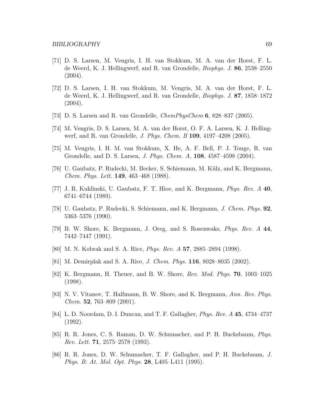- [71] D. S. Larsen, M. Vengris, I. H. van Stokkum, M. A. van der Horst, F. L. de Weerd, K. J. Hellingwerf, and R. van Grondelle, Biophys. J. 86, 2538–2550 (2004).
- [72] D. S. Larsen, I. H. van Stokkum, M. Vengris, M. A. van der Horst, F. L. de Weerd, K. J. Hellingwerf, and R. van Grondelle, Biophys. J. 87, 1858–1872 (2004).
- [73] D. S. Larsen and R. van Grondelle, ChemPhysChem 6, 828–837 (2005).
- [74] M. Vengris, D. S. Larsen, M. A. van der Horst, O. F. A. Larsen, K. J. Hellingwerf, and R. van Grondelle, *J. Phys. Chem. B* 109, 4197–4208 (2005).
- [75] M. Vengris, I. H. M. van Stokkum, X. He, A. F. Bell, P. J. Tonge, R. van Grondelle, and D. S. Larsen, *J. Phys. Chem. A*, **108**, 4587–4598 (2004).
- [76] U. Gaubatz, P. Rudecki, M. Becker, S. Schiemann, M. Külz, and K. Bergmann, Chem. Phys. Lett. 149, 463–468 (1988).
- [77] J. R. Kuklinski, U. Gaubatz, F. T. Hioe, and K. Bergmann, Phys. Rev. A 40, 6741–6744 (1989).
- [78] U. Gaubatz, P. Rudecki, S. Schiemann, and K. Bergmann, J. Chem. Phys. 92, 5363–5376 (1990).
- [79] B. W. Shore, K. Bergmann, J. Oreg, and S. Rosenwaks, Phys. Rev. A 44, 7442–7447 (1991).
- [80] M. N. Kobrak and S. A. Rice, Phys. Rev. A 57, 2885–2894 (1998).
- [81] M. Demirplak and S. A. Rice, J. Chem. Phys. 116, 8028–8035 (2002).
- $[82]$  K. Bergmann, H. Theuer, and B. W. Shore, *Rev. Mod. Phys.* **70**, 1003–1025 (1998).
- [83] N. V. Vitanov, T. Halfmann, B. W. Shore, and K. Bergmann, Ann. Rev. Phys. *Chem.* **52**, 763–809 (2001).
- [84] L. D. Noordam, D. I. Duncan, and T. F. Gallagher, Phys. Rev. A 45, 4734–4737 (1992).
- [85] R. R. Jones, C. S. Raman, D. W. Schumacher, and P. H. Bucksbaum, Phys. *Rev. Lett.* **71**, 2575–2578 (1993).
- [86] R. R. Jones, D. W. Schumacher, T. F. Gallagher, and P. H. Bucksbaum, J. Phys. B: At. Mol. Opt. Phys. 28, L405–L411 (1995).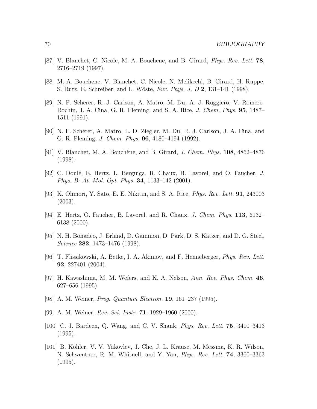- [87] V. Blanchet, C. Nicole, M.-A. Bouchene, and B. Girard, Phys. Rev. Lett. 78, 2716–2719 (1997).
- [88] M.-A. Bouchene, V. Blanchet, C. Nicole, N. Melikechi, B. Girard, H. Ruppe, S. Rutz, E. Schreiber, and L. Wöste, *Eur. Phys. J. D* 2, 131–141 (1998).
- [89] N. F. Scherer, R. J. Carlson, A. Matro, M. Du, A. J. Ruggiero, V. Romero-Rochin, J. A. Cina, G. R. Fleming, and S. A. Rice, J. Chem. Phys. 95, 1487– 1511 (1991).
- [90] N. F. Scherer, A. Matro, L. D. Ziegler, M. Du, R. J. Carlson, J. A. Cina, and G. R. Fleming, J. Chem. Phys. 96, 4180–4194 (1992).
- [91] V. Blanchet, M. A. Bouchène, and B. Girard, *J. Chem. Phys.* **108**, 4862–4876 (1998).
- [92] C. Doulé, E. Hertz, L. Berguiga, R. Chaux, B. Lavorel, and O. Faucher, J. Phys. B: At. Mol. Opt. Phys. 34, 1133–142 (2001).
- [93] K. Ohmori, Y. Sato, E. E. Nikitin, and S. A. Rice, Phys. Rev. Lett. 91, 243003 (2003).
- [94] E. Hertz, O. Faucher, B. Lavorel, and R. Chaux, J. Chem. Phys. 113, 6132– 6138 (2000).
- [95] N. H. Bonadeo, J. Erland, D. Gammon, D. Park, D. S. Katzer, and D. G. Steel, Science **282**, 1473–1476 (1998).
- [96] T. Flissikowski, A. Betke, I. A. Akimov, and F. Henneberger, Phys. Rev. Lett. 92, 227401 (2004).
- [97] H. Kawashima, M. M. Wefers, and K. A. Nelson, Ann. Rev. Phys. Chem. 46, 627–656 (1995).
- [98] A. M. Weiner, Prog. Quantum Electron. 19, 161–237 (1995).
- [99] A. M. Weiner, *Rev. Sci. Instr.* **71**, 1929–1960 (2000).
- [100] C. J. Bardeen, Q. Wang, and C. V. Shank, Phys. Rev. Lett. **75**, 3410-3413 (1995).
- [101] B. Kohler, V. V. Yakovlev, J. Che, J. L. Krause, M. Messina, K. R. Wilson, N. Schwentner, R. M. Whitnell, and Y. Yan, *Phys. Rev. Lett.* **74**, 3360–3363 (1995).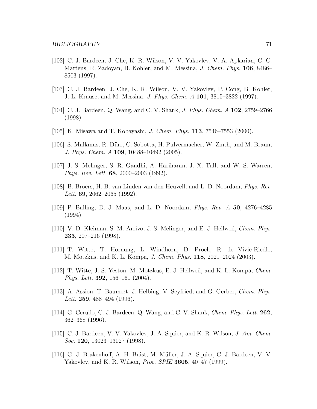- [102] C. J. Bardeen, J. Che, K. R. Wilson, V. V. Yakovlev, V. A. Apkarian, C. C. Martens, R. Zadoyan, B. Kohler, and M. Messina, *J. Chem. Phys.* **106**, 8486– 8503 (1997).
- [103] C. J. Bardeen, J. Che, K. R. Wilson, V. V. Yakovlev, P. Cong, B. Kohler, J. L. Krause, and M. Messina, J. Phys. Chem. A 101, 3815–3822 (1997).
- [104] C. J. Bardeen, Q. Wang, and C. V. Shank, J. Phys. Chem. A 102, 2759–2766 (1998).
- [105] K. Misawa and T. Kobayashi, J. Chem. Phys. 113, 7546–7553 (2000).
- [106] S. Malkmus, R. Dürr, C. Sobotta, H. Pulvermacher, W. Zinth, and M. Braun, J. Phys. Chem. A 109, 10488–10492 (2005).
- [107] J. S. Melinger, S. R. Gandhi, A. Hariharan, J. X. Tull, and W. S. Warren, Phys. Rev. Lett. 68, 2000–2003 (1992).
- [108] B. Broers, H. B. van Linden van den Heuvell, and L. D. Noordam, Phys. Rev. *Lett.* **69**, 2062–2065 (1992).
- [109] P. Balling, D. J. Maas, and L. D. Noordam, Phys. Rev. A 50, 4276–4285 (1994).
- [110] V. D. Kleiman, S. M. Arrivo, J. S. Melinger, and E. J. Heilweil, Chem. Phys. 233, 207–216 (1998).
- [111] T. Witte, T. Hornung, L. Windhorn, D. Proch, R. de Vivie-Riedle, M. Motzkus, and K. L. Kompa, J. Chem. Phys. 118, 2021–2024 (2003).
- [112] T. Witte, J. S. Yeston, M. Motzkus, E. J. Heilweil, and K.-L. Kompa, Chem. *Phys. Lett.* **392**, 156–161 (2004).
- [113] A. Assion, T. Baumert, J. Helbing, V. Seyfried, and G. Gerber, Chem. Phys. *Lett.* **259**, 488–494 (1996).
- [114] G. Cerullo, C. J. Bardeen, Q. Wang, and C. V. Shank, *Chem. Phys. Lett.* **262**, 362–368 (1996).
- [115] C. J. Bardeen, V. V. Yakovlev, J. A. Squier, and K. R. Wilson, J. Am. Chem. Soc. **120**, 13023-13027 (1998).
- [116] G. J. Brakenhoff, A. H. Buist, M. Müller, J. A. Squier, C. J. Bardeen, V. V. Yakovlev, and K. R. Wilson, *Proc. SPIE* **3605**, 40–47 (1999).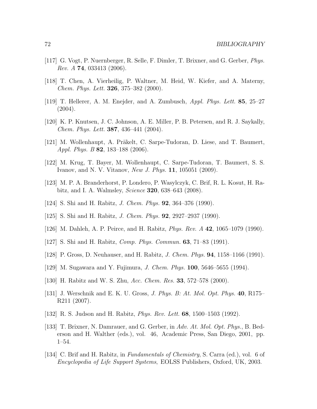- [117] G. Vogt, P. Nuernberger, R. Selle, F. Dimler, T. Brixner, and G. Gerber, Phys. *Rev. A* **74**, 033413 (2006).
- [118] T. Chen, A. Vierheilig, P. Waltner, M. Heid, W. Kiefer, and A. Materny, Chem. Phys. Lett. 326, 375–382 (2000).
- [119] T. Hellerer, A. M. Enejder, and A. Zumbusch, Appl. Phys. Lett. 85, 25–27 (2004).
- [120] K. P. Knutsen, J. C. Johnson, A. E. Miller, P. B. Petersen, and R. J. Saykally, Chem. Phys. Lett. 387, 436–441 (2004).
- [121] M. Wollenhaupt, A. Präkelt, C. Sarpe-Tudoran, D. Liese, and T. Baumert, Appl. Phys. B 82, 183–188 (2006).
- [122] M. Krug, T. Bayer, M. Wollenhaupt, C. Sarpe-Tudoran, T. Baumert, S. S. Ivanov, and N. V. Vitanov, New J. Phys. 11, 105051 (2009).
- [123] M. P. A. Branderhorst, P. Londero, P. Wasylczyk, C. Brif, R. L. Kosut, H. Rabitz, and I. A. Walmsley, Science 320, 638–643 (2008).
- [124] S. Shi and H. Rabitz, J. Chem. Phys. 92, 364–376 (1990).
- [125] S. Shi and H. Rabitz, *J. Chem. Phys.* **92**, 2927–2937 (1990).
- [126] M. Dahleh, A. P. Peirce, and H. Rabitz, Phys. Rev. A 42, 1065–1079 (1990).
- [127] S. Shi and H. Rabitz, Comp. Phys. Commun. 63, 71–83 (1991).
- [128] P. Gross, D. Neuhauser, and H. Rabitz, J. Chem. Phys. 94, 1158–1166 (1991).
- [129] M. Sugawara and Y. Fujimura, J. Chem. Phys. 100, 5646–5655 (1994).
- [130] H. Rabitz and W. S. Zhu, Acc. Chem. Res. 33, 572–578 (2000).
- [131] J. Werschnik and E. K. U. Gross, J. Phys. B: At. Mol. Opt. Phys. 40, R175– R211 (2007).
- [132] R. S. Judson and H. Rabitz, Phys. Rev. Lett. 68, 1500–1503 (1992).
- [133] T. Brixner, N. Damrauer, and G. Gerber, in Adv. At. Mol. Opt. Phys., B. Bederson and H. Walther (eds.), vol. 46, Academic Press, San Diego, 2001, pp. 1–54.
- [134] C. Brif and H. Rabitz, in *Fundamentals of Chemistry*, S. Carra (ed.), vol. 6 of Encyclopedia of Life Support Systems, EOLSS Publishers, Oxford, UK, 2003.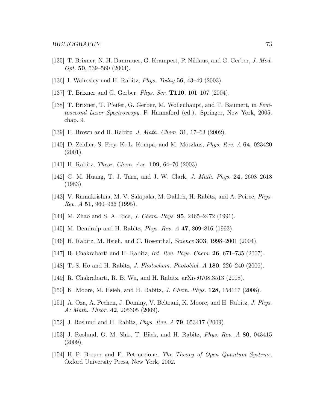- [135] T. Brixner, N. H. Damrauer, G. Krampert, P. Niklaus, and G. Gerber, J. Mod. Opt. 50, 539–560  $(2003)$ .
- [136] I. Walmsley and H. Rabitz, Phys. Today 56, 43–49 (2003).
- [137] T. Brixner and G. Gerber, *Phys. Scr.* **T110**, 101–107 (2004).
- [138] T. Brixner, T. Pfeifer, G. Gerber, M. Wollenhaupt, and T. Baumert, in Femtosecond Laser Spectroscopy, P. Hannaford (ed.), Springer, New York, 2005, chap. 9.
- [139] E. Brown and H. Rabitz, J. Math. Chem. 31, 17–63 (2002).
- [140] D. Zeidler, S. Frey, K.-L. Kompa, and M. Motzkus, Phys. Rev. A 64, 023420 (2001).
- [141] H. Rabitz, *Theor. Chem. Acc.* **109**, 64–70 (2003).
- [142] G. M. Huang, T. J. Tarn, and J. W. Clark, J. Math. Phys. 24, 2608–2618 (1983).
- [143] V. Ramakrishna, M. V. Salapaka, M. Dahleh, H. Rabitz, and A. Peirce, Phys. *Rev. A* 51, 960–966 (1995).
- [144] M. Zhao and S. A. Rice, J. Chem. Phys. 95, 2465–2472 (1991).
- [145] M. Demiralp and H. Rabitz, Phys. Rev. A 47, 809–816 (1993).
- [146] H. Rabitz, M. Hsieh, and C. Rosenthal, *Science* **303**, 1998–2001 (2004).
- [147] R. Chakrabarti and H. Rabitz, *Int. Rev. Phys. Chem.* **26**, 671–735 (2007).
- [148] T.-S. Ho and H. Rabitz, *J. Photochem. Photobiol. A* 180, 226–240 (2006).
- [149] R. Chakrabarti, R. B. Wu, and H. Rabitz, arXiv:0708.3513 (2008).
- [150] K. Moore, M. Hsieh, and H. Rabitz, J. Chem. Phys. 128, 154117 (2008).
- [151] A. Oza, A. Pechen, J. Dominy, V. Beltrani, K. Moore, and H. Rabitz, J. Phys. A: Math. Theor. 42, 205305 (2009).
- [152] J. Roslund and H. Rabitz, *Phys. Rev. A* **79**, 053417 (2009).
- [153] J. Roslund, O. M. Shir, T. Bäck, and H. Rabitz, Phys. Rev. A 80, 043415 (2009).
- [154] H.-P. Breuer and F. Petruccione, The Theory of Open Quantum Systems, Oxford University Press, New York, 2002.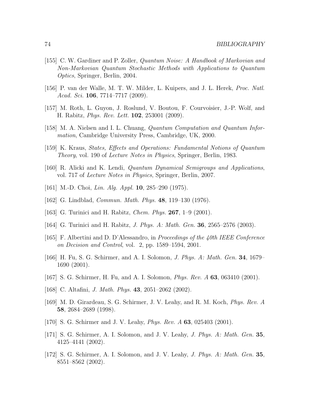- [155] C. W. Gardiner and P. Zoller, Quantum Noise: A Handbook of Markovian and Non-Markovian Quantum Stochastic Methods with Applications to Quantum Optics, Springer, Berlin, 2004.
- [156] P. van der Walle, M. T. W. Milder, L. Kuipers, and J. L. Herek, Proc. Natl. Acad. Sci. **106**, 7714–7717 (2009).
- [157] M. Roth, L. Guyon, J. Roslund, V. Boutou, F. Courvoisier, J.-P. Wolf, and H. Rabitz, Phys. Rev. Lett. 102, 253001 (2009).
- [158] M. A. Nielsen and I. L. Chuang, Quantum Computation and Quantum Information, Cambridge University Press, Cambridge, UK, 2000.
- [159] K. Kraus, States, Effects and Operations: Fundamental Notions of Quantum Theory, vol. 190 of Lecture Notes in Physics, Springer, Berlin, 1983.
- [160] R. Alicki and K. Lendi, Quantum Dynamical Semigroups and Applications, vol. 717 of Lecture Notes in Physics, Springer, Berlin, 2007.
- [161] M.-D. Choi, *Lin. Alg. Appl.* **10**, 285–290 (1975).
- [162] G. Lindblad, Commun. Math. Phys. 48, 119–130 (1976).
- [163] G. Turinici and H. Rabitz, Chem. Phys. 267, 1–9 (2001).
- [164] G. Turinici and H. Rabitz, *J. Phys. A: Math. Gen.* **36**, 2565–2576 (2003).
- [165] F. Albertini and D. D'Alessandro, in *Proceedings of the 40th IEEE Conference* on Decision and Control, vol. 2, pp. 1589–1594, 2001.
- [166] H. Fu, S. G. Schirmer, and A. I. Solomon, *J. Phys. A: Math. Gen.* **34**, 1679– 1690 (2001).
- [167] S. G. Schirmer, H. Fu, and A. I. Solomon, Phys. Rev. A 63, 063410 (2001).
- [168] C. Altafini, *J. Math. Phys.* **43**, 2051–2062 (2002).
- [169] M. D. Girardeau, S. G. Schirmer, J. V. Leahy, and R. M. Koch, Phys. Rev. A 58, 2684–2689 (1998).
- [170] S. G. Schirmer and J. V. Leahy, *Phys. Rev. A* **63**, 025403 (2001).
- [171] S. G. Schirmer, A. I. Solomon, and J. V. Leahy, J. Phys. A: Math. Gen. 35, 4125–4141 (2002).
- [172] S. G. Schirmer, A. I. Solomon, and J. V. Leahy, J. Phys. A: Math. Gen. 35, 8551–8562 (2002).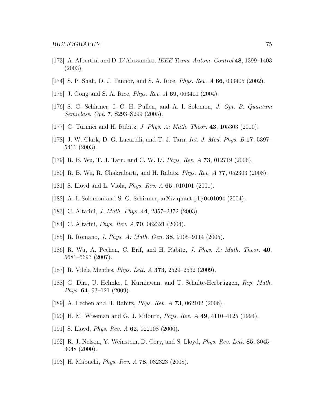- [173] A. Albertini and D. D'Alessandro, IEEE Trans. Autom. Control 48, 1399–1403 (2003).
- [174] S. P. Shah, D. J. Tannor, and S. A. Rice, Phys. Rev. A 66, 033405 (2002).
- [175] J. Gong and S. A. Rice, *Phys. Rev. A* **69**, 063410 (2004).
- [176] S. G. Schirmer, I. C. H. Pullen, and A. I. Solomon, J. Opt. B: Quantum Semiclass. Opt. 7, S293–S299 (2005).
- [177] G. Turinici and H. Rabitz, *J. Phys. A: Math. Theor.* **43**, 105303 (2010).
- [178] J. W. Clark, D. G. Lucarelli, and T. J. Tarn, Int. J. Mod. Phys. B 17, 5397– 5411 (2003).
- [179] R. B. Wu, T. J. Tarn, and C. W. Li, *Phys. Rev. A* **73**, 012719 (2006).
- [180] R. B. Wu, R. Chakrabarti, and H. Rabitz, Phys. Rev. A 77, 052303 (2008).
- [181] S. Lloyd and L. Viola, Phys. Rev. A 65, 010101 (2001).
- [182] A. I. Solomon and S. G. Schirmer, arXiv:quant-ph/0401094 (2004).
- [183] C. Altafini, J. Math. Phys. 44, 2357–2372 (2003).
- [184] C. Altafini, *Phys. Rev. A* **70**, 062321 (2004).
- [185] R. Romano, J. Phys. A: Math. Gen. 38, 9105–9114 (2005).
- [186] R. Wu, A. Pechen, C. Brif, and H. Rabitz, J. Phys. A: Math. Theor. 40, 5681–5693 (2007).
- [187] R. Vilela Mendes, Phys. Lett. A 373, 2529–2532 (2009).
- [188] G. Dirr, U. Helmke, I. Kurniawan, and T. Schulte-Herbrüggen, Rep. Math. *Phys.* **64**, 93–121 (2009).
- [189] A. Pechen and H. Rabitz, *Phys. Rev. A* **73**, 062102 (2006).
- [190] H. M. Wiseman and G. J. Milburn, Phys. Rev. A 49, 4110–4125 (1994).
- [191] S. Lloyd, *Phys. Rev. A* **62**, 022108 (2000).
- [192] R. J. Nelson, Y. Weinstein, D. Cory, and S. Lloyd, Phys. Rev. Lett. 85, 3045– 3048 (2000).
- [193] H. Mabuchi, Phys. Rev. A 78, 032323 (2008).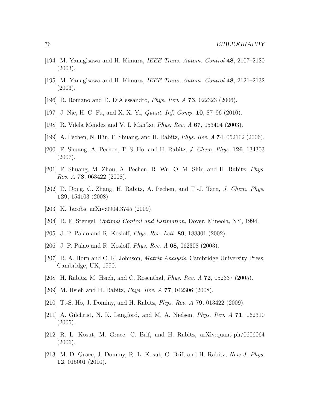- [194] M. Yanagisawa and H. Kimura, IEEE Trans. Autom. Control 48, 2107–2120 (2003).
- [195] M. Yanagisawa and H. Kimura, IEEE Trans. Autom. Control 48, 2121–2132 (2003).
- [196] R. Romano and D. D'Alessandro, Phys. Rev. A 73, 022323 (2006).
- [197] J. Nie, H. C. Fu, and X. X. Yi, *Quant. Inf. Comp.* **10**, 87–96 (2010).
- [198] R. Vilela Mendes and V. I. Man'ko, Phys. Rev. A 67, 053404 (2003).
- [199] A. Pechen, N. Il'in, F. Shuang, and H. Rabitz, Phys. Rev. A 74, 052102 (2006).
- [200] F. Shuang, A. Pechen, T.-S. Ho, and H. Rabitz, J. Chem. Phys.  $126$ , 134303 (2007).
- [201] F. Shuang, M. Zhou, A. Pechen, R. Wu, O. M. Shir, and H. Rabitz, Phys. *Rev. A* **78**, 063422 (2008).
- [202] D. Dong, C. Zhang, H. Rabitz, A. Pechen, and T.-J. Tarn, J. Chem. Phys. 129, 154103 (2008).
- [203] K. Jacobs, arXiv:0904.3745 (2009).
- [204] R. F. Stengel, Optimal Control and Estimation, Dover, Mineola, NY, 1994.
- [205] J. P. Palao and R. Kosloff, *Phys. Rev. Lett.* **89**, 188301 (2002).
- [206] J. P. Palao and R. Kosloff, Phys. Rev. A 68, 062308 (2003).
- [207] R. A. Horn and C. R. Johnson, Matrix Analysis, Cambridge University Press, Cambridge, UK, 1990.
- [208] H. Rabitz, M. Hsieh, and C. Rosenthal, Phys. Rev. A 72, 052337 (2005).
- [209] M. Hsieh and H. Rabitz, Phys. Rev. A 77, 042306 (2008).
- [210] T.-S. Ho, J. Dominy, and H. Rabitz, Phys. Rev. A 79, 013422 (2009).
- [211] A. Gilchrist, N. K. Langford, and M. A. Nielsen, *Phys. Rev. A* **71**, 062310 (2005).
- [212] R. L. Kosut, M. Grace, C. Brif, and H. Rabitz, arXiv:quant-ph/0606064 (2006).
- [213] M. D. Grace, J. Dominy, R. L. Kosut, C. Brif, and H. Rabitz, New J. Phys. 12, 015001 (2010).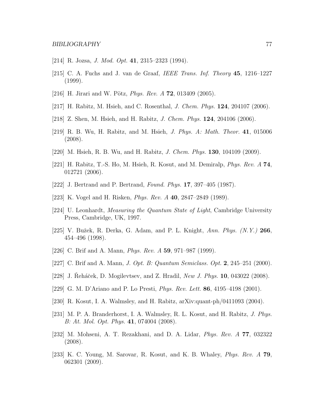- [214] R. Jozsa, *J. Mod. Opt.* 41, 2315–2323 (1994).
- [215] C. A. Fuchs and J. van de Graaf, IEEE Trans. Inf. Theory 45, 1216–1227 (1999).
- [216] H. Jirari and W. Pötz, *Phys. Rev. A*  $72$ , 013409 (2005).
- [217] H. Rabitz, M. Hsieh, and C. Rosenthal, J. Chem. Phys. 124, 204107 (2006).
- [218] Z. Shen, M. Hsieh, and H. Rabitz, J. Chem. Phys. 124, 204106 (2006).
- [219] R. B. Wu, H. Rabitz, and M. Hsieh, *J. Phys. A: Math. Theor.* 41, 015006 (2008).
- [220] M. Hsieh, R. B. Wu, and H. Rabitz, *J. Chem. Phys.* **130**, 104109 (2009).
- [221] H. Rabitz, T.-S. Ho, M. Hsieh, R. Kosut, and M. Demiralp, Phys. Rev. A 74, 012721 (2006).
- [222] J. Bertrand and P. Bertrand, Found. Phys. 17, 397–405 (1987).
- [223] K. Vogel and H. Risken, Phys. Rev. A 40, 2847–2849 (1989).
- [224] U. Leonhardt, Measuring the Quantum State of Light, Cambridge University Press, Cambridge, UK, 1997.
- [225] V. Bužek, R. Derka, G. Adam, and P. L. Knight, Ann. Phys.  $(N. Y. )$  266, 454–496 (1998).
- [226] C. Brif and A. Mann, *Phys. Rev. A* **59**, 971–987 (1999).
- [227] C. Brif and A. Mann, J. Opt. B: Quantum Semiclass. Opt. 2, 245–251 (2000).
- [228] J. Reháček, D. Mogilevtsev, and Z. Hradil,  $New J. Phys. 10, 043022$  (2008).
- [229] G. M. D'Ariano and P. Lo Presti, Phys. Rev. Lett. 86, 4195–4198 (2001).
- [230] R. Kosut, I. A. Walmsley, and H. Rabitz, arXiv:quant-ph/0411093 (2004).
- [231] M. P. A. Branderhorst, I. A. Walmsley, R. L. Kosut, and H. Rabitz, J. Phys. B: At. Mol. Opt. Phys. 41, 074004 (2008).
- [232] M. Mohseni, A. T. Rezakhani, and D. A. Lidar, Phys. Rev. A 77, 032322 (2008).
- [233] K. C. Young, M. Sarovar, R. Kosut, and K. B. Whaley, *Phys. Rev. A* 79, 062301 (2009).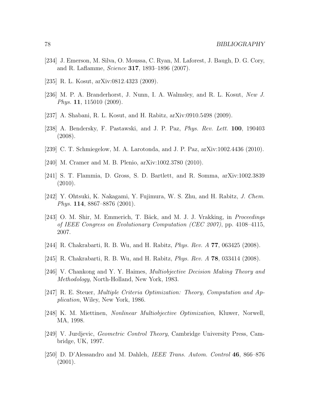- [234] J. Emerson, M. Silva, O. Moussa, C. Ryan, M. Laforest, J. Baugh, D. G. Cory, and R. Laflamme, Science 317, 1893–1896 (2007).
- [235] R. L. Kosut, arXiv:0812.4323 (2009).
- [236] M. P. A. Branderhorst, J. Nunn, I. A. Walmsley, and R. L. Kosut, New J. *Phys.* **11**, 115010 (2009).
- [237] A. Shabani, R. L. Kosut, and H. Rabitz, arXiv:0910.5498 (2009).
- [238] A. Bendersky, F. Pastawski, and J. P. Paz, Phys. Rev. Lett. 100, 190403 (2008).
- [239] C. T. Schmiegelow, M. A. Larotonda, and J. P. Paz, arXiv:1002.4436 (2010).
- [240] M. Cramer and M. B. Plenio, arXiv:1002.3780 (2010).
- [241] S. T. Flammia, D. Gross, S. D. Bartlett, and R. Somma, arXiv:1002.3839 (2010).
- [242] Y. Ohtsuki, K. Nakagami, Y. Fujimura, W. S. Zhu, and H. Rabitz, J. Chem. Phys. 114, 8867–8876 (2001).
- [243] O. M. Shir, M. Emmerich, T. Bäck, and M. J. J. Vrakking, in *Proceedings* of IEEE Congress on Evolutionary Computation (CEC 2007), pp. 4108–4115, 2007.
- [244] R. Chakrabarti, R. B. Wu, and H. Rabitz, Phys. Rev. A 77, 063425 (2008).
- [245] R. Chakrabarti, R. B. Wu, and H. Rabitz, Phys. Rev. A 78, 033414 (2008).
- [246] V. Chankong and Y. Y. Haimes, Multiobjective Decision Making Theory and Methodology, North-Holland, New York, 1983.
- [247] R. E. Steuer, Multiple Criteria Optimization: Theory, Computation and Application, Wiley, New York, 1986.
- [248] K. M. Miettinen, Nonlinear Multiobjective Optimization, Kluwer, Norwell, MA, 1998.
- [249] V. Jurdjevic, Geometric Control Theory, Cambridge University Press, Cambridge, UK, 1997.
- [250] D. D'Alessandro and M. Dahleh, IEEE Trans. Autom. Control 46, 866–876 (2001).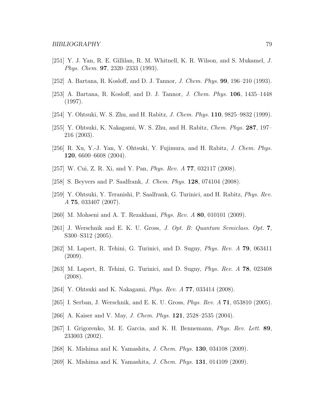- [251] Y. J. Yan, R. E. Gillilan, R. M. Whitnell, K. R. Wilson, and S. Mukamel, J. Phys. Chem. 97, 2320–2333 (1993).
- [252] A. Bartana, R. Kosloff, and D. J. Tannor, J. Chem. Phys. 99, 196–210 (1993).
- [253] A. Bartana, R. Kosloff, and D. J. Tannor, J. Chem. Phys. 106, 1435–1448 (1997).
- [254] Y. Ohtsuki, W. S. Zhu, and H. Rabitz, J. Chem. Phys. 110, 9825–9832 (1999).
- [255] Y. Ohtsuki, K. Nakagami, W. S. Zhu, and H. Rabitz, Chem. Phys. 287, 197– 216 (2003).
- [256] R. Xu, Y.-J. Yan, Y. Ohtsuki, Y. Fujimura, and H. Rabitz, J. Chem. Phys. 120, 6600–6608 (2004).
- [257] W. Cui, Z. R. Xi, and Y. Pan, *Phys. Rev. A* **77**, 032117 (2008).
- [258] S. Beyvers and P. Saalfrank, J. Chem. Phys. 128, 074104 (2008).
- [259] Y. Ohtsuki, Y. Teranishi, P. Saalfrank, G. Turinici, and H. Rabitz, Phys. Rev. A 75, 033407 (2007).
- [260] M. Mohseni and A. T. Rezakhani, Phys. Rev. A 80, 010101 (2009).
- [261] J. Werschnik and E. K. U. Gross, J. Opt. B: Quantum Semiclass. Opt. 7, S300–S312 (2005).
- [262] M. Lapert, R. Tehini, G. Turinici, and D. Sugny, *Phys. Rev. A* **79**, 063411 (2009).
- [263] M. Lapert, R. Tehini, G. Turinici, and D. Sugny, Phys. Rev. A 78, 023408 (2008).
- [264] Y. Ohtsuki and K. Nakagami, Phys. Rev. A 77, 033414 (2008).
- [265] I. Serban, J. Werschnik, and E. K. U. Gross, Phys. Rev. A 71, 053810 (2005).
- [266] A. Kaiser and V. May, *J. Chem. Phys.* **121**, 2528–2535 (2004).
- [267] I. Grigorenko, M. E. Garcia, and K. H. Bennemann, *Phys. Rev. Lett.* **89**, 233003 (2002).
- [268] K. Mishima and K. Yamashita, J. Chem. Phys. 130, 034108 (2009).
- [269] K. Mishima and K. Yamashita, *J. Chem. Phys.* **131**, 014109 (2009).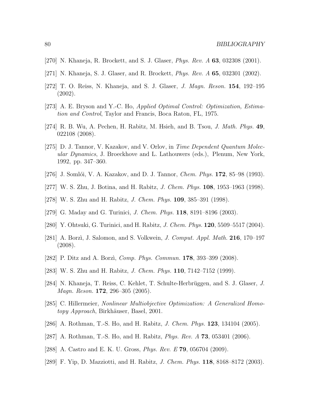- [270] N. Khaneja, R. Brockett, and S. J. Glaser, Phys. Rev. A 63, 032308 (2001).
- [271] N. Khaneja, S. J. Glaser, and R. Brockett, Phys. Rev. A 65, 032301 (2002).
- [272] T. O. Reiss, N. Khaneja, and S. J. Glaser, *J. Magn. Reson.* **154**, 192–195 (2002).
- [273] A. E. Bryson and Y.-C. Ho, Applied Optimal Control: Optimization, Estimation and Control, Taylor and Francis, Boca Raton, FL, 1975.
- [274] R. B. Wu, A. Pechen, H. Rabitz, M. Hsieh, and B. Tsou, J. Math. Phys.  $49$ , 022108 (2008).
- [275] D. J. Tannor, V. Kazakov, and V. Orlov, in Time Dependent Quantum Molecular Dynamics, J. Broeckhove and L. Lathouwers (eds.), Plenum, New York, 1992, pp. 347–360.
- [276] J. Somlói, V. A. Kazakov, and D. J. Tannor, *Chem. Phys.*  $172, 85-98$  (1993).
- [277] W. S. Zhu, J. Botina, and H. Rabitz, J. Chem. Phys. 108, 1953–1963 (1998).
- [278] W. S. Zhu and H. Rabitz, J. Chem. Phys. 109, 385–391 (1998).
- [279] G. Maday and G. Turinici, *J. Chem. Phys.* **118**, 8191–8196 (2003).
- [280] Y. Ohtsuki, G. Turinici, and H. Rabitz, *J. Chem. Phys.* **120**, 5509–5517 (2004).
- [281] A. Borzì, J. Salomon, and S. Volkwein, *J. Comput. Appl. Math.* **216**, 170–197 (2008).
- [282] P. Ditz and A. Borzì, *Comp. Phys. Commun.* **178**, 393–399 (2008).
- [283] W. S. Zhu and H. Rabitz, J. Chem. Phys. 110, 7142–7152 (1999).
- [284] N. Khaneja, T. Reiss, C. Kehlet, T. Schulte-Herbrüggen, and S. J. Glaser, J. Magn. Reson. 172, 296–305 (2005).
- [285] C. Hillermeier, Nonlinear Multiobjective Optimization: A Generalized Homotopy Approach, Birkhäuser, Basel, 2001.
- [286] A. Rothman, T.-S. Ho, and H. Rabitz, J. Chem. Phys. 123, 134104 (2005).
- [287] A. Rothman, T.-S. Ho, and H. Rabitz, *Phys. Rev. A* **73**, 053401 (2006).
- [288] A. Castro and E. K. U. Gross, Phys. Rev. E 79, 056704 (2009).
- [289] F. Yip, D. Mazziotti, and H. Rabitz, J. Chem. Phys. 118, 8168–8172 (2003).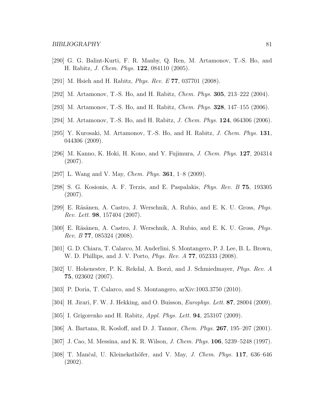- [290] G. G. Balint-Kurti, F. R. Manby, Q. Ren, M. Artamonov, T.-S. Ho, and H. Rabitz, J. Chem. Phys. 122, 084110 (2005).
- [291] M. Hsieh and H. Rabitz, *Phys. Rev. E*  $77$ , 037701 (2008).
- [292] M. Artamonov, T.-S. Ho, and H. Rabitz, *Chem. Phys.* **305**, 213–222 (2004).
- [293] M. Artamonov, T.-S. Ho, and H. Rabitz, Chem. Phys. 328, 147–155 (2006).
- [294] M. Artamonov, T.-S. Ho, and H. Rabitz, *J. Chem. Phys.* **124**, 064306 (2006).
- [295] Y. Kurosaki, M. Artamonov, T.-S. Ho, and H. Rabitz, J. Chem. Phys. 131, 044306 (2009).
- [296] M. Kanno, K. Hoki, H. Kono, and Y. Fujimura, *J. Chem. Phys.* **127**, 204314 (2007).
- [297] L. Wang and V. May, *Chem. Phys.* **361**,  $1-8$  (2009).
- [298] S. G. Kosionis, A. F. Terzis, and E. Paspalakis, Phys. Rev. B 75, 193305 (2007).
- [299] E. Räsänen, A. Castro, J. Werschnik, A. Rubio, and E. K. U. Gross, *Phys.* Rev. Lett. 98, 157404 (2007).
- [300] E. Räsänen, A. Castro, J. Werschnik, A. Rubio, and E. K. U. Gross, *Phys. Rev. B* 77, 085324 (2008).
- [301] G. D. Chiara, T. Calarco, M. Anderlini, S. Montangero, P. J. Lee, B. L. Brown, W. D. Phillips, and J. V. Porto, Phys. Rev. A 77, 052333 (2008).
- [302] U. Hohenester, P. K. Rekdal, A. Borzì, and J. Schmiedmayer, *Phys. Rev. A* 75, 023602 (2007).
- [303] P. Doria, T. Calarco, and S. Montangero, arXiv:1003.3750 (2010).
- [304] H. Jirari, F. W. J. Hekking, and O. Buisson, *Europhys. Lett.* **87**, 28004 (2009).
- [305] I. Grigorenko and H. Rabitz, Appl. Phys. Lett. 94, 253107 (2009).
- [306] A. Bartana, R. Kosloff, and D. J. Tannor, Chem. Phys. 267, 195–207 (2001).
- [307] J. Cao, M. Messina, and K. R. Wilson, J. Chem. Phys. 106, 5239–5248 (1997).
- [308] T. Mančal, U. Kleinekathöfer, and V. May, *J. Chem. Phys.* **117**, 636–646 (2002).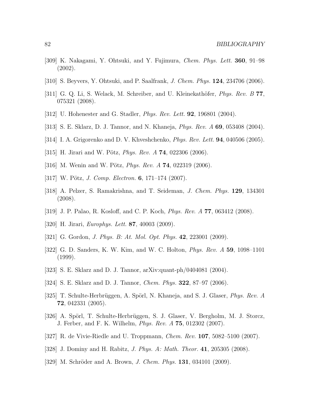- [309] K. Nakagami, Y. Ohtsuki, and Y. Fujimura, Chem. Phys. Lett. 360, 91–98 (2002).
- [310] S. Beyvers, Y. Ohtsuki, and P. Saalfrank, J. Chem. Phys. 124, 234706 (2006).
- [311] G. Q. Li, S. Welack, M. Schreiber, and U. Kleinekathöfer, *Phys. Rev. B* 77, 075321 (2008).
- [312] U. Hohenester and G. Stadler, *Phys. Rev. Lett.* **92**, 196801 (2004).
- [313] S. E. Sklarz, D. J. Tannor, and N. Khaneja, Phys. Rev. A 69, 053408 (2004).
- [314] I. A. Grigorenko and D. V. Khveshchenko, *Phys. Rev. Lett.* **94**, 040506 (2005).
- [315] H. Jirari and W. Pötz, *Phys. Rev. A*  $74$ , 022306 (2006).
- [316] M. Wenin and W. Pötz, *Phys. Rev. A*  $74$ , 022319 (2006).
- [317] W. Pötz, *J. Comp. Electron.* **6**, 171–174  $(2007)$ .
- [318] A. Pelzer, S. Ramakrishna, and T. Seideman, J. Chem. Phys. 129, 134301 (2008).
- [319] J. P. Palao, R. Kosloff, and C. P. Koch, Phys. Rev. A 77, 063412 (2008).
- [320] H. Jirari, *Europhys. Lett.* **87**, 40003 (2009).
- [321] G. Gordon, J. Phys. B: At. Mol. Opt. Phys. 42, 223001 (2009).
- [322] G. D. Sanders, K. W. Kim, and W. C. Holton, Phys. Rev. A 59, 1098–1101 (1999).
- [323] S. E. Sklarz and D. J. Tannor, arXiv:quant-ph/0404081 (2004).
- [324] S. E. Sklarz and D. J. Tannor, Chem. Phys. 322, 87–97 (2006).
- [325] T. Schulte-Herbrüggen, A. Spörl, N. Khaneja, and S. J. Glaser, *Phys. Rev. A* 72, 042331 (2005).
- [326] A. Spörl, T. Schulte-Herbrüggen, S. J. Glaser, V. Bergholm, M. J. Storcz, J. Ferber, and F. K. Wilhelm, Phys. Rev. A 75, 012302 (2007).
- [327] R. de Vivie-Riedle and U. Troppmann, *Chem. Rev.* **107**, 5082–5100 (2007).
- [328] J. Dominy and H. Rabitz, J. Phys. A: Math. Theor. 41, 205305 (2008).
- [329] M. Schröder and A. Brown, *J. Chem. Phys.* **131**, 034101 (2009).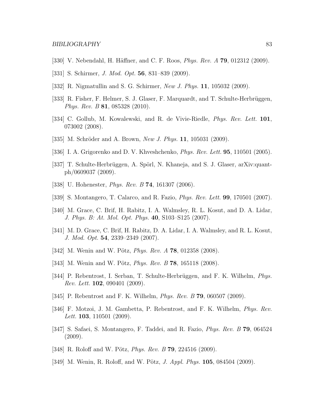- [330] V. Nebendahl, H. Häffner, and C. F. Roos, *Phys. Rev. A* **79**, 012312 (2009).
- [331] S. Schirmer, *J. Mod. Opt.* **56**, 831–839 (2009).
- [332] R. Nigmatullin and S. G. Schirmer, *New J. Phys.* **11**, 105032 (2009).
- [333] R. Fisher, F. Helmer, S. J. Glaser, F. Marquardt, and T. Schulte-Herbrüggen, Phys. Rev. B 81, 085328 (2010).
- [334] C. Gollub, M. Kowalewski, and R. de Vivie-Riedle, *Phys. Rev. Lett.* 101, 073002 (2008).
- [335] M. Schröder and A. Brown, *New J. Phys.* **11**, 105031 (2009).
- [336] I. A. Grigorenko and D. V. Khveshchenko, *Phys. Rev. Lett.* **95**, 110501 (2005).
- [337] T. Schulte-Herbrüggen, A. Spörl, N. Khaneja, and S. J. Glaser, arXiv:quantph/0609037 (2009).
- [338] U. Hohenester, *Phys. Rev. B* **74**, 161307 (2006).
- [339] S. Montangero, T. Calarco, and R. Fazio, Phys. Rev. Lett. 99, 170501 (2007).
- [340] M. Grace, C. Brif, H. Rabitz, I. A. Walmsley, R. L. Kosut, and D. A. Lidar, J. Phys. B: At. Mol. Opt. Phys. 40, S103–S125 (2007).
- [341] M. D. Grace, C. Brif, H. Rabitz, D. A. Lidar, I. A. Walmsley, and R. L. Kosut, J. Mod. Opt. 54, 2339–2349 (2007).
- [342] M. Wenin and W. Pötz, *Phys. Rev. A*  $78$ , 012358 (2008).
- [343] M. Wenin and W. Pötz, *Phys. Rev. B* 78, 165118 (2008).
- [344] P. Rebentrost, I. Serban, T. Schulte-Herbrüggen, and F. K. Wilhelm, *Phys.* Rev. Lett. 102, 090401 (2009).
- [345] P. Rebentrost and F. K. Wilhelm, *Phys. Rev. B* **79**, 060507 (2009).
- [346] F. Motzoi, J. M. Gambetta, P. Rebentrost, and F. K. Wilhelm, Phys. Rev. Lett. **103**, 110501 (2009).
- [347] S. Safaei, S. Montangero, F. Taddei, and R. Fazio, Phys. Rev. B 79, 064524 (2009).
- [348] R. Roloff and W. Pötz, *Phys. Rev. B* **79**, 224516 (2009).
- [349] M. Wenin, R. Roloff, and W. Pötz, *J. Appl. Phys.* **105**, 084504 (2009).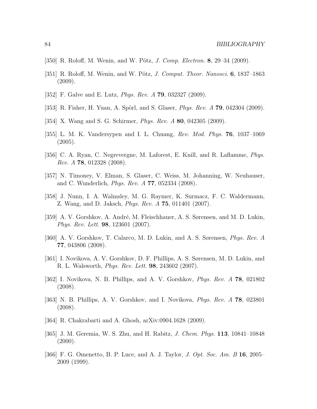- [350] R. Roloff, M. Wenin, and W. Pötz, *J. Comp. Electron.* 8, 29–34 (2009).
- [351] R. Roloff, M. Wenin, and W. Pötz, *J. Comput. Theor. Nanosci.* 6, 1837–1863 (2009).
- [352] F. Galve and E. Lutz, *Phys. Rev. A* **79**, 032327 (2009).
- [353] R. Fisher, H. Yuan, A. Spörl, and S. Glaser, *Phys. Rev. A* **79**, 042304 (2009).
- [354] X. Wang and S. G. Schirmer, *Phys. Rev. A* **80**, 042305 (2009).
- [355] L. M. K. Vandersypen and I. L. Chuang, Rev. Mod. Phys. 76, 1037–1069 (2005).
- [356] C. A. Ryan, C. Negrevergne, M. Laforest, E. Knill, and R. Laflamme, Phys. *Rev. A* **78**, 012328 (2008).
- [357] N. Timoney, V. Elman, S. Glaser, C. Weiss, M. Johanning, W. Neuhauser, and C. Wunderlich, Phys. Rev. A 77, 052334 (2008).
- [358] J. Nunn, I. A. Walmsley, M. G. Raymer, K. Surmacz, F. C. Waldermann, Z. Wang, and D. Jaksch, Phys. Rev. A 75, 011401 (2007).
- [359] A. V. Gorshkov, A. André, M. Fleischhauer, A. S. Sørensen, and M. D. Lukin, Phys. Rev. Lett. 98, 123601 (2007).
- [360] A. V. Gorshkov, T. Calarco, M. D. Lukin, and A. S. Sørensen, Phys. Rev. A 77, 043806 (2008).
- [361] I. Novikova, A. V. Gorshkov, D. F. Phillips, A. S. Sørensen, M. D. Lukin, and R. L. Walsworth, Phys. Rev. Lett. 98, 243602 (2007).
- [362] I. Novikova, N. B. Phillips, and A. V. Gorshkov, Phys. Rev. A 78, 021802 (2008).
- [363] N. B. Phillips, A. V. Gorshkov, and I. Novikova, Phys. Rev. A 78, 023801 (2008).
- [364] R. Chakrabarti and A. Ghosh, arXiv:0904.1628 (2009).
- [365] J. M. Geremia, W. S. Zhu, and H. Rabitz, J. Chem. Phys. 113, 10841–10848  $(2000).$
- [366] F. G. Omenetto, B. P. Luce, and A. J. Taylor, J. Opt. Soc. Am. B 16, 2005– 2009 (1999).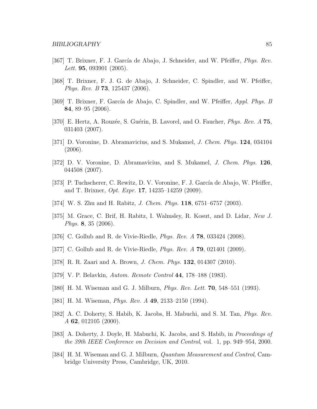- [367] T. Brixner, F. J. García de Abajo, J. Schneider, and W. Pfeiffer, *Phys. Rev. Lett.* **95**, 093901  $(2005)$ .
- [368] T. Brixner, F. J. G. de Abajo, J. Schneider, C. Spindler, and W. Pfeiffer, Phys. Rev. B 73, 125437 (2006).
- [369] T. Brixner, F. García de Abajo, C. Spindler, and W. Pfeiffer, Appl. Phys. B 84, 89–95 (2006).
- [370] E. Hertz, A. Rouzée, S. Guérin, B. Lavorel, and O. Faucher, *Phys. Rev. A* 75, 031403 (2007).
- [371] D. Voronine, D. Abramavicius, and S. Mukamel, J. Chem. Phys. 124, 034104 (2006).
- [372] D. V. Voronine, D. Abramavicius, and S. Mukamel, J. Chem. Phys. 126, 044508 (2007).
- [373] P. Tuchscherer, C. Rewitz, D. V. Voronine, F. J. García de Abajo, W. Pfeiffer, and T. Brixner, Opt. Expr. 17, 14235–14259 (2009).
- [374] W. S. Zhu and H. Rabitz, J. Chem. Phys. 118, 6751–6757 (2003).
- [375] M. Grace, C. Brif, H. Rabitz, I. Walmsley, R. Kosut, and D. Lidar, New J. Phys. 8, 35 (2006).
- [376] C. Gollub and R. de Vivie-Riedle, Phys. Rev. A 78, 033424 (2008).
- [377] C. Gollub and R. de Vivie-Riedle, *Phys. Rev. A* **79**, 021401 (2009).
- [378] R. R. Zaari and A. Brown, J. Chem. Phys. 132, 014307 (2010).
- [379] V. P. Belavkin, Autom. Remote Control 44, 178–188 (1983).
- [380] H. M. Wiseman and G. J. Milburn, *Phys. Rev. Lett.* **70**, 548–551 (1993).
- [381] H. M. Wiseman, Phys. Rev. A 49, 2133–2150 (1994).
- [382] A. C. Doherty, S. Habib, K. Jacobs, H. Mabuchi, and S. M. Tan, Phys. Rev. A 62, 012105 (2000).
- [383] A. Doherty, J. Doyle, H. Mabuchi, K. Jacobs, and S. Habib, in *Proceedings of* the 39th IEEE Conference on Decision and Control, vol. 1, pp. 949–954, 2000.
- [384] H. M. Wiseman and G. J. Milburn, Quantum Measurement and Control, Cambridge University Press, Cambridge, UK, 2010.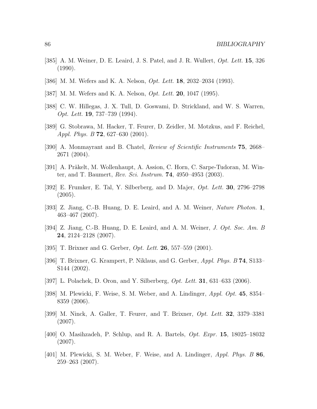- [385] A. M. Weiner, D. E. Leaird, J. S. Patel, and J. R. Wullert,  $Opt.$  Lett. **15**, 326 (1990).
- [386] M. M. Wefers and K. A. Nelson, *Opt. Lett.* **18**, 2032–2034 (1993).
- [387] M. M. Wefers and K. A. Nelson, *Opt. Lett.* **20**, 1047 (1995).
- [388] C. W. Hillegas, J. X. Tull, D. Goswami, D. Strickland, and W. S. Warren, Opt. Lett. 19, 737–739 (1994).
- [389] G. Stobrawa, M. Hacker, T. Feurer, D. Zeidler, M. Motzkus, and F. Reichel, Appl. Phys. B 72, 627–630 (2001).
- [390] A. Monmayrant and B. Chatel, Review of Scientific Instruments 75, 2668– 2671 (2004).
- [391] A. Präkelt, M. Wollenhaupt, A. Assion, C. Horn, C. Sarpe-Tudoran, M. Winter, and T. Baumert, Rev. Sci. Instrum. 74, 4950–4953 (2003).
- [392] E. Frumker, E. Tal, Y. Silberberg, and D. Majer, Opt. Lett. 30, 2796–2798 (2005).
- [393] Z. Jiang, C.-B. Huang, D. E. Leaird, and A. M. Weiner, Nature Photon. 1, 463–467 (2007).
- [394] Z. Jiang, C.-B. Huang, D. E. Leaird, and A. M. Weiner, J. Opt. Soc. Am. B 24, 2124–2128 (2007).
- [395] T. Brixner and G. Gerber, *Opt. Lett.* **26**, 557–559 (2001).
- [396] T. Brixner, G. Krampert, P. Niklaus, and G. Gerber, Appl. Phys. B 74, S133– S144 (2002).
- [397] L. Polachek, D. Oron, and Y. Silberberg, Opt. Lett. 31, 631–633 (2006).
- [398] M. Plewicki, F. Weise, S. M. Weber, and A. Lindinger, Appl. Opt. 45, 8354– 8359 (2006).
- [399] M. Ninck, A. Galler, T. Feurer, and T. Brixner, Opt. Lett. 32, 3379–3381 (2007).
- [400] O. Masihzadeh, P. Schlup, and R. A. Bartels, Opt. Expr. 15, 18025–18032 (2007).
- [401] M. Plewicki, S. M. Weber, F. Weise, and A. Lindinger, Appl. Phys. B 86, 259–263 (2007).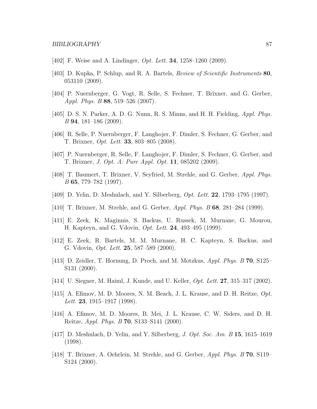- [402] F. Weise and A. Lindinger, Opt. Lett. 34, 1258–1260 (2009).
- [403] D. Kupka, P. Schlup, and R. A. Bartels, *Review of Scientific Instruments* 80, 053110 (2009).
- [404] P. Nuernberger, G. Vogt, R. Selle, S. Fechner, T. Brixner, and G. Gerber, Appl. Phys. B 88, 519–526 (2007).
- [405] D. S. N. Parker, A. D. G. Nunn, R. S. Minns, and H. H. Fielding, Appl. Phys. B 94, 181–186 (2009).
- [406] R. Selle, P. Nuernberger, F. Langhojer, F. Dimler, S. Fechner, G. Gerber, and T. Brixner, Opt. Lett. 33, 803–805 (2008).
- [407] P. Nuernberger, R. Selle, F. Langhojer, F. Dimler, S. Fechner, G. Gerber, and T. Brixner, J. Opt. A: Pure Appl. Opt. 11, 085202 (2009).
- [408] T. Baumert, T. Brixner, V. Seyfried, M. Strehle, and G. Gerber, Appl. Phys. B 65, 779–782 (1997).
- [409] D. Yelin, D. Meshulach, and Y. Silberberg, Opt. Lett. 22, 1793–1795 (1997).
- [410] T. Brixner, M. Strehle, and G. Gerber, Appl. Phys. B 68, 281–284 (1999).
- [411] E. Zeek, K. Maginnis, S. Backus, U. Russek, M. Murnane, G. Mourou, H. Kapteyn, and G. Vdovin, Opt. Lett. 24, 493–495 (1999).
- [412] E. Zeek, R. Bartels, M. M. Murnane, H. C. Kapteyn, S. Backus, and G. Vdovin, Opt. Lett. 25, 587–589 (2000).
- [413] D. Zeidler, T. Hornung, D. Proch, and M. Motzkus, Appl. Phys. B 70, S125– S131 (2000).
- [414] U. Siegner, M. Haiml, J. Kunde, and U. Keller, Opt. Lett. 27, 315–317 (2002).
- [415] A. Efimov, M. D. Moores, N. M. Beach, J. L. Krause, and D. H. Reitze, Opt. *Lett.* **23**, 1915–1917 (1998).
- [416] A. Efimov, M. D. Moores, B. Mei, J. L. Krause, C. W. Siders, and D. H. Reitze, Appl. Phys. B 70, S133–S141 (2000).
- [417] D. Meshulach, D. Yelin, and Y. Silberberg, J. Opt. Soc. Am. B 15, 1615–1619 (1998).
- [418] T. Brixner, A. Oehrlein, M. Strehle, and G. Gerber, Appl. Phys. B 70, S119– S124 (2000).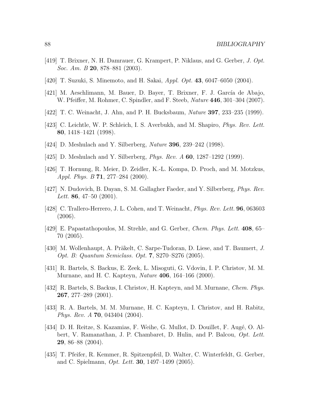- [419] T. Brixner, N. H. Damrauer, G. Krampert, P. Niklaus, and G. Gerber, J. Opt. Soc. Am. B **20**, 878–881 (2003).
- [420] T. Suzuki, S. Minemoto, and H. Sakai, *Appl. Opt.* **43**, 6047–6050 (2004).
- [421] M. Aeschlimann, M. Bauer, D. Bayer, T. Brixner, F. J. García de Abajo, W. Pfeiffer, M. Rohmer, C. Spindler, and F. Steeb, *Nature* **446**, 301–304 (2007).
- [422] T. C. Weinacht, J. Ahn, and P. H. Bucksbaum, Nature 397, 233–235 (1999).
- [423] C. Leichtle, W. P. Schleich, I. S. Averbukh, and M. Shapiro, *Phys. Rev. Lett.* 80, 1418–1421 (1998).
- [424] D. Meshulach and Y. Silberberg, *Nature* **396**, 239–242 (1998).
- [425] D. Meshulach and Y. Silberberg, *Phys. Rev. A* **60**, 1287–1292 (1999).
- [426] T. Hornung, R. Meier, D. Zeidler, K.-L. Kompa, D. Proch, and M. Motzkus, Appl. Phys. B 71, 277–284 (2000).
- [427] N. Dudovich, B. Dayan, S. M. Gallagher Faeder, and Y. Silberberg, Phys. Rev. *Lett.* **86**, 47–50  $(2001)$ .
- [428] C. Trallero-Herrero, J. L. Cohen, and T. Weinacht, *Phys. Rev. Lett.* **96**, 063603 (2006).
- [429] E. Papastathopoulos, M. Strehle, and G. Gerber, Chem. Phys. Lett. 408, 65– 70 (2005).
- [430] M. Wollenhaupt, A. Präkelt, C. Sarpe-Tudoran, D. Liese, and T. Baumert, J. Opt. B: Quantum Semiclass. Opt. 7, S270–S276 (2005).
- [431] R. Bartels, S. Backus, E. Zeek, L. Misoguti, G. Vdovin, I. P. Christov, M. M. Murnane, and H. C. Kapteyn, *Nature* **406**, 164–166 (2000).
- [432] R. Bartels, S. Backus, I. Christov, H. Kapteyn, and M. Murnane, *Chem. Phys.* 267, 277–289 (2001).
- [433] R. A. Bartels, M. M. Murnane, H. C. Kapteyn, I. Christov, and H. Rabitz, Phys. Rev. A 70, 043404 (2004).
- [434] D. H. Reitze, S. Kazamias, F. Weihe, G. Mullot, D. Douillet, F. Augé, O. Albert, V. Ramanathan, J. P. Chambaret, D. Hulin, and P. Balcou, Opt. Lett. **29**, 86–88 (2004).
- [435] T. Pfeifer, R. Kemmer, R. Spitzenpfeil, D. Walter, C. Winterfeldt, G. Gerber, and C. Spielmann, *Opt. Lett.* **30**, 1497–1499 (2005).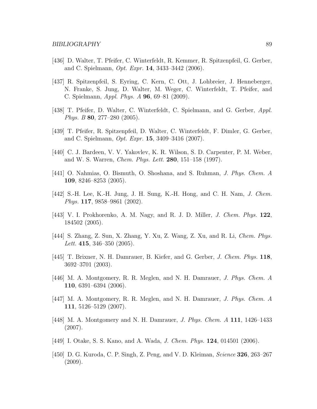- [436] D. Walter, T. Pfeifer, C. Winterfeldt, R. Kemmer, R. Spitzenpfeil, G. Gerber, and C. Spielmann, *Opt. Expr.* **14**, 3433–3442 (2006).
- [437] R. Spitzenpfeil, S. Eyring, C. Kern, C. Ott, J. Lohbreier, J. Henneberger, N. Franke, S. Jung, D. Walter, M. Weger, C. Winterfeldt, T. Pfeifer, and C. Spielmann, Appl. Phys. A 96, 69–81 (2009).
- [438] T. Pfeifer, D. Walter, C. Winterfeldt, C. Spielmann, and G. Gerber, Appl. Phys. B 80, 277–280 (2005).
- [439] T. Pfeifer, R. Spitzenpfeil, D. Walter, C. Winterfeldt, F. Dimler, G. Gerber, and C. Spielmann, *Opt. Expr.* **15**, 3409–3416 (2007).
- [440] C. J. Bardeen, V. V. Yakovlev, K. R. Wilson, S. D. Carpenter, P. M. Weber, and W. S. Warren, *Chem. Phys. Lett.* **280**, 151–158 (1997).
- [441] O. Nahmias, O. Bismuth, O. Shoshana, and S. Ruhman, J. Phys. Chem. A 109, 8246–8253 (2005).
- [442] S.-H. Lee, K.-H. Jung, J. H. Sung, K.-H. Hong, and C. H. Nam, *J. Chem.* Phys. 117, 9858–9861 (2002).
- [443] V. I. Prokhorenko, A. M. Nagy, and R. J. D. Miller, *J. Chem. Phys.* 122, 184502 (2005).
- [444] S. Zhang, Z. Sun, X. Zhang, Y. Xu, Z. Wang, Z. Xu, and R. Li, Chem. Phys. *Lett.* 415, 346–350  $(2005)$ .
- [445] T. Brixner, N. H. Damrauer, B. Kiefer, and G. Gerber, J. Chem. Phys. 118, 3692–3701 (2003).
- [446] M. A. Montgomery, R. R. Meglen, and N. H. Damrauer, J. Phys. Chem. A 110, 6391–6394 (2006).
- [447] M. A. Montgomery, R. R. Meglen, and N. H. Damrauer, J. Phys. Chem. A 111, 5126–5129 (2007).
- [448] M. A. Montgomery and N. H. Damrauer, J. Phys. Chem. A 111, 1426–1433 (2007).
- [449] I. Otake, S. S. Kano, and A. Wada, J. Chem. Phys. **124**, 014501 (2006).
- [450] D. G. Kuroda, C. P. Singh, Z. Peng, and V. D. Kleiman, Science 326, 263–267 (2009).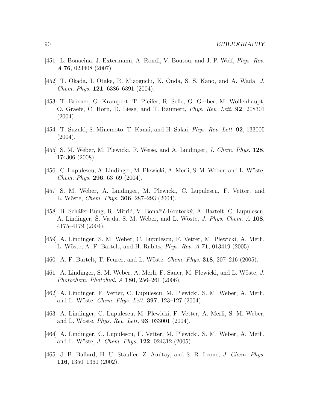- [451] L. Bonacina, J. Extermann, A. Rondi, V. Boutou, and J.-P. Wolf, Phys. Rev. A 76, 023408 (2007).
- [452] T. Okada, I. Otake, R. Mizoguchi, K. Onda, S. S. Kano, and A. Wada, J. Chem. Phys. 121, 6386–6391 (2004).
- [453] T. Brixner, G. Krampert, T. Pfeifer, R. Selle, G. Gerber, M. Wollenhaupt, O. Graefe, C. Horn, D. Liese, and T. Baumert, Phys. Rev. Lett. 92, 208301 (2004).
- [454] T. Suzuki, S. Minemoto, T. Kanai, and H. Sakai, *Phys. Rev. Lett.* **92**, 133005 (2004).
- [455] S. M. Weber, M. Plewicki, F. Weise, and A. Lindinger, *J. Chem. Phys.* **128**, 174306 (2008).
- [456] C. Lupulescu, A. Lindinger, M. Plewicki, A. Merli, S. M. Weber, and L. Wöste, Chem. Phys. 296, 63–69 (2004).
- [457] S. M. Weber, A. Lindinger, M. Plewicki, C. Lupulescu, F. Vetter, and L. Wöste, *Chem. Phys.* **306**, 287–293 (2004).
- [458] B. Scháfer-Bung, R. Mitrić, V. Bonačić-Koutecký, A. Bartelt, C. Lupulescu, A. Lindinger, S. Vajda, S. M. Weber, and L. Wöste, *J. Phys. Chem. A* 108, 4175–4179 (2004).
- [459] A. Lindinger, S. M. Weber, C. Lupulescu, F. Vetter, M. Plewicki, A. Merli, L. Wöste, A. F. Bartelt, and H. Rabitz, *Phys. Rev. A* **71**, 013419 (2005).
- [460] A. F. Bartelt, T. Feurer, and L. W¨oste, Chem. Phys. 318, 207–216 (2005).
- [461] A. Lindinger, S. M. Weber, A. Merli, F. Sauer, M. Plewicki, and L. Wöste, J. Photochem. Photobiol. A 180, 256–261 (2006).
- [462] A. Lindinger, F. Vetter, C. Lupulescu, M. Plewicki, S. M. Weber, A. Merli, and L. Wöste, *Chem. Phys. Lett.* **397**,  $123-127$  (2004).
- [463] A. Lindinger, C. Lupulescu, M. Plewicki, F. Vetter, A. Merli, S. M. Weber, and L. Wöste, *Phys. Rev. Lett.* **93**, 033001 (2004).
- [464] A. Lindinger, C. Lupulescu, F. Vetter, M. Plewicki, S. M. Weber, A. Merli, and L. Wöste, *J. Chem. Phys.*  $122$ ,  $024312$   $(2005)$ .
- [465] J. B. Ballard, H. U. Stauffer, Z. Amitay, and S. R. Leone, *J. Chem. Phys.* 116, 1350–1360 (2002).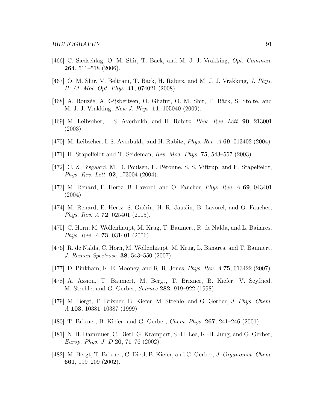- [466] C. Siedschlag, O. M. Shir, T. Bäck, and M. J. J. Vrakking,  $Opt.$  Commun. 264, 511–518 (2006).
- [467] O. M. Shir, V. Beltrani, T. Bäck, H. Rabitz, and M. J. J. Vrakking, J. Phys. B: At. Mol. Opt. Phys. 41, 074021 (2008).
- [468] A. Rouzée, A. Gijsbertsen, O. Ghafur, O. M. Shir, T. Bäck, S. Stolte, and M. J. J. Vrakking, New J. Phys. 11, 105040 (2009).
- [469] M. Leibscher, I. S. Averbukh, and H. Rabitz, Phys. Rev. Lett. 90, 213001 (2003).
- [470] M. Leibscher, I. S. Averbukh, and H. Rabitz, Phys. Rev. A 69, 013402 (2004).
- [471] H. Stapelfeldt and T. Seideman, Rev. Mod. Phys. **75**, 543–557 (2003).
- [472] C. Z. Bisgaard, M. D. Poulsen, E. Péronne, S. S. Viftrup, and H. Stapelfeldt, Phys. Rev. Lett. 92, 173004 (2004).
- [473] M. Renard, E. Hertz, B. Lavorel, and O. Faucher, Phys. Rev. A 69, 043401 (2004).
- [474] M. Renard, E. Hertz, S. Guérin, H. R. Jauslin, B. Lavorel, and O. Faucher, Phys. Rev. A 72, 025401 (2005).
- [475] C. Horn, M. Wollenhaupt, M. Krug, T. Baumert, R. de Nalda, and L. Bañares, Phys. Rev. A 73, 031401 (2006).
- [476] R. de Nalda, C. Horn, M. Wollenhaupt, M. Krug, L. Bañares, and T. Baumert, J. Raman Spectrosc. 38, 543–550 (2007).
- [477] D. Pinkham, K. E. Mooney, and R. R. Jones, Phys. Rev. A 75, 013422 (2007).
- [478] A. Assion, T. Baumert, M. Bergt, T. Brixner, B. Kiefer, V. Seyfried, M. Strehle, and G. Gerber, Science 282, 919–922 (1998).
- [479] M. Bergt, T. Brixner, B. Kiefer, M. Strehle, and G. Gerber, J. Phys. Chem. A 103, 10381–10387 (1999).
- [480] T. Brixner, B. Kiefer, and G. Gerber, *Chem. Phys.* **267**, 241–246 (2001).
- [481] N. H. Damrauer, C. Dietl, G. Krampert, S.-H. Lee, K.-H. Jung, and G. Gerber, Europ. Phys. J. D 20, 71–76 (2002).
- [482] M. Bergt, T. Brixner, C. Dietl, B. Kiefer, and G. Gerber, J. Organomet. Chem. 661, 199–209 (2002).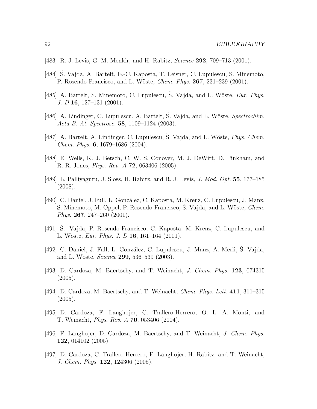- [483] R. J. Levis, G. M. Menkir, and H. Rabitz, Science 292, 709–713 (2001).
- [484] S. Vajda, A. Bartelt, E.-C. Kaposta, T. Leisner, C. Lupulescu, S. Minemoto, P. Rosendo-Francisco, and L. Wöste, *Chem. Phys.* **267**, 231–239 (2001).
- [485] A. Bartelt, S. Minemoto, C. Lupulescu, S. Vajda, and L. Wöste, Eur. Phys.  $J.$   $D$  **16**, 127–131 (2001).
- [486] A. Lindinger, C. Lupulescu, A. Bartelt, S. Vajda, and L. Wöste, Spectrochim. Acta B: At. Spectrosc. **58**, 1109–1124 (2003).
- [487] A. Bartelt, A. Lindinger, C. Lupulescu, Š. Vajda, and L. Wöste, *Phys. Chem.* Chem. Phys. 6, 1679–1686 (2004).
- [488] E. Wells, K. J. Betsch, C. W. S. Conover, M. J. DeWitt, D. Pinkham, and R. R. Jones, Phys. Rev. A 72, 063406 (2005).
- [489] L. Palliyaguru, J. Sloss, H. Rabitz, and R. J. Levis, J. Mod. Opt. 55, 177–185 (2008).
- [490] C. Daniel, J. Full, L. González, C. Kaposta, M. Krenz, C. Lupulescu, J. Manz, S. Minemoto, M. Oppel, P. Rosendo-Francisco, S. Vajda, and L. Wöste, *Chem. Phys.* **267**, 247–260 (2001).
- [491] S.. Vajda, P. Rosendo-Francisco, C. Kaposta, M. Krenz, C. Lupulescu, and L. Wöste, *Eur. Phys. J. D* 16, 161–164  $(2001)$ .
- [492] C. Daniel, J. Full, L. González, C. Lupulescu, J. Manz, A. Merli, S. Vajda, and L. Wöste, *Science* **299**, 536–539 (2003).
- [493] D. Cardoza, M. Baertschy, and T. Weinacht, J. Chem. Phys. 123, 074315 (2005).
- [494] D. Cardoza, M. Baertschy, and T. Weinacht, Chem. Phys. Lett. 411, 311–315 (2005).
- [495] D. Cardoza, F. Langhojer, C. Trallero-Herrero, O. L. A. Monti, and T. Weinacht, Phys. Rev. A 70, 053406 (2004).
- [496] F. Langhojer, D. Cardoza, M. Baertschy, and T. Weinacht, J. Chem. Phys. 122, 014102 (2005).
- [497] D. Cardoza, C. Trallero-Herrero, F. Langhojer, H. Rabitz, and T. Weinacht, J. Chem. Phys. 122, 124306 (2005).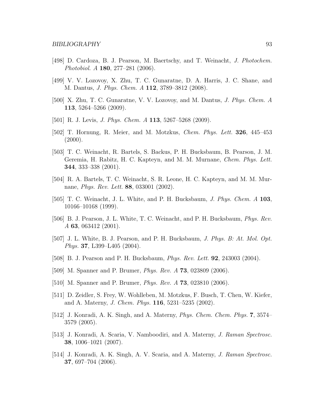- [498] D. Cardoza, B. J. Pearson, M. Baertschy, and T. Weinacht, J. Photochem. Photobiol. A 180, 277–281 (2006).
- [499] V. V. Lozovoy, X. Zhu, T. C. Gunaratne, D. A. Harris, J. C. Shane, and M. Dantus, J. Phys. Chem. A 112, 3789–3812 (2008).
- [500] X. Zhu, T. C. Gunaratne, V. V. Lozovoy, and M. Dantus, J. Phys. Chem. A 113, 5264–5266 (2009).
- [501] R. J. Levis, *J. Phys. Chem. A* **113**, 5267–5268 (2009).
- [502] T. Hornung, R. Meier, and M. Motzkus, *Chem. Phys. Lett.* **326**, 445–453  $(2000).$
- [503] T. C. Weinacht, R. Bartels, S. Backus, P. H. Bucksbaum, B. Pearson, J. M. Geremia, H. Rabitz, H. C. Kapteyn, and M. M. Murnane, Chem. Phys. Lett. 344, 333–338 (2001).
- [504] R. A. Bartels, T. C. Weinacht, S. R. Leone, H. C. Kapteyn, and M. M. Murnane, Phys. Rev. Lett. 88, 033001 (2002).
- [505] T. C. Weinacht, J. L. White, and P. H. Bucksbaum, *J. Phys. Chem. A* 103, 10166–10168 (1999).
- [506] B. J. Pearson, J. L. White, T. C. Weinacht, and P. H. Bucksbaum, Phys. Rev. A 63, 063412 (2001).
- [507] J. L. White, B. J. Pearson, and P. H. Bucksbaum, J. Phys. B: At. Mol. Opt. Phys. 37, L399–L405 (2004).
- [508] B. J. Pearson and P. H. Bucksbaum, Phys. Rev. Lett. 92, 243003 (2004).
- [509] M. Spanner and P. Brumer, Phys. Rev. A 73, 023809 (2006).
- [510] M. Spanner and P. Brumer, Phys. Rev. A 73, 023810 (2006).
- [511] D. Zeidler, S. Frey, W. Wohlleben, M. Motzkus, F. Busch, T. Chen, W. Kiefer, and A. Materny, J. Chem. Phys. 116, 5231–5235 (2002).
- [512] J. Konradi, A. K. Singh, and A. Materny, Phys. Chem. Chem. Phys. 7, 3574– 3579 (2005).
- [513] J. Konradi, A. Scaria, V. Namboodiri, and A. Materny, J. Raman Spectrosc. 38, 1006–1021 (2007).
- [514] J. Konradi, A. K. Singh, A. V. Scaria, and A. Materny, *J. Raman Spectrosc.* 37, 697–704 (2006).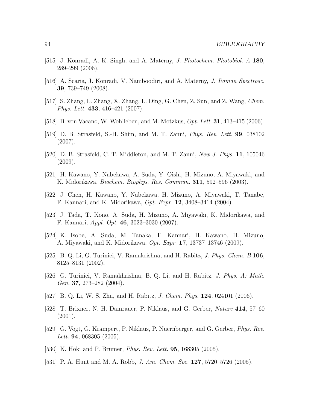- [515] J. Konradi, A. K. Singh, and A. Materny, J. Photochem. Photobiol. A 180, 289–299 (2006).
- [516] A. Scaria, J. Konradi, V. Namboodiri, and A. Materny, J. Raman Spectrosc. 39, 739–749 (2008).
- [517] S. Zhang, L. Zhang, X. Zhang, L. Ding, G. Chen, Z. Sun, and Z. Wang, *Chem.* Phys. Lett. 433, 416–421 (2007).
- [518] B. von Vacano, W. Wohlleben, and M. Motzkus, *Opt. Lett.* **31**, 413–415 (2006).
- [519] D. B. Strasfeld, S.-H. Shim, and M. T. Zanni, Phys. Rev. Lett. 99, 038102 (2007).
- [520] D. B. Strasfeld, C. T. Middleton, and M. T. Zanni, New J. Phys. 11, 105046 (2009).
- [521] H. Kawano, Y. Nabekawa, A. Suda, Y. Oishi, H. Mizuno, A. Miyawaki, and K. Midorikawa, Biochem. Biophys. Res. Commun. 311, 592–596 (2003).
- [522] J. Chen, H. Kawano, Y. Nabekawa, H. Mizuno, A. Miyawaki, T. Tanabe, F. Kannari, and K. Midorikawa, Opt. Expr. 12, 3408–3414 (2004).
- [523] J. Tada, T. Kono, A. Suda, H. Mizuno, A. Miyawaki, K. Midorikawa, and F. Kannari, Appl. Opt. 46, 3023–3030 (2007).
- [524] K. Isobe, A. Suda, M. Tanaka, F. Kannari, H. Kawano, H. Mizuno, A. Miyawaki, and K. Midorikawa, Opt. Expr. 17, 13737–13746 (2009).
- [525] B. Q. Li, G. Turinici, V. Ramakrishna, and H. Rabitz, *J. Phys. Chem. B* 106, 8125–8131 (2002).
- [526] G. Turinici, V. Ramakhrishna, B. Q. Li, and H. Rabitz, J. Phys. A: Math. Gen. 37, 273–282 (2004).
- [527] B. Q. Li, W. S. Zhu, and H. Rabitz, *J. Chem. Phys.* **124**, 024101 (2006).
- [528] T. Brixner, N. H. Damrauer, P. Niklaus, and G. Gerber, Nature 414, 57–60 (2001).
- [529] G. Vogt, G. Krampert, P. Niklaus, P. Nuernberger, and G. Gerber, Phys. Rev. *Lett.* **94**, 068305 (2005).
- [530] K. Hoki and P. Brumer, *Phys. Rev. Lett.* **95**, 168305 (2005).
- [531] P. A. Hunt and M. A. Robb, *J. Am. Chem. Soc.* **127**, 5720–5726 (2005).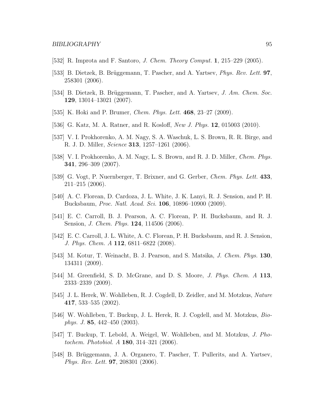- [532] R. Improta and F. Santoro, J. Chem. Theory Comput. 1, 215–229 (2005).
- [533] B. Dietzek, B. Brüggemann, T. Pascher, and A. Yartsev, *Phys. Rev. Lett.* **97**, 258301 (2006).
- [534] B. Dietzek, B. Brüggemann, T. Pascher, and A. Yartsev, J. Am. Chem. Soc. 129, 13014–13021 (2007).
- [535] K. Hoki and P. Brumer, *Chem. Phys. Lett.* **468**, 23–27 (2009).
- [536] G. Katz, M. A. Ratner, and R. Kosloff, *New J. Phys.* **12**, 015003 (2010).
- [537] V. I. Prokhorenko, A. M. Nagy, S. A. Waschuk, L. S. Brown, R. R. Birge, and R. J. D. Miller, Science 313, 1257–1261 (2006).
- [538] V. I. Prokhorenko, A. M. Nagy, L. S. Brown, and R. J. D. Miller, *Chem. Phys.* 341, 296–309 (2007).
- [539] G. Vogt, P. Nuernberger, T. Brixner, and G. Gerber, Chem. Phys. Lett. 433, 211–215 (2006).
- [540] A. C. Florean, D. Cardoza, J. L. White, J. K. Lanyi, R. J. Sension, and P. H. Bucksbaum, *Proc. Natl. Acad. Sci.* **106**, 10896–10900 (2009).
- [541] E. C. Carroll, B. J. Pearson, A. C. Florean, P. H. Bucksbaum, and R. J. Sension, *J. Chem. Phys.* **124**, 114506 (2006).
- [542] E. C. Carroll, J. L. White, A. C. Florean, P. H. Bucksbaum, and R. J. Sension, J. Phys. Chem. A 112, 6811–6822 (2008).
- [543] M. Kotur, T. Weinacht, B. J. Pearson, and S. Matsika, *J. Chem. Phys.* 130, 134311 (2009).
- [544] M. Greenfield, S. D. McGrane, and D. S. Moore, J. Phys. Chem. A 113, 2333–2339 (2009).
- [545] J. L. Herek, W. Wohlleben, R. J. Cogdell, D. Zeidler, and M. Motzkus, Nature  $417, 533 - 535$  (2002).
- [546] W. Wohlleben, T. Buckup, J. L. Herek, R. J. Cogdell, and M. Motzkus, *Bio*phys. J. 85, 442–450 (2003).
- [547] T. Buckup, T. Lebold, A. Weigel, W. Wohlleben, and M. Motzkus, J. Photochem. Photobiol. A 180, 314–321 (2006).
- [548] B. Brüggemann, J. A. Organero, T. Pascher, T. Pullerits, and A. Yartsev, Phys. Rev. Lett. 97, 208301 (2006).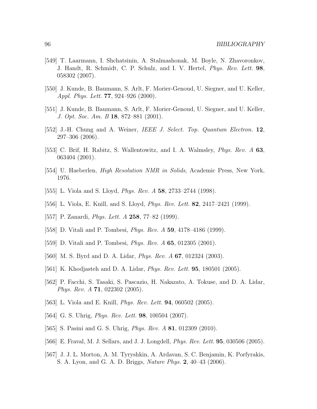- [549] T. Laarmann, I. Shchatsinin, A. Stalmashonak, M. Boyle, N. Zhavoronkov, J. Handt, R. Schmidt, C. P. Schulz, and I. V. Hertel, Phys. Rev. Lett. 98, 058302 (2007).
- [550] J. Kunde, B. Baumann, S. Arlt, F. Morier-Genoud, U. Siegner, and U. Keller, Appl. Phys. Lett. **77**, 924–926 (2000).
- [551] J. Kunde, B. Baumann, S. Arlt, F. Morier-Genoud, U. Siegner, and U. Keller, J. Opt. Soc. Am. B 18, 872–881 (2001).
- [552] J.-H. Chung and A. Weiner, *IEEE J. Select. Top. Quantum Electron.* 12, 297–306 (2006).
- [553] C. Brif, H. Rabitz, S. Wallentowitz, and I. A. Walmsley, *Phys. Rev. A* 63, 063404 (2001).
- [554] U. Haeberlen, *High Resolution NMR in Solids*, Academic Press, New York, 1976.
- [555] L. Viola and S. Lloyd, *Phys. Rev. A* 58, 2733–2744 (1998).
- [556] L. Viola, E. Knill, and S. Lloyd, *Phys. Rev. Lett.* **82**, 2417–2421 (1999).
- [557] P. Zanardi, *Phys. Lett. A* **258**, 77–82 (1999).
- [558] D. Vitali and P. Tombesi, *Phys. Rev. A* **59**, 4178–4186 (1999).
- [559] D. Vitali and P. Tombesi, *Phys. Rev. A* **65**, 012305 (2001).
- [560] M. S. Byrd and D. A. Lidar, *Phys. Rev. A* **67**, 012324 (2003).
- [561] K. Khodjasteh and D. A. Lidar, *Phys. Rev. Lett.* **95**, 180501 (2005).
- [562] P. Facchi, S. Tasaki, S. Pascazio, H. Nakazato, A. Tokuse, and D. A. Lidar, Phys. Rev. A 71, 022302 (2005).
- [563] L. Viola and E. Knill, Phys. Rev. Lett. 94, 060502 (2005).
- [564] G. S. Uhrig, *Phys. Rev. Lett.* **98**, 100504 (2007).
- [565] S. Pasini and G. S. Uhrig, Phys. Rev. A 81, 012309 (2010).
- [566] E. Fraval, M. J. Sellars, and J. J. Longdell, *Phys. Rev. Lett.* **95**, 030506 (2005).
- [567] J. J. L. Morton, A. M. Tyryshkin, A. Ardavan, S. C. Benjamin, K. Porfyrakis, S. A. Lyon, and G. A. D. Briggs, Nature Phys. 2, 40–43 (2006).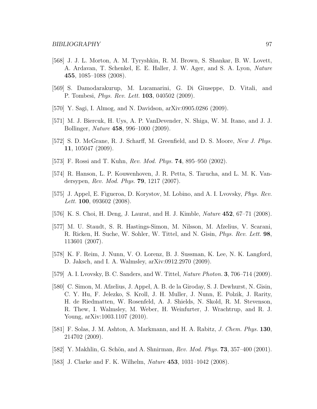- [568] J. J. L. Morton, A. M. Tyryshkin, R. M. Brown, S. Shankar, B. W. Lovett, A. Ardavan, T. Schenkel, E. E. Haller, J. W. Ager, and S. A. Lyon, Nature 455, 1085–1088 (2008).
- [569] S. Damodarakurup, M. Lucamarini, G. Di Giuseppe, D. Vitali, and P. Tombesi, *Phys. Rev. Lett.* **103**, 040502 (2009).
- [570] Y. Sagi, I. Almog, and N. Davidson, arXiv:0905.0286 (2009).
- [571] M. J. Biercuk, H. Uys, A. P. VanDevender, N. Shiga, W. M. Itano, and J. J. Bollinger, Nature 458, 996–1000 (2009).
- [572] S. D. McGrane, R. J. Scharff, M. Greenfield, and D. S. Moore, New J. Phys. 11, 105047 (2009).
- [573] F. Rossi and T. Kuhn, *Rev. Mod. Phys.* **74**, 895–950 (2002).
- [574] R. Hanson, L. P. Kouwenhoven, J. R. Petta, S. Tarucha, and L. M. K. Vandersypen, *Rev. Mod. Phys.* **79**, 1217 (2007).
- [575] J. Appel, E. Figueroa, D. Korystov, M. Lobino, and A. I. Lvovsky, Phys. Rev. *Lett.* **100**, 093602 (2008).
- [576] K. S. Choi, H. Deng, J. Laurat, and H. J. Kimble, Nature 452, 67–71 (2008).
- [577] M. U. Staudt, S. R. Hastings-Simon, M. Nilsson, M. Afzelius, V. Scarani, R. Ricken, H. Suche, W. Sohler, W. Tittel, and N. Gisin, Phys. Rev. Lett. 98, 113601 (2007).
- [578] K. F. Reim, J. Nunn, V. O. Lorenz, B. J. Sussman, K. Lee, N. K. Langford, D. Jaksch, and I. A. Walmsley, arXiv:0912.2970 (2009).
- [579] A. I. Lvovsky, B. C. Sanders, and W. Tittel, *Nature Photon.* **3**, 706–714 (2009).
- [580] C. Simon, M. Afzelius, J. Appel, A. B. de la Giroday, S. J. Dewhurst, N. Gisin, C. Y. Hu, F. Jelezko, S. Kroll, J. H. Muller, J. Nunn, E. Polzik, J. Rarity, H. de Riedmatten, W. Rosenfeld, A. J. Shields, N. Skold, R. M. Stevenson, R. Thew, I. Walmsley, M. Weber, H. Weinfurter, J. Wrachtrup, and R. J. Young, arXiv:1003.1107 (2010).
- [581] F. Solas, J. M. Ashton, A. Markmann, and H. A. Rabitz, J. Chem. Phys. 130, 214702 (2009).
- [582] Y. Makhlin, G. Schön, and A. Shnirman, Rev. Mod. Phys. **73**, 357–400 (2001).
- [583] J. Clarke and F. K. Wilhelm, *Nature* **453**, 1031–1042 (2008).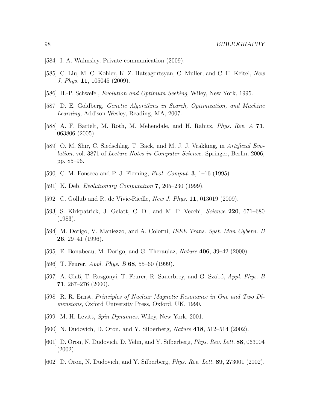- [584] I. A. Walmsley, Private communication (2009).
- [585] C. Liu, M. C. Kohler, K. Z. Hatsagortsyan, C. Muller, and C. H. Keitel, New J. Phys. 11, 105045 (2009).
- [586] H.-P. Schwefel, Evolution and Optimum Seeking, Wiley, New York, 1995.
- [587] D. E. Goldberg, Genetic Algorithms in Search, Optimization, and Machine Learning, Addison-Wesley, Reading, MA, 2007.
- [588] A. F. Bartelt, M. Roth, M. Mehendale, and H. Rabitz, Phys. Rev. A 71, 063806 (2005).
- [589] O. M. Shir, C. Siedschlag, T. Bäck, and M. J. J. Vrakking, in *Artificial Evo*lution, vol. 3871 of Lecture Notes in Computer Science, Springer, Berlin, 2006, pp. 85–96.
- [590] C. M. Fonseca and P. J. Fleming, *Evol. Comput.* **3**, 1–16 (1995).
- [591] K. Deb, *Evolutionary Computation* 7, 205–230 (1999).
- [592] C. Gollub and R. de Vivie-Riedle, *New J. Phys.* **11**, 013019 (2009).
- [593] S. Kirkpatrick, J. Gelatt, C. D., and M. P. Vecchi, *Science* **220**, 671–680 (1983).
- [594] M. Dorigo, V. Maniezzo, and A. Colorni, IEEE Trans. Syst. Man Cybern. B 26, 29–41 (1996).
- [595] E. Bonabeau, M. Dorigo, and G. Theraulaz, *Nature* **406**, 39–42 (2000).
- [596] T. Feurer, *Appl. Phys. B* **68**, 55–60 (1999).
- [597] A. Glaß, T. Rozgonyi, T. Feurer, R. Sauerbrey, and G. Szabó, Appl. Phys. B 71, 267–276 (2000).
- [598] R. R. Ernst, Principles of Nuclear Magnetic Resonance in One and Two Dimensions, Oxford University Press, Oxford, UK, 1990.
- [599] M. H. Levitt, Spin Dynamics, Wiley, New York, 2001.
- [600] N. Dudovich, D. Oron, and Y. Silberberg, *Nature* **418**, 512–514 (2002).
- [601] D. Oron, N. Dudovich, D. Yelin, and Y. Silberberg, Phys. Rev. Lett. 88, 063004 (2002).
- $[602]$  D. Oron, N. Dudovich, and Y. Silberberg, *Phys. Rev. Lett.* **89**, 273001 (2002).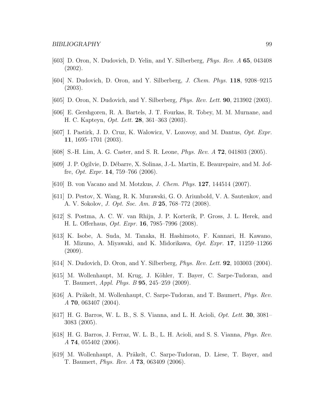- [603] D. Oron, N. Dudovich, D. Yelin, and Y. Silberberg, Phys. Rev. A 65, 043408 (2002).
- [604] N. Dudovich, D. Oron, and Y. Silberberg, J. Chem. Phys. 118, 9208–9215 (2003).
- [605] D. Oron, N. Dudovich, and Y. Silberberg, Phys. Rev. Lett. 90, 213902 (2003).
- [606] E. Gershgoren, R. A. Bartels, J. T. Fourkas, R. Tobey, M. M. Murnane, and H. C. Kapteyn, Opt. Lett. 28, 361–363 (2003).
- [607] I. Pastirk, J. D. Cruz, K. Walowicz, V. Lozovoy, and M. Dantus, Opt. Expr. 11, 1695–1701 (2003).
- [608] S.-H. Lim, A. G. Caster, and S. R. Leone, Phys. Rev. A 72, 041803 (2005).
- [609] J. P. Ogilvie, D. Débarre, X. Solinas, J.-L. Martin, E. Beaurepaire, and M. Joffre, *Opt. Expr.* **14**, 759–766 (2006).
- [610] B. von Vacano and M. Motzkus, *J. Chem. Phys.* **127**, 144514 (2007).
- [611] D. Pestov, X. Wang, R. K. Murawski, G. O. Ariunbold, V. A. Sautenkov, and A. V. Sokolov, J. Opt. Soc. Am. B 25, 768–772 (2008).
- [612] S. Postma, A. C. W. van Rhijn, J. P. Korterik, P. Gross, J. L. Herek, and H. L. Offerhaus, Opt. Expr. 16, 7985–7996 (2008).
- [613] K. Isobe, A. Suda, M. Tanaka, H. Hashimoto, F. Kannari, H. Kawano, H. Mizuno, A. Miyawaki, and K. Midorikawa, Opt. Expr. 17, 11259–11266 (2009).
- [614] N. Dudovich, D. Oron, and Y. Silberberg, Phys. Rev. Lett. 92, 103003 (2004).
- [615] M. Wollenhaupt, M. Krug, J. Köhler, T. Bayer, C. Sarpe-Tudoran, and T. Baumert, Appl. Phys. B 95, 245–259 (2009).
- [616] A. Präkelt, M. Wollenhaupt, C. Sarpe-Tudoran, and T. Baumert, *Phys. Rev.* A 70, 063407 (2004).
- [617] H. G. Barros, W. L. B., S. S. Vianna, and L. H. Acioli, *Opt. Lett.* **30**, 3081– 3083 (2005).
- [618] H. G. Barros, J. Ferraz, W. L. B., L. H. Acioli, and S. S. Vianna, Phys. Rev. A 74, 055402 (2006).
- [619] M. Wollenhaupt, A. Präkelt, C. Sarpe-Tudoran, D. Liese, T. Bayer, and T. Baumert, Phys. Rev. A 73, 063409 (2006).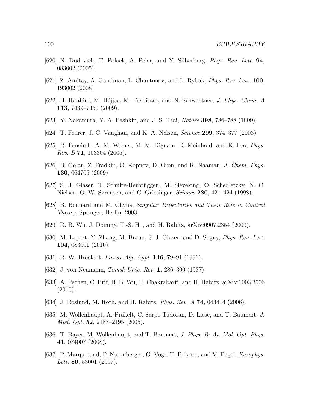- [620] N. Dudovich, T. Polack, A. Pe'er, and Y. Silberberg, Phys. Rev. Lett. 94, 083002 (2005).
- [621] Z. Amitay, A. Gandman, L. Chuntonov, and L. Rybak, Phys. Rev. Lett. 100, 193002 (2008).
- $[622]$  H. Ibrahim, M. Héjjas, M. Fushitani, and N. Schwentner, *J. Phys. Chem. A* 113, 7439–7450 (2009).
- [623] Y. Nakamura, Y. A. Pashkin, and J. S. Tsai, Nature 398, 786–788 (1999).
- [624] T. Feurer, J. C. Vaughan, and K. A. Nelson, Science 299, 374–377 (2003).
- [625] R. Fanciulli, A. M. Weiner, M. M. Dignam, D. Meinhold, and K. Leo, Phys. *Rev. B* **71**, 153304 (2005).
- [626] B. Golan, Z. Fradkin, G. Kopnov, D. Oron, and R. Naaman, J. Chem. Phys. 130, 064705 (2009).
- [627] S. J. Glaser, T. Schulte-Herbrüggen, M. Sieveking, O. Schedletzky, N. C. Nielsen, O. W. Sørensen, and C. Griesinger, *Science* **280**, 421–424 (1998).
- [628] B. Bonnard and M. Chyba, Singular Trajectories and Their Role in Control Theory, Springer, Berlin, 2003.
- [629] R. B. Wu, J. Dominy, T.-S. Ho, and H. Rabitz, arXiv:0907.2354 (2009).
- [630] M. Lapert, Y. Zhang, M. Braun, S. J. Glaser, and D. Sugny, Phys. Rev. Lett. 104, 083001 (2010).
- [631] R. W. Brockett, *Linear Alg. Appl.* **146**, 79–91 (1991).
- [632] J. von Neumann, Tomsk Univ. Rev. 1, 286–300 (1937).
- [633] A. Pechen, C. Brif, R. B. Wu, R. Chakrabarti, and H. Rabitz, arXiv:1003.3506 (2010).
- [634] J. Roslund, M. Roth, and H. Rabitz, Phys. Rev. A 74, 043414 (2006).
- [635] M. Wollenhaupt, A. Präkelt, C. Sarpe-Tudoran, D. Liese, and T. Baumert, J. Mod. Opt. 52, 2187–2195 (2005).
- [636] T. Bayer, M. Wollenhaupt, and T. Baumert, J. Phys. B: At. Mol. Opt. Phys. 41, 074007 (2008).
- [637] P. Marquetand, P. Nuernberger, G. Vogt, T. Brixner, and V. Engel, Europhys. *Lett.* **80**, 53001 (2007).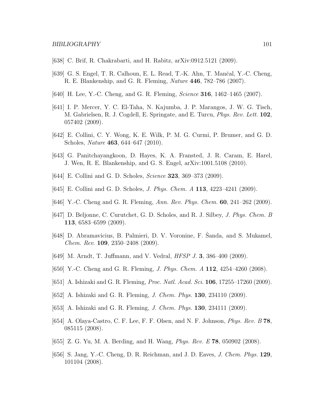- [638] C. Brif, R. Chakrabarti, and H. Rabitz, arXiv:0912.5121 (2009).
- [639] G. S. Engel, T. R. Calhoun, E. L. Read, T.-K. Ahn, T. Mančal, Y.-C. Cheng, R. E. Blankenship, and G. R. Fleming, Nature 446, 782–786 (2007).
- [640] H. Lee, Y.-C. Cheng, and G. R. Fleming, *Science* **316**, 1462–1465 (2007).
- [641] I. P. Mercer, Y. C. El-Taha, N. Kajumba, J. P. Marangos, J. W. G. Tisch, M. Gabrielsen, R. J. Cogdell, E. Springate, and E. Turcu, *Phys. Rev. Lett.* 102, 057402 (2009).
- [642] E. Collini, C. Y. Wong, K. E. Wilk, P. M. G. Curmi, P. Brumer, and G. D. Scholes, Nature 463, 644–647 (2010).
- [643] G. Panitchayangkoon, D. Hayes, K. A. Fransted, J. R. Caram, E. Harel, J. Wen, R. E. Blankenship, and G. S. Engel, arXiv:1001.5108 (2010).
- [644] E. Collini and G. D. Scholes, *Science* **323**, 369–373 (2009).
- [645] E. Collini and G. D. Scholes, J. Phys. Chem. A 113, 4223–4241 (2009).
- [646] Y.-C. Cheng and G. R. Fleming, Ann. Rev. Phys. Chem. **60**, 241–262 (2009).
- [647] D. Beljonne, C. Curutchet, G. D. Scholes, and R. J. Silbey, J. Phys. Chem. B 113, 6583–6599 (2009).
- [648] D. Abramavicius, B. Palmieri, D. V. Voronine, F. Sanda, and S. Mukamel, Chem. Rev. 109, 2350–2408 (2009).
- [649] M. Arndt, T. Juffmann, and V. Vedral, *HFSP J.* **3**, 386–400 (2009).
- [650] Y.-C. Cheng and G. R. Fleming, *J. Phys. Chem. A* 112, 4254–4260 (2008).
- [651] A. Ishizaki and G. R. Fleming, *Proc. Natl. Acad. Sci.* **106**, 17255–17260 (2009).
- [652] A. Ishizaki and G. R. Fleming, *J. Chem. Phys.* **130**, 234110 (2009).
- [653] A. Ishizaki and G. R. Fleming, *J. Chem. Phys.* **130**, 234111 (2009).
- [654] A. Olaya-Castro, C. F. Lee, F. F. Olsen, and N. F. Johnson, *Phys. Rev. B* 78, 085115 (2008).
- [655] Z. G. Yu, M. A. Berding, and H. Wang, *Phys. Rev. E* 78, 050902 (2008).
- [656] S. Jang, Y.-C. Cheng, D. R. Reichman, and J. D. Eaves, J. Chem. Phys. 129, 101104 (2008).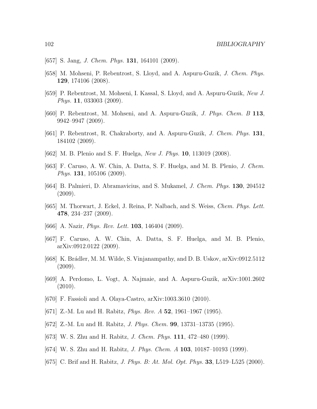- [657] S. Jang, *J. Chem. Phys.* **131**, 164101 (2009).
- [658] M. Mohseni, P. Rebentrost, S. Lloyd, and A. Aspuru-Guzik, J. Chem. Phys. 129, 174106 (2008).
- [659] P. Rebentrost, M. Mohseni, I. Kassal, S. Lloyd, and A. Aspuru-Guzik, New J. Phys. 11, 033003 (2009).
- [660] P. Rebentrost, M. Mohseni, and A. Aspuru-Guzik, J. Phys. Chem. B 113, 9942–9947 (2009).
- [661] P. Rebentrost, R. Chakraborty, and A. Aspuru-Guzik, J. Chem. Phys. 131, 184102 (2009).
- [662] M. B. Plenio and S. F. Huelga, *New J. Phys.* **10**, 113019 (2008).
- [663] F. Caruso, A. W. Chin, A. Datta, S. F. Huelga, and M. B. Plenio, J. Chem. *Phys.* **131**, 105106 (2009).
- [664] B. Palmieri, D. Abramavicius, and S. Mukamel, J. Chem. Phys. 130, 204512 (2009).
- [665] M. Thorwart, J. Eckel, J. Reina, P. Nalbach, and S. Weiss, Chem. Phys. Lett. 478, 234–237 (2009).
- [666] A. Nazir, *Phys. Rev. Lett.* **103**, 146404 (2009).
- [667] F. Caruso, A. W. Chin, A. Datta, S. F. Huelga, and M. B. Plenio, arXiv:0912.0122 (2009).
- [668] K. Brádler, M. M. Wilde, S. Vinjanampathy, and D. B. Uskov, arXiv:0912.5112 (2009).
- [669] A. Perdomo, L. Vogt, A. Najmaie, and A. Aspuru-Guzik, arXiv:1001.2602 (2010).
- [670] F. Fassioli and A. Olaya-Castro, arXiv:1003.3610 (2010).
- [671] Z.-M. Lu and H. Rabitz, *Phys. Rev. A* 52, 1961–1967 (1995).
- [672] Z.-M. Lu and H. Rabitz, J. Phys. Chem. 99, 13731–13735 (1995).
- [673] W. S. Zhu and H. Rabitz, J. Chem. Phys. 111, 472–480 (1999).
- [674] W. S. Zhu and H. Rabitz, J. Phys. Chem. A 103, 10187–10193 (1999).
- [675] C. Brif and H. Rabitz, *J. Phys. B: At. Mol. Opt. Phys.* **33**, L519–L525 (2000).